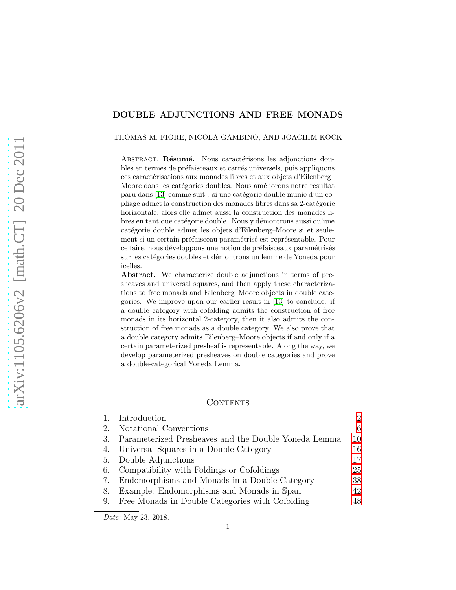# DOUBLE ADJUNCTIONS AND FREE MONADS

#### THOMAS M. FIORE, NICOLA GAMBINO, AND JOACHIM KOCK

ABSTRACT. Résumé. Nous caractérisons les adjonctions doubles en termes de préfaisceaux et carrés universels, puis appliquons ces caractérisations aux monades libres et aux objets d'Eilenberg– Moore dans les catégories doubles. Nous améliorons notre resultat paru dans [\[13\]](#page-54-0) comme suit : si une catégorie double munie d'un copliage admet la construction des monades libres dans sa 2-catégorie horizontale, alors elle admet aussi la construction des monades libres en tant que catégorie double. Nous y démontrons aussi qu'une catégorie double admet les objets d'Eilenberg–Moore si et seulement si un certain préfaisceau paramétrisé est représentable. Pour ce faire, nous développons une notion de préfaisceaux paramétrisés sur les catégories doubles et démontrons un lemme de Yoneda pour icelles.

Abstract. We characterize double adjunctions in terms of presheaves and universal squares, and then apply these characterizations to free monads and Eilenberg–Moore objects in double categories. We improve upon our earlier result in [\[13\]](#page-54-0) to conclude: if a double category with cofolding admits the construction of free monads in its horizontal 2-category, then it also admits the construction of free monads as a double category. We also prove that a double category admits Eilenberg–Moore objects if and only if a certain parameterized presheaf is representable. Along the way, we develop parameterized presheaves on double categories and prove a double-categorical Yoneda Lemma.

### CONTENTS

|    | 1. Introduction                                         |     |
|----|---------------------------------------------------------|-----|
| 2. | Notational Conventions                                  | 6   |
|    | 3. Parameterized Presheaves and the Double Yoneda Lemma | 10  |
|    | 4. Universal Squares in a Double Category               | 16  |
|    | 5. Double Adjunctions                                   | 17  |
|    | 6. Compatibility with Foldings or Cofoldings            | 25  |
| 7. | Endomorphisms and Monads in a Double Category           | 38  |
| 8. | Example: Endomorphisms and Monads in Span               | 42  |
|    | 9. Free Monads in Double Categories with Cofolding      | 48. |

Date: May 23, 2018.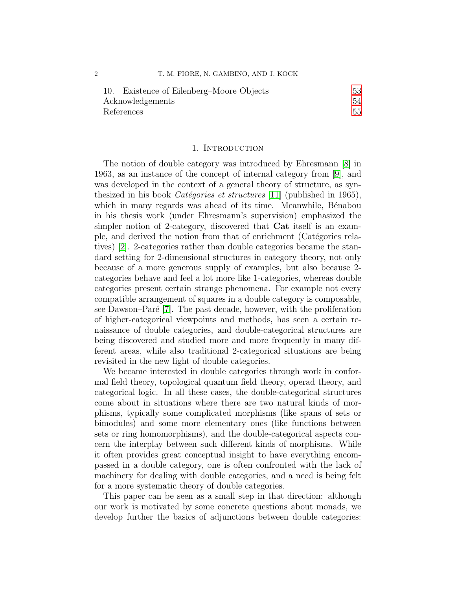| 10. Existence of Eilenberg-Moore Objects | 53 |
|------------------------------------------|----|
| Acknowledgements                         | 54 |
| References                               | 55 |

#### 1. INTRODUCTION

<span id="page-1-0"></span>The notion of double category was introduced by Ehresmann [\[8\]](#page-54-2) in 1963, as an instance of the concept of internal category from [\[9\]](#page-54-3), and was developed in the context of a general theory of structure, as synthesized in his book *Catégories et structures* [\[11\]](#page-54-4) (published in 1965), which in many regards was ahead of its time. Meanwhile, Bénabou in his thesis work (under Ehresmann's supervision) emphasized the simpler notion of 2-category, discovered that Cat itself is an example, and derived the notion from that of enrichment (Catégories relatives) [\[2\]](#page-54-5). 2-categories rather than double categories became the standard setting for 2-dimensional structures in category theory, not only because of a more generous supply of examples, but also because 2 categories behave and feel a lot more like 1-categories, whereas double categories present certain strange phenomena. For example not every compatible arrangement of squares in a double category is composable, see Dawson–Paré  $|7|$ . The past decade, however, with the proliferation of higher-categorical viewpoints and methods, has seen a certain renaissance of double categories, and double-categorical structures are being discovered and studied more and more frequently in many different areas, while also traditional 2-categorical situations are being revisited in the new light of double categories.

We became interested in double categories through work in conformal field theory, topological quantum field theory, operad theory, and categorical logic. In all these cases, the double-categorical structures come about in situations where there are two natural kinds of morphisms, typically some complicated morphisms (like spans of sets or bimodules) and some more elementary ones (like functions between sets or ring homomorphisms), and the double-categorical aspects concern the interplay between such different kinds of morphisms. While it often provides great conceptual insight to have everything encompassed in a double category, one is often confronted with the lack of machinery for dealing with double categories, and a need is being felt for a more systematic theory of double categories.

This paper can be seen as a small step in that direction: although our work is motivated by some concrete questions about monads, we develop further the basics of adjunctions between double categories: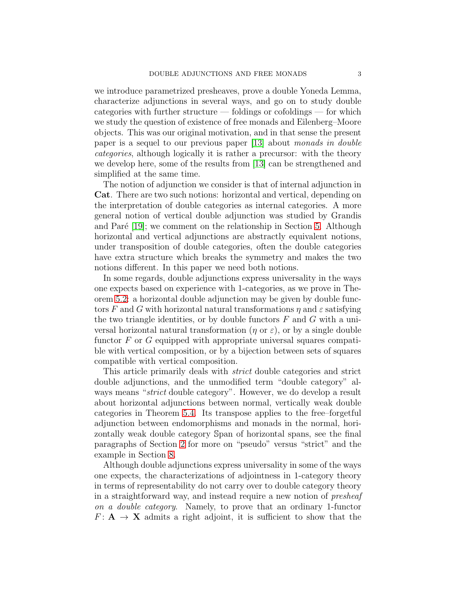we introduce parametrized presheaves, prove a double Yoneda Lemma, characterize adjunctions in several ways, and go on to study double categories with further structure — foldings or cofoldings — for which we study the question of existence of free monads and Eilenberg–Moore objects. This was our original motivation, and in that sense the present paper is a sequel to our previous paper [\[13\]](#page-54-0) about monads in double categories, although logically it is rather a precursor: with the theory we develop here, some of the results from [\[13\]](#page-54-0) can be strengthened and simplified at the same time.

The notion of adjunction we consider is that of internal adjunction in Cat. There are two such notions: horizontal and vertical, depending on the interpretation of double categories as internal categories. A more general notion of vertical double adjunction was studied by Grandis and Paré  $[19]$ ; we comment on the relationship in Section [5.](#page-16-0) Although horizontal and vertical adjunctions are abstractly equivalent notions, under transposition of double categories, often the double categories have extra structure which breaks the symmetry and makes the two notions different. In this paper we need both notions.

In some regards, double adjunctions express universality in the ways one expects based on experience with 1-categories, as we prove in Theorem [5.2:](#page-17-0) a horizontal double adjunction may be given by double functors F and G with horizontal natural transformations  $\eta$  and  $\varepsilon$  satisfying the two triangle identities, or by double functors  $F$  and  $G$  with a universal horizontal natural transformation ( $\eta$  or  $\varepsilon$ ), or by a single double functor  $F$  or  $G$  equipped with appropriate universal squares compatible with vertical composition, or by a bijection between sets of squares compatible with vertical composition.

This article primarily deals with strict double categories and strict double adjunctions, and the unmodified term "double category" always means "strict double category". However, we do develop a result about horizontal adjunctions between normal, vertically weak double categories in Theorem [5.4.](#page-22-0) Its transpose applies to the free–forgetful adjunction between endomorphisms and monads in the normal, horizontally weak double category Span of horizontal spans, see the final paragraphs of Section [2](#page-5-0) for more on "pseudo" versus "strict" and the example in Section [8.](#page-41-0)

Although double adjunctions express universality in some of the ways one expects, the characterizations of adjointness in 1-category theory in terms of representability do not carry over to double category theory in a straightforward way, and instead require a new notion of presheaf on a double category. Namely, to prove that an ordinary 1-functor  $F: \mathbf{A} \to \mathbf{X}$  admits a right adjoint, it is sufficient to show that the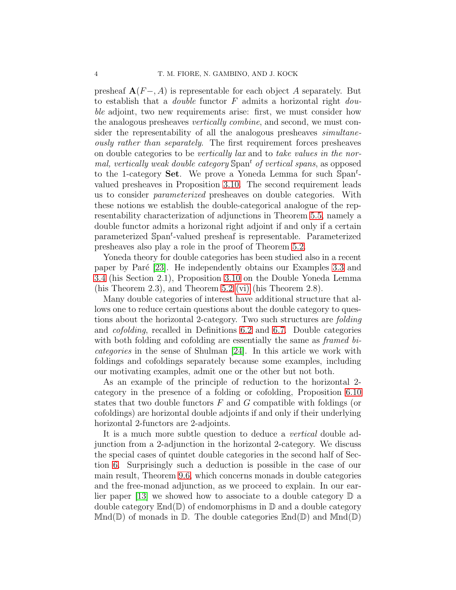presheaf  $\mathbf{A}(F-, A)$  is representable for each object A separately. But to establish that a *double* functor  $F$  admits a horizontal right *dou*ble adjoint, two new requirements arise: first, we must consider how the analogous presheaves vertically combine, and second, we must consider the representability of all the analogous presheaves *simultane*ously rather than separately. The first requirement forces presheaves on double categories to be vertically lax and to take values in the normal, vertically weak double category Span<sup>t</sup> of vertical spans, as opposed to the 1-category **Set**. We prove a Yoneda Lemma for such  $\text{Span}^{t}$ valued presheaves in Proposition [3.10.](#page-13-0) The second requirement leads us to consider parameterized presheaves on double categories. With these notions we establish the double-categorical analogue of the representability characterization of adjunctions in Theorem [5.5,](#page-23-0) namely a double functor admits a horizonal right adjoint if and only if a certain parameterized Span<sup>t</sup>-valued presheaf is representable. Parameterized presheaves also play a role in the proof of Theorem [5.2.](#page-17-0)

Yoneda theory for double categories has been studied also in a recent paper by Paré [\[23\]](#page-55-1). He independently obtains our Examples [3.3](#page-10-0) and [3.4](#page-11-0) (his Section 2.1), Proposition [3.10](#page-13-0) on the Double Yoneda Lemma (his Theorem 2.3), and Theorem [5.2](#page-17-0) [\(vi\)](#page-19-0) (his Theorem 2.8).

Many double categories of interest have additional structure that allows one to reduce certain questions about the double category to questions about the horizontal 2-category. Two such structures are folding and cofolding, recalled in Definitions [6.2](#page-26-0) and [6.7.](#page-30-0) Double categories with both folding and cofolding are essentially the same as *framed bi*categories in the sense of Shulman [\[24\]](#page-55-2). In this article we work with foldings and cofoldings separately because some examples, including our motivating examples, admit one or the other but not both.

As an example of the principle of reduction to the horizontal 2 category in the presence of a folding or cofolding, Proposition [6.10](#page-33-0) states that two double functors  $F$  and  $G$  compatible with foldings (or cofoldings) are horizontal double adjoints if and only if their underlying horizontal 2-functors are 2-adjoints.

It is a much more subtle question to deduce a *vertical* double adjunction from a 2-adjunction in the horizontal 2-category. We discuss the special cases of quintet double categories in the second half of Section [6.](#page-24-0) Surprisingly such a deduction is possible in the case of our main result, Theorem [9.6,](#page-49-0) which concerns monads in double categories and the free-monad adjunction, as we proceed to explain. In our ear-lier paper [\[13\]](#page-54-0) we showed how to associate to a double category  $\mathbb D$  a double category  $\mathbb{E}_{\text{nd}}(\mathbb{D})$  of endomorphisms in  $\mathbb{D}$  and a double category  $Mnd(\mathbb{D})$  of monads in  $\mathbb{D}$ . The double categories  $\text{End}(\mathbb{D})$  and  $Mnd(\mathbb{D})$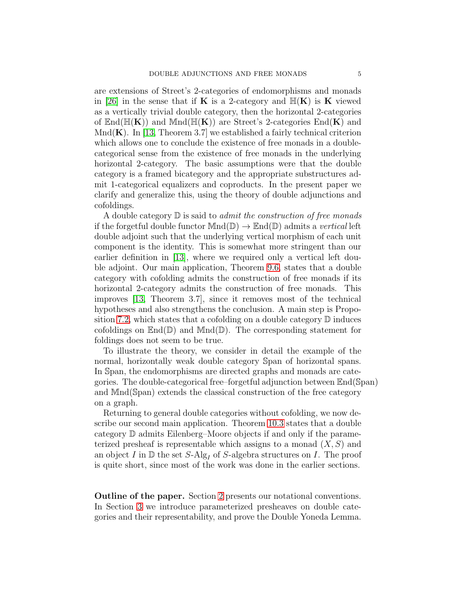are extensions of Street's 2-categories of endomorphisms and monads in [\[26\]](#page-55-3) in the sense that if **K** is a 2-category and  $\mathbb{H}(\mathbf{K})$  is **K** viewed as a vertically trivial double category, then the horizontal 2-categories of  $\text{End}(\mathbb{H}(\mathbf{K}))$  and  $\text{Mnd}(\mathbb{H}(\mathbf{K}))$  are Street's 2-categories  $\text{End}(\mathbf{K})$  and  $Mnd(\mathbf{K})$ . In [\[13,](#page-54-0) Theorem 3.7] we established a fairly technical criterion which allows one to conclude the existence of free monads in a doublecategorical sense from the existence of free monads in the underlying horizontal 2-category. The basic assumptions were that the double category is a framed bicategory and the appropriate substructures admit 1-categorical equalizers and coproducts. In the present paper we clarify and generalize this, using the theory of double adjunctions and cofoldings.

A double category  $\mathbb D$  is said to *admit the construction of free monads* if the forgetful double functor  $Mnd(\mathbb{D}) \to \mathbb{E}nd(\mathbb{D})$  admits a vertical left double adjoint such that the underlying vertical morphism of each unit component is the identity. This is somewhat more stringent than our earlier definition in [\[13\]](#page-54-0), where we required only a vertical left double adjoint. Our main application, Theorem [9.6,](#page-49-0) states that a double category with cofolding admits the construction of free monads if its horizontal 2-category admits the construction of free monads. This improves [\[13,](#page-54-0) Theorem 3.7], since it removes most of the technical hypotheses and also strengthens the conclusion. A main step is Propo-sition [7.2,](#page-40-0) which states that a cofolding on a double category  $\mathbb D$  induces cofoldings on  $\mathbb{E}nd(\mathbb{D})$  and  $\mathbb{M}nd(\mathbb{D})$ . The corresponding statement for foldings does not seem to be true.

To illustrate the theory, we consider in detail the example of the normal, horizontally weak double category Span of horizontal spans. In Span, the endomorphisms are directed graphs and monads are categories. The double-categorical free–forgetful adjunction between End(Span) and Mnd(Span) extends the classical construction of the free category on a graph.

Returning to general double categories without cofolding, we now describe our second main application. Theorem [10.3](#page-53-1) states that a double category D admits Eilenberg–Moore objects if and only if the parameterized presheaf is representable which assigns to a monad  $(X, S)$  and an object I in  $\mathbb D$  the set S-Alg<sub>I</sub> of S-algebra structures on I. The proof is quite short, since most of the work was done in the earlier sections.

Outline of the paper. Section [2](#page-5-0) presents our notational conventions. In Section [3](#page-9-0) we introduce parameterized presheaves on double categories and their representability, and prove the Double Yoneda Lemma.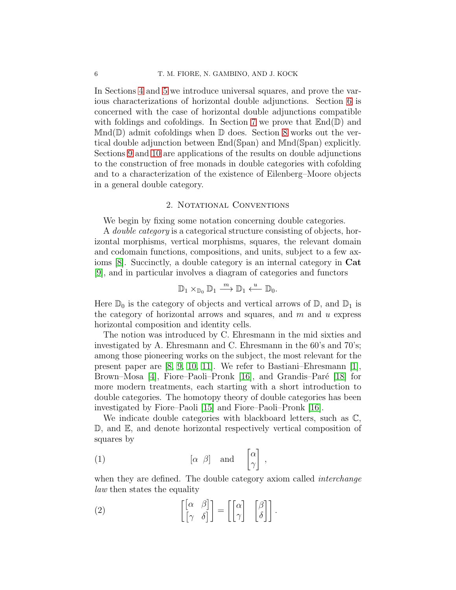In Sections [4](#page-15-0) and [5](#page-16-0) we introduce universal squares, and prove the various characterizations of horizontal double adjunctions. Section [6](#page-24-0) is concerned with the case of horizontal double adjunctions compatible with foldings and cofoldings. In Section [7](#page-37-0) we prove that  $\mathbb{E}_{\text{nd}}(\mathbb{D})$  and  $Mnd(\mathbb{D})$  admit cofoldings when  $\mathbb{D}$  does. Section [8](#page-41-0) works out the vertical double adjunction between End(Span) and Mnd(Span) explicitly. Sections [9](#page-47-0) and [10](#page-52-0) are applications of the results on double adjunctions to the construction of free monads in double categories with cofolding and to a characterization of the existence of Eilenberg–Moore objects in a general double category.

### 2. NOTATIONAL CONVENTIONS

<span id="page-5-0"></span>We begin by fixing some notation concerning double categories.

A *double category* is a categorical structure consisting of objects, horizontal morphisms, vertical morphisms, squares, the relevant domain and codomain functions, compositions, and units, subject to a few axioms [\[8\]](#page-54-2). Succinctly, a double category is an internal category in Cat [\[9\]](#page-54-3), and in particular involves a diagram of categories and functors

$$
\mathbb{D}_1 \times_{\mathbb{D}_0} \mathbb{D}_1 \xrightarrow{m} \mathbb{D}_1 \xleftarrow{u} \mathbb{D}_0.
$$

Here  $\mathbb{D}_0$  is the category of objects and vertical arrows of  $\mathbb{D}$ , and  $\mathbb{D}_1$  is the category of horizontal arrows and squares, and  $m$  and  $u$  express horizontal composition and identity cells.

The notion was introduced by C. Ehresmann in the mid sixties and investigated by A. Ehresmann and C. Ehresmann in the 60's and 70's; among those pioneering works on the subject, the most relevant for the present paper are [\[8,](#page-54-2) [9,](#page-54-3) [10,](#page-54-7) [11\]](#page-54-4). We refer to Bastiani–Ehresmann [\[1\]](#page-54-8), Brown–Mosa [\[4\]](#page-54-9), Fiore–Paoli–Pronk [\[16\]](#page-55-4), and Grandis–Paré [\[18\]](#page-55-5) for more modern treatments, each starting with a short introduction to double categories. The homotopy theory of double categories has been investigated by Fiore–Paoli [\[15\]](#page-55-6) and Fiore–Paoli–Pronk [\[16\]](#page-55-4).

We indicate double categories with blackboard letters, such as  $\mathbb{C}$ , D, and E, and denote horizontal respectively vertical composition of squares by

<span id="page-5-1"></span>
$$
\begin{array}{ccc}\n\text{(1)} & \begin{bmatrix} \alpha & \beta \end{bmatrix} & \text{and} & \begin{bmatrix} \alpha \\ \gamma \end{bmatrix},\n\end{array}
$$

when they are defined. The double category axiom called *interchange* law then states the equality

<span id="page-5-2"></span>(2) 
$$
\begin{bmatrix} \begin{bmatrix} \alpha & \beta \end{bmatrix} \end{bmatrix} = \begin{bmatrix} \begin{bmatrix} \alpha \\ \gamma \end{bmatrix} & \begin{bmatrix} \beta \\ \delta \end{bmatrix} \end{bmatrix}.
$$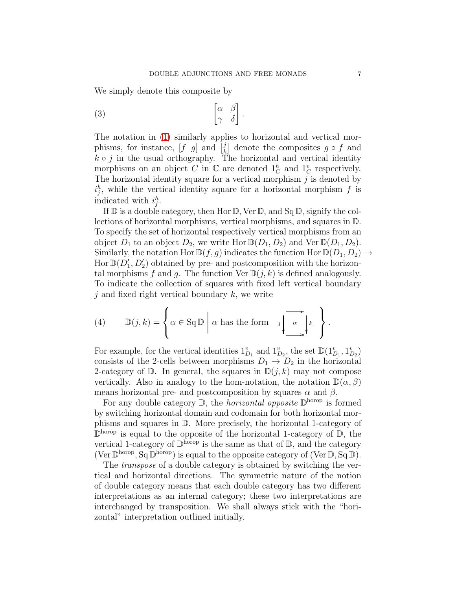We simply denote this composite by

<span id="page-6-0"></span>
$$
\begin{bmatrix} \alpha & \beta \\ \gamma & \delta \end{bmatrix}.
$$

The notation in [\(1\)](#page-5-1) similarly applies to horizontal and vertical morphisms, for instance,  $[f \ g]$  and  $\begin{bmatrix} j \\ k \end{bmatrix}$  $\begin{bmatrix} \frac{1}{k} \end{bmatrix}$  denote the composites  $g \circ f$  and  $k \circ j$  in the usual orthography. The horizontal and vertical identity morphisms on an object C in  $\mathbb C$  are denoted  $1_C^h$  and  $1_C^v$  respectively. The horizontal identity square for a vertical morphism  $j$  is denoted by  $i_j^h$ , while the vertical identity square for a horizontal morphism f is indicated with  $i_f^h$ .

If  $\mathbb D$  is a double category, then Hor  $\mathbb D$ , Ver  $\mathbb D$ , and Sq  $\mathbb D$ , signify the collections of horizontal morphisms, vertical morphisms, and squares in D. To specify the set of horizontal respectively vertical morphisms from an object  $D_1$  to an object  $D_2$ , we write Hor  $\mathbb{D}(D_1, D_2)$  and Ver  $\mathbb{D}(D_1, D_2)$ . Similarly, the notation Hor  $\mathbb{D}(f,g)$  indicates the function Hor  $\mathbb{D}(D_1, D_2) \to$ Hor  $\mathbb{D}(D'_1, D'_2)$  obtained by pre- and postcomposition with the horizontal morphisms f and g. The function  $\text{Ver } \mathbb{D}(j,k)$  is defined analogously. To indicate the collection of squares with fixed left vertical boundary  $j$  and fixed right vertical boundary  $k$ , we write

<span id="page-6-1"></span>(4) 
$$
\mathbb{D}(j,k) = \left\{ \alpha \in \text{Sq} \mathbb{D} \mid \alpha \text{ has the form } j \downarrow \alpha \downarrow k \right\}.
$$

For example, for the vertical identities  $1_{D_1}^v$  and  $1_{D_2}^v$ , the set  $\mathbb{D}(1_{D_1}^v,1_{D_2}^v)$ consists of the 2-cells between morphisms  $D_1 \rightarrow D_2$  in the horizontal 2-category of  $\mathbb{D}$ . In general, the squares in  $\mathbb{D}(j,k)$  may not compose vertically. Also in analogy to the hom-notation, the notation  $\mathbb{D}(\alpha, \beta)$ means horizontal pre- and postcomposition by squares  $\alpha$  and  $\beta$ .

For any double category  $\mathbb{D}$ , the *horizontal opposite*  $\mathbb{D}^{\text{horop}}$  is formed by switching horizontal domain and codomain for both horizontal morphisms and squares in D. More precisely, the horizontal 1-category of  $\mathbb{D}^{\text{horop}}$  is equal to the opposite of the horizontal 1-category of  $\mathbb{D}$ , the vertical 1-category of  $\mathbb{D}^{\text{horop}}$  is the same as that of  $\mathbb{D}$ , and the category (Ver  $\mathbb{D}^{\text{horop}}$ ,  $Sq \mathbb{D}^{\text{horop}}$ ) is equal to the opposite category of (Ver  $\mathbb{D}$ ,  $Sq \mathbb{D}$ ).

The *transpose* of a double category is obtained by switching the vertical and horizontal directions. The symmetric nature of the notion of double category means that each double category has two different interpretations as an internal category; these two interpretations are interchanged by transposition. We shall always stick with the "horizontal" interpretation outlined initially.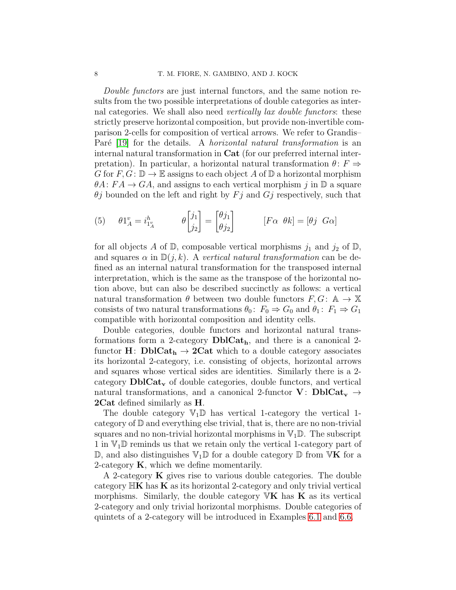Double functors are just internal functors, and the same notion results from the two possible interpretations of double categories as internal categories. We shall also need *vertically lax double functors*: these strictly preserve horizontal composition, but provide non-invertible comparison 2-cells for composition of vertical arrows. We refer to Grandis– Paré [\[19\]](#page-55-0) for the details. A *horizontal natural transformation* is an internal natural transformation in Cat (for our preferred internal interpretation). In particular, a horizontal natural transformation  $\theta: F \Rightarrow$ G for  $F, G: \mathbb{D} \to \mathbb{E}$  assigns to each object A of  $\mathbb{D}$  a horizontal morphism  $\theta A: FA \to GA$ , and assigns to each vertical morphism j in  $\mathbb{D}$  a square  $\theta j$  bounded on the left and right by  $Fj$  and  $Gj$  respectively, such that

<span id="page-7-0"></span>(5) 
$$
\theta 1_A^v = i_{1_A^v}^h
$$
  $\theta \begin{bmatrix} j_1 \\ j_2 \end{bmatrix} = \begin{bmatrix} \theta j_1 \\ \theta j_2 \end{bmatrix}$   $[F\alpha \ \theta k] = [\theta j \ \text{G}\alpha]$ 

for all objects A of  $\mathbb{D}$ , composable vertical morphisms  $j_1$  and  $j_2$  of  $\mathbb{D}$ , and squares  $\alpha$  in  $\mathbb{D}(j,k)$ . A vertical natural transformation can be defined as an internal natural transformation for the transposed internal interpretation, which is the same as the transpose of the horizontal notion above, but can also be described succinctly as follows: a vertical natural transformation  $\theta$  between two double functors  $F, G: \mathbb{A} \to \mathbb{X}$ consists of two natural transformations  $\theta_0$ :  $F_0 \Rightarrow G_0$  and  $\theta_1$ :  $F_1 \Rightarrow G_1$ compatible with horizontal composition and identity cells.

Double categories, double functors and horizontal natural transformations form a 2-category  $\text{DblCat}_h$ , and there is a canonical 2functor  $H: \text{DblCat}_h \rightarrow 2\text{Cat}$  which to a double category associates its horizontal 2-category, i.e. consisting of objects, horizontal arrows and squares whose vertical sides are identities. Similarly there is a 2 category  $\text{DblCat}_{\mathbf{v}}$  of double categories, double functors, and vertical natural transformations, and a canonical 2-functor V:  $\text{DblCat}_{\mathbf{v}} \rightarrow$ 2Cat defined similarly as H.

The double category  $\mathbb{V}_1 \mathbb{D}$  has vertical 1-category the vertical 1category of D and everything else trivial, that is, there are no non-trivial squares and no non-trivial horizontal morphisms in  $\mathbb{V}_1 \mathbb{D}$ . The subscript 1 in  $\mathbb{V}_1\mathbb{D}$  reminds us that we retain only the vertical 1-category part of  $\mathbb{D}$ , and also distinguishes  $\mathbb{V}_1 \mathbb{D}$  for a double category  $\mathbb{D}$  from  $\mathbb{V}\mathbf{K}$  for a 2-category  $\bf{K}$ , which we define momentarily.

A 2-category **K** gives rise to various double categories. The double category  $\mathbb{H}\mathbf{K}$  has  $\mathbf{K}$  as its horizontal 2-category and only trivial vertical morphisms. Similarly, the double category  $\mathbb{V}\mathbf{K}$  has  $\mathbf{K}$  as its vertical 2-category and only trivial horizontal morphisms. Double categories of quintets of a 2-category will be introduced in Examples [6.1](#page-26-1) and [6.6.](#page-29-0)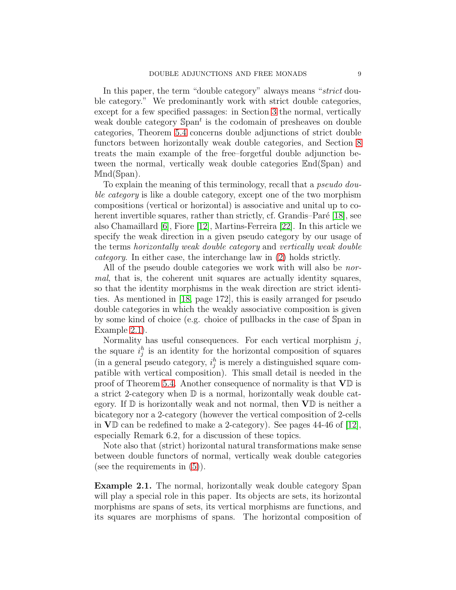In this paper, the term "double category" always means "strict double category." We predominantly work with strict double categories, except for a few specified passages: in Section [3](#page-9-0) the normal, vertically weak double category  $\text{Span}^t$  is the codomain of presheaves on double categories, Theorem [5.4](#page-22-0) concerns double adjunctions of strict double functors between horizontally weak double categories, and Section [8](#page-41-0) treats the main example of the free–forgetful double adjunction between the normal, vertically weak double categories End(Span) and Mnd(Span).

To explain the meaning of this terminology, recall that a *pseudo dou*ble category is like a double category, except one of the two morphism compositions (vertical or horizontal) is associative and unital up to co-herent invertible squares, rather than strictly, cf. Grandis–Paré [\[18\]](#page-55-5), see also Chamaillard [\[6\]](#page-54-10), Fiore [\[12\]](#page-54-11), Martins-Ferreira [\[22\]](#page-55-7). In this article we specify the weak direction in a given pseudo category by our usage of the terms horizontally weak double category and vertically weak double category. In either case, the interchange law in [\(2\)](#page-5-2) holds strictly.

All of the pseudo double categories we work with will also be *nor*mal, that is, the coherent unit squares are actually identity squares, so that the identity morphisms in the weak direction are strict identities. As mentioned in [\[18,](#page-55-5) page 172], this is easily arranged for pseudo double categories in which the weakly associative composition is given by some kind of choice (e.g. choice of pullbacks in the case of Span in Example [2.1\)](#page-8-0).

Normality has useful consequences. For each vertical morphism  $i$ , the square  $i_j^h$  is an identity for the horizontal composition of squares (in a general pseudo category,  $i_j^h$  is merely a distinguished square compatible with vertical composition). This small detail is needed in the proof of Theorem [5.4.](#page-22-0) Another consequence of normality is that  $V\mathbb{D}$  is a strict 2-category when  $\mathbb D$  is a normal, horizontally weak double category. If  $\mathbb D$  is horizontally weak and not normal, then  $V\mathbb D$  is neither a bicategory nor a 2-category (however the vertical composition of 2-cells in  $V\mathbb{D}$  can be redefined to make a 2-category). See pages 44-46 of [\[12\]](#page-54-11), especially Remark 6.2, for a discussion of these topics.

Note also that (strict) horizontal natural transformations make sense between double functors of normal, vertically weak double categories (see the requirements in [\(5\)](#page-7-0)).

<span id="page-8-0"></span>Example 2.1. The normal, horizontally weak double category Span will play a special role in this paper. Its objects are sets, its horizontal morphisms are spans of sets, its vertical morphisms are functions, and its squares are morphisms of spans. The horizontal composition of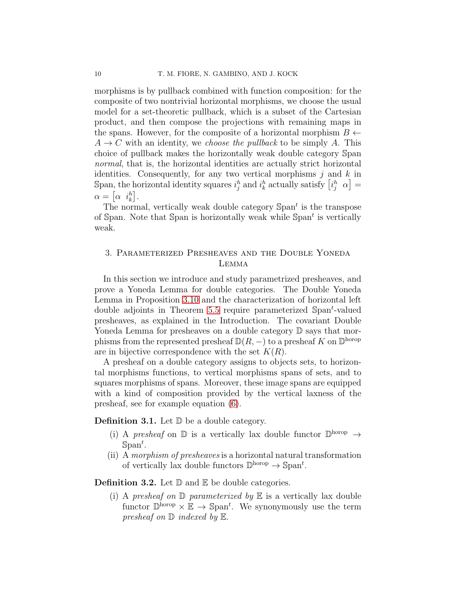morphisms is by pullback combined with function composition: for the composite of two nontrivial horizontal morphisms, we choose the usual model for a set-theoretic pullback, which is a subset of the Cartesian product, and then compose the projections with remaining maps in the spans. However, for the composite of a horizontal morphism  $B \leftarrow$  $A \rightarrow C$  with an identity, we *choose the pullback* to be simply A. This choice of pullback makes the horizontally weak double category Span normal, that is, the horizontal identities are actually strict horizontal identities. Consequently, for any two vertical morphisms  $j$  and  $k$  in Span, the horizontal identity squares  $i_j^h$  and  $i_k^h$  actually satisfy  $\left[i_j^h \alpha\right] =$  $\alpha = \begin{bmatrix} \alpha & i_k^h \end{bmatrix}$ .

The normal, vertically weak double category  $\text{Span}^t$  is the transpose of Span. Note that Span is horizontally weak while  $\text{Span}^t$  is vertically weak.

## <span id="page-9-0"></span>3. Parameterized Presheaves and the Double Yoneda Lemma

In this section we introduce and study parametrized presheaves, and prove a Yoneda Lemma for double categories. The Double Yoneda Lemma in Proposition [3.10](#page-13-0) and the characterization of horizontal left double adjoints in Theorem [5.5](#page-23-0) require parameterized  $\text{Span}^t$ -valued presheaves, as explained in the Introduction. The covariant Double Yoneda Lemma for presheaves on a double category  $\mathbb D$  says that morphisms from the represented presheaf  $\mathbb{D}(R, -)$  to a presheaf K on  $\mathbb{D}^{\text{horop}}$ are in bijective correspondence with the set  $K(R)$ .

A presheaf on a double category assigns to objects sets, to horizontal morphisms functions, to vertical morphisms spans of sets, and to squares morphisms of spans. Moreover, these image spans are equipped with a kind of composition provided by the vertical laxness of the presheaf, see for example equation [\(6\)](#page-10-1).

**Definition 3.1.** Let  $\mathbb{D}$  be a double category.

- (i) A presheaf on  $\mathbb D$  is a vertically lax double functor  $\mathbb D^{\text{horop}} \to$  $\mathbb{S}\text{pan}^t$ .
- (ii) A morphism of presheaves is a horizontal natural transformation of vertically lax double functors  $\mathbb{D}^{\text{horop}} \to \mathbb{S}\text{pan}^t$ .

<span id="page-9-1"></span>**Definition 3.2.** Let  $\mathbb{D}$  and  $\mathbb{E}$  be double categories.

(i) A presheaf on  $\mathbb D$  parameterized by  $\mathbb E$  is a vertically lax double functor  $\mathbb{D}^{\text{horop}} \times \mathbb{E} \to \text{Span}^t$ . We synonymously use the term presheaf on  $\mathbb D$  indexed by  $\mathbb E$ .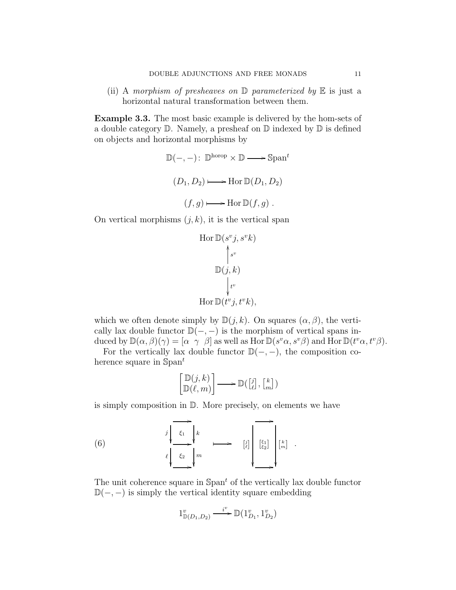(ii) A morphism of presheaves on  $\mathbb D$  parameterized by  $\mathbb E$  is just a horizontal natural transformation between them.

<span id="page-10-0"></span>Example 3.3. The most basic example is delivered by the hom-sets of a double category  $\mathbb D$ . Namely, a presheaf on  $\mathbb D$  indexed by  $\mathbb D$  is defined on objects and horizontal morphisms by

$$
\mathbb{D}(-,-): \mathbb{D}^{\text{horop}} \times \mathbb{D} \longrightarrow \text{Span}^{t}
$$

$$
(D_1, D_2) \longmapsto \text{Hor } \mathbb{D}(D_1, D_2)
$$

$$
(f,g) \longmapsto \text{Hor } \mathbb{D}(f,g) .
$$

On vertical morphisms  $(j, k)$ , it is the vertical span

$$
\text{Hor } \mathbb{D}(s^v j, s^v k)
$$
\n
$$
\uparrow_{s^v}
$$
\n
$$
\mathbb{D}(j, k)
$$
\n
$$
\downarrow_{t^v}
$$
\n
$$
\text{Hor } \mathbb{D}(t^v j, t^v k),
$$

which we often denote simply by  $\mathbb{D}(j,k)$ . On squares  $(\alpha,\beta)$ , the vertically lax double functor  $\mathbb{D}(-, -)$  is the morphism of vertical spans induced by  $\mathbb{D}(\alpha,\beta)(\gamma) = [\alpha \ \gamma \ \beta]$  as well as Hor  $\mathbb{D}(s^v\alpha,s^v\beta)$  and Hor  $\mathbb{D}(t^v\alpha,t^v\beta)$ .

For the vertically lax double functor  $\mathbb{D}(-, -)$ , the composition coherence square in  $\mathbb{S}$ pan<sup>t</sup>

<span id="page-10-1"></span>
$$
\begin{bmatrix}\mathbb{D}(j,k) \\
\mathbb{D}(\ell,m)\n\end{bmatrix} \longrightarrow \mathbb{D}(\begin{bmatrix}j\\ \ell\end{bmatrix}, \begin{bmatrix}k\\ m\end{bmatrix})
$$

is simply composition in D. More precisely, on elements we have

(6) 
$$
\begin{array}{ccc}\nj & k & \downarrow \\
\ell & \xi_1 & k & \downarrow \\
\ell & \xi_2 & m & \downarrow\n\end{array}
$$
  $\begin{array}{ccc}\n\boxed{i} & \downarrow & \downarrow \\
\boxed{2} & \downarrow & \downarrow \\
\ell & \downarrow & \downarrow\n\end{array}$ 

The unit coherence square in  $\text{Span}^t$  of the vertically lax double functor  $\mathbb{D}(-, -)$  is simply the vertical identity square embedding

$$
1^v_{\mathbb{D}(D_1, D_2)} \xrightarrow{i^v} \mathbb{D}(1^v_{D_1}, 1^v_{D_2})
$$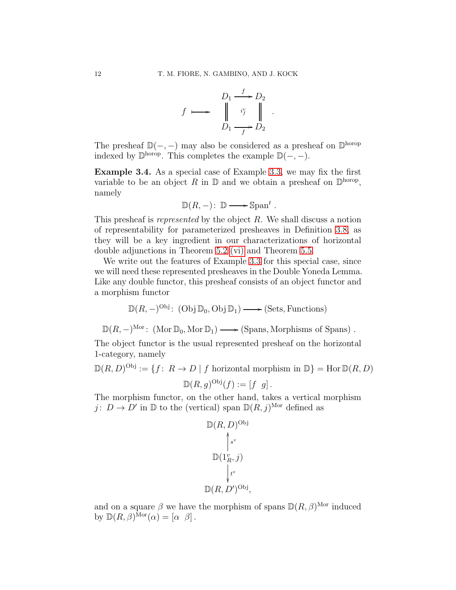

The presheaf  $\mathbb{D}(-, -)$  may also be considered as a presheaf on  $\mathbb{D}^{\text{horop}}$ indexed by  $\mathbb{D}^{\text{horop}}$ . This completes the example  $\mathbb{D}(-,-)$ .

<span id="page-11-0"></span>Example 3.4. As a special case of Example [3.3,](#page-10-0) we may fix the first variable to be an object R in  $\mathbb D$  and we obtain a presheaf on  $\mathbb D^{\text{horop}}$ , namely

$$
\mathbb{D}(R,-): \mathbb{D} \longrightarrow \mathbb{S}\text{pan}^t.
$$

This presheaf is represented by the object R. We shall discuss a notion of representability for parameterized presheaves in Definition [3.8,](#page-13-1) as they will be a key ingredient in our characterizations of horizontal double adjunctions in Theorem [5.2](#page-17-0) [\(vi\)](#page-19-0) and Theorem [5.5.](#page-23-0)

We write out the features of Example [3.3](#page-10-0) for this special case, since we will need these represented presheaves in the Double Yoneda Lemma. Like any double functor, this presheaf consists of an object functor and a morphism functor

$$
\mathbb{D}(R, -)^{\text{Obj}}: (\text{Obj}\,\mathbb{D}_0, \text{Obj}\,\mathbb{D}_1) \longrightarrow (\text{Sets}, \text{Functions})
$$

 $\mathbb{D}(R,-)^{\text{Mor}}$ : (Mor  $\mathbb{D}_0$ , Mor  $\mathbb{D}_1$ )  $\longrightarrow$  (Spans, Morphisms of Spans).

The object functor is the usual represented presheaf on the horizontal 1-category, namely

$$
\mathbb{D}(R, D)^{\text{Obj}} := \{ f \colon R \to D \mid f \text{ horizontal morphism in } \mathbb{D} \} = \text{Hor } \mathbb{D}(R, D)
$$

$$
\mathbb{D}(R, g)^{\text{Obj}}(f) := [f \ g].
$$

The morphism functor, on the other hand, takes a vertical morphism j:  $D \to D'$  in  $\mathbb{D}$  to the (vertical) span  $\mathbb{D}(R, j)^{\text{Mor}}$  defined as

$$
\mathbb{D}(R, D)^{\text{Obj}}
$$

$$
\uparrow^{s^v}
$$

$$
\mathbb{D}(1_R^v, j)
$$

$$
\downarrow^{t^v}
$$

$$
\mathbb{D}(R, D')^{\text{Obj}},
$$

and on a square  $\beta$  we have the morphism of spans  $\mathbb{D}(R,\beta)^{\text{Mor}}$  induced by  $\mathbb{D}(R,\beta)^{\text{Mor}}(\alpha) = [\alpha \ \beta].$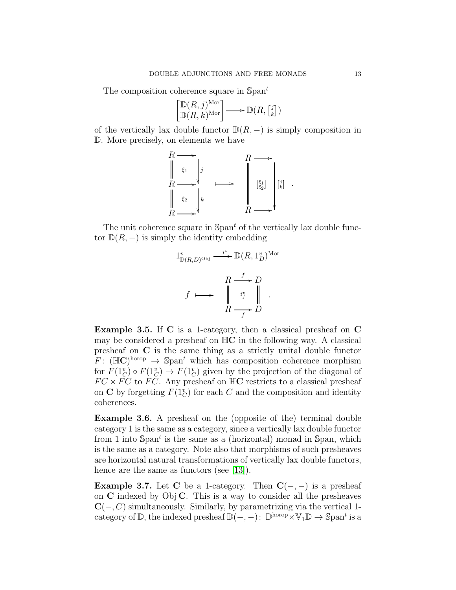The composition coherence square in Span<sup>t</sup>

$$
\begin{bmatrix} \mathbb{D}(R,j)^{\mathrm{Mor}} \\ \mathbb{D}(R,k)^{\mathrm{Mor}} \end{bmatrix} \longrightarrow \mathbb{D}(R, \begin{bmatrix} j \\ k \end{bmatrix})
$$

of the vertically lax double functor  $\mathbb{D}(R,-)$  is simply composition in D. More precisely, on elements we have



The unit coherence square in  $\mathrm{Span}^t$  of the vertically lax double functor  $\mathbb{D}(R,-)$  is simply the identity embedding

$$
1^v_{\mathbb{D}(R,D)^{\text{Obj}}} \xrightarrow{i^v} \mathbb{D}(R, 1^v_D)^{\text{Mor}}
$$
\n
$$
f \longmapsto \begin{array}{c} R \xrightarrow{f} D \\ \downarrow i^v_f \\ R \xrightarrow{f} D \end{array}
$$

Example 3.5. If C is a 1-category, then a classical presheaf on C may be considered a presheaf on  $\mathbb{H}C$  in the following way. A classical presheaf on C is the same thing as a strictly unital double functor  $F: (\mathbb{H}\mathbb{C})^{\text{horop}} \to \mathbb{S}\text{pan}^t$  which has composition coherence morphism for  $F(1_C^v) \circ F(1_C^v) \to F(1_C^v)$  given by the projection of the diagonal of  $FC \times FC$  to  $FC$ . Any presheaf on  $HC$  restricts to a classical presheaf on **C** by forgetting  $F(1^v_C)$  for each C and the composition and identity coherences.

Example 3.6. A presheaf on the (opposite of the) terminal double category 1 is the same as a category, since a vertically lax double functor from 1 into  $\text{Span}^t$  is the same as a (horizontal) monad in Span, which is the same as a category. Note also that morphisms of such presheaves are horizontal natural transformations of vertically lax double functors, hence are the same as functors (see [\[13\]](#page-54-0)).

**Example 3.7.** Let C be a 1-category. Then  $C(-, -)$  is a presheaf on  $C$  indexed by Obj  $C$ . This is a way to consider all the presheaves  $C(-, C)$  simultaneously. Similarly, by parametrizing via the vertical 1category of  $\mathbb{D}$ , the indexed presheaf  $\mathbb{D}(-,-)$ :  $\mathbb{D}^{\text{horop}} \times \mathbb{V}_1 \mathbb{D} \to \text{Span}^t$  is a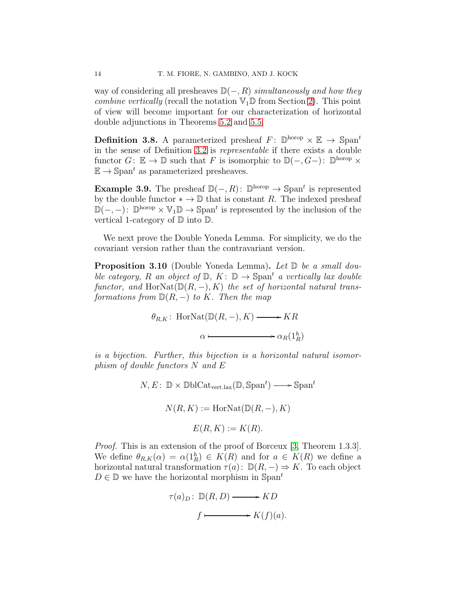way of considering all presheaves  $\mathbb{D}(-, R)$  simultaneously and how they *combine vertically* (recall the notation  $\mathbb{V}_1 \mathbb{D}$  from Section [2\)](#page-5-0). This point of view will become important for our characterization of horizontal double adjunctions in Theorems [5.2](#page-17-0) and [5.5.](#page-23-0)

<span id="page-13-1"></span>**Definition 3.8.** A parameterized presheaf  $F: \mathbb{D}^{\text{horop}} \times \mathbb{E} \to \mathbb{S}^{\text{part}}$ in the sense of Definition [3.2](#page-9-1) is representable if there exists a double functor  $G: \mathbb{E} \to \mathbb{D}$  such that F is isomorphic to  $\mathbb{D}(-, G-)$ :  $\mathbb{D}^{\text{horop}} \times$  $\mathbb{E} \to \mathbb{S}$ pan<sup>t</sup> as parameterized presheaves.

**Example 3.9.** The presheaf  $\mathbb{D}(-, R)$ :  $\mathbb{D}^{\text{horop}} \to \mathbb{S}^{\text{par}}$  is represented by the double functor  $* \to \mathbb{D}$  that is constant R. The indexed presheaf  $\mathbb{D}(-,-)$ :  $\mathbb{D}^{\text{horop}} \times \mathbb{V}_1 \mathbb{D} \to \mathbb{S}^{\text{pan}}$  is represented by the inclusion of the vertical 1-category of  $\mathbb D$  into  $\mathbb D$ .

We next prove the Double Yoneda Lemma. For simplicity, we do the covariant version rather than the contravariant version.

<span id="page-13-0"></span>**Proposition 3.10** (Double Yoneda Lemma). Let  $\mathbb{D}$  be a small double category, R an object of  $\mathbb{D}$ ,  $K: \mathbb{D} \to \mathbb{S}$ pan<sup>t</sup> a vertically lax double functor, and HorNat $(\mathbb{D}(R, -), K)$  the set of horizontal natural transformations from  $\mathbb{D}(R,-)$  to K. Then the map

$$
\theta_{R,K}
$$
: HorNat( $\mathbb{D}(R,-), K$ )  $\longrightarrow KR$   
 $\alpha \longmapsto \alpha_R(\mathbf{1}_R^h)$ 

is a bijection. Further, this bijection is a horizontal natural isomorphism of double functors N and E

> $N, E: \mathbb{D} \times \mathbb{D}$ blCat<sub>vert.lax</sub> $(\mathbb{D}, \mathbb{S}$ pan<sup>t</sup>) **----**  $\mathbb{S}$ pan<sup>t</sup>  $N(R, K) :=$ HorNat $(\mathbb{D}(R, -), K)$  $E(R, K) := K(R)$ .

Proof. This is an extension of the proof of Borceux [\[3,](#page-54-12) Theorem 1.3.3]. We define  $\theta_{R,K}(\alpha) = \alpha(1_R^h) \in K(R)$  and for  $a \in K(R)$  we define a horizontal natural transformation  $\tau(a)$ :  $\mathbb{D}(R, -) \Rightarrow K$ . To each object  $D \in \mathbb{D}$  we have the horizontal morphism in Span<sup>t</sup>

$$
\tau(a)_D \colon \mathbb{D}(R, D) \longrightarrow KD
$$

$$
f \longmapsto K(f)(a).
$$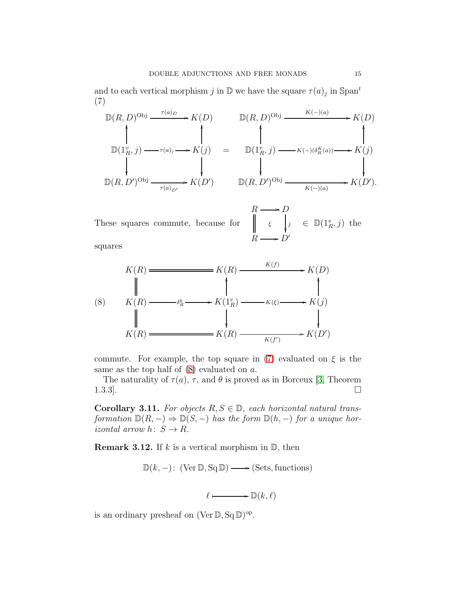and to each vertical morphism j in  $\mathbb{D}$  we have the square  $\tau(a)_j$  in  $\text{Span}^t$ (7)

<span id="page-14-0"></span>
$$
\mathbb{D}(R, D)^{\text{Obj}} \xrightarrow{\tau(a)_D} K(D) \qquad \mathbb{D}(R, D)^{\text{Obj}} \xrightarrow{K(-)(a)} K(D)
$$
\n
$$
\mathbb{D}(1_R^v, j) \xrightarrow{\tau(a)_j} K(j) = \mathbb{D}(1_R^v, j) \xrightarrow{K(-)(\delta_R^K(a))} K(j)
$$
\n
$$
\mathbb{D}(R, D')^{\text{Obj}} \xrightarrow{\tau(a)_{D'}} K(D') \qquad \mathbb{D}(R, D')^{\text{Obj}} \xrightarrow{K(-)(a)} K(D').
$$

These squares commute, because for  $R \longrightarrow$ . ξ  $\boldsymbol{D}$ j ľ  $R \longrightarrow D'$  $\in \mathbb{D}(1_R^v, j)$  the

squares

<span id="page-14-1"></span>

commute. For example, the top square in [\(7\)](#page-14-0) evaluated on  $\xi$  is the same as the top half of  $(8)$  evaluated on a.

The naturality of  $\tau(a)$ ,  $\tau$ , and  $\theta$  is proved as in Borceux [\[3,](#page-54-12) Theorem 1.3.3]. □

**Corollary 3.11.** For objects  $R, S \in \mathbb{D}$ , each horizontal natural transformation  $\mathbb{D}(R,-) \Rightarrow \mathbb{D}(S,-)$  has the form  $\mathbb{D}(h,-)$  for a unique horizontal arrow  $h: S \to R$ .

**Remark 3.12.** If k is a vertical morphism in  $\mathbb{D}$ , then

 $\mathbb{D}(k,-): (\text{Ver } \mathbb{D}, \text{Sq } \mathbb{D}) \longrightarrow (\text{Sets}, \text{functions})$ 

 $\ell \longmapsto \mathbb{D}(k,\ell)$ 

is an ordinary presheaf on  $(\text{Ver } \mathbb{D}, \text{Sq} \mathbb{D})^{\text{op}}$ .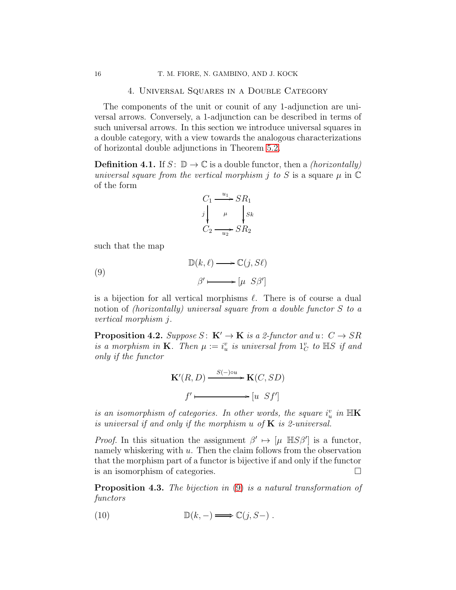### 4. Universal Squares in a Double Category

<span id="page-15-0"></span>The components of the unit or counit of any 1-adjunction are universal arrows. Conversely, a 1-adjunction can be described in terms of such universal arrows. In this section we introduce universal squares in a double category, with a view towards the analogous characterizations of horizontal double adjunctions in Theorem [5.2.](#page-17-0)

<span id="page-15-4"></span>**Definition 4.1.** If  $S: \mathbb{D} \to \mathbb{C}$  is a double functor, then a *(horizontally)* universal square from the vertical morphism *j* to *S* is a square  $\mu$  in  $\mathbb C$ of the form

<span id="page-15-1"></span>
$$
C_1 \xrightarrow{u_1} SR_1
$$
  

$$
j \downarrow \qquad \qquad \downarrow Sk
$$
  

$$
C_2 \xrightarrow{u_2} SR_2
$$

such that the map

(9)  
\n
$$
\mathbb{D}(k,\ell) \longrightarrow \mathbb{C}(j, S\ell)
$$
\n
$$
\beta' \longmapsto [\mu \ S\beta']
$$

is a bijection for all vertical morphisms  $\ell$ . There is of course a dual notion of *(horizontally)* universal square from a double functor S to a vertical morphism j.

**Proposition 4.2.** Suppose  $S: K' \to K$  is a 2-functor and  $u: C \to SR$ is a morphism in **K**. Then  $\mu := i_u^v$  is universal from  $1_C^v$  to  $\mathbb{H}S$  if and only if the functor

$$
\mathbf{K}'(R, D) \xrightarrow{S(-)\circ u} \mathbf{K}(C, SD)
$$
  

$$
f' \longmapsto [u \quad Sf']
$$

is an isomorphism of categories. In other words, the square  $i_u^v$  in  $\mathbb{H}\mathbf{K}$ is universal if and only if the morphism  $u$  of  $K$  is 2-universal.

*Proof.* In this situation the assignment  $\beta' \mapsto [\mu \mathbb{H}S\beta']$  is a functor, namely whiskering with  $u$ . Then the claim follows from the observation that the morphism part of a functor is bijective if and only if the functor is an isomorphism of categories.

<span id="page-15-3"></span>**Proposition 4.3.** The bijection in [\(9\)](#page-15-1) is a natural transformation of functors

<span id="page-15-2"></span>(10) 
$$
\mathbb{D}(k,-) \longrightarrow \mathbb{C}(j, S-).
$$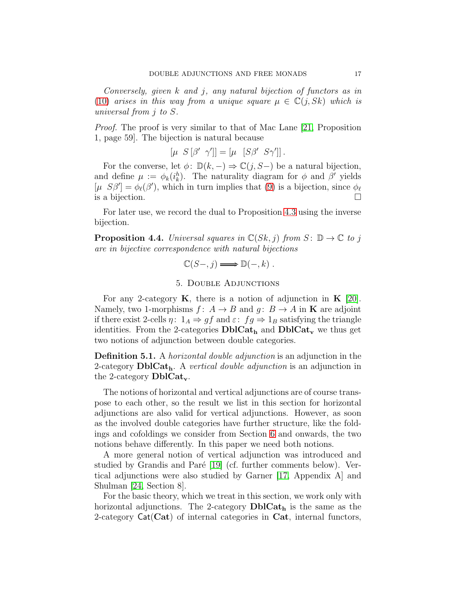Conversely, given k and j, any natural bijection of functors as in [\(10\)](#page-15-2) arises in this way from a unique square  $\mu \in \mathbb{C}(j, Sk)$  which is universal from j to S.

*Proof.* The proof is very similar to that of Mac Lane [\[21,](#page-55-8) Proposition] 1, page 59]. The bijection is natural because

$$
\left[\mu \ S\left[\beta' \ \gamma'\right]\right] = \left[\mu \ [S\beta' \ S\gamma']\right].
$$

For the converse, let  $\phi: \mathbb{D}(k,-) \Rightarrow \mathbb{C}(j,S-)$  be a natural bijection, and define  $\mu := \phi_k(i_k^h)$ . The naturality diagram for  $\phi$  and  $\beta'$  yields [ $\mu$  S $\beta'$ ] =  $\phi_{\ell}(\beta')$ , which in turn implies that [\(9\)](#page-15-1) is a bijection, since  $\phi_{\ell}$ is a bijection.

For later use, we record the dual to Proposition [4.3](#page-15-3) using the inverse bijection.

<span id="page-16-2"></span>**Proposition 4.4.** Universal squares in  $\mathbb{C}(Sk, j)$  from  $S: \mathbb{D} \to \mathbb{C}$  to j are in bijective correspondence with natural bijections

$$
\mathbb{C}(S-,j)\Longrightarrow\mathbb{D}(-,k) .
$$

### 5. Double Adjunctions

<span id="page-16-0"></span>For any 2-category  $\bf{K}$ , there is a notion of adjunction in  $\bf{K}$  [\[20\]](#page-55-9). Namely, two 1-morphisms  $f: A \to B$  and  $g: B \to A$  in **K** are adjoint if there exist 2-cells  $\eta: 1_A \Rightarrow gf$  and  $\varepsilon: fg \Rightarrow 1_B$  satisfying the triangle identities. From the 2-categories  $\text{DbCat}_{h}$  and  $\text{DbCat}_{v}$  we thus get two notions of adjunction between double categories.

<span id="page-16-1"></span>**Definition 5.1.** A *horizontal double adjunction* is an adjunction in the 2-category  $\text{DblCat}_{h}$ . A vertical double adjunction is an adjunction in the 2-category  $\text{DblCat}_{\mathbf{v}}$ .

The notions of horizontal and vertical adjunctions are of course transpose to each other, so the result we list in this section for horizontal adjunctions are also valid for vertical adjunctions. However, as soon as the involved double categories have further structure, like the foldings and cofoldings we consider from Section [6](#page-24-0) and onwards, the two notions behave differently. In this paper we need both notions.

A more general notion of vertical adjunction was introduced and studied by Grandis and Paré [\[19\]](#page-55-0) (cf. further comments below). Vertical adjunctions were also studied by Garner [\[17,](#page-55-10) Appendix A] and Shulman [\[24,](#page-55-2) Section 8].

For the basic theory, which we treat in this section, we work only with horizontal adjunctions. The 2-category  $\text{DblCat}_h$  is the same as the 2-category  $Cat(Cat)$  of internal categories in  $Cat$ , internal functors,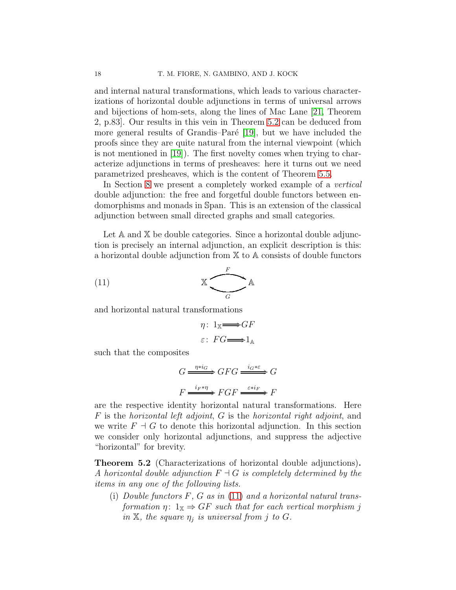and internal natural transformations, which leads to various characterizations of horizontal double adjunctions in terms of universal arrows and bijections of hom-sets, along the lines of Mac Lane [\[21,](#page-55-8) Theorem 2, p.83]. Our results in this vein in Theorem [5.2](#page-17-0) can be deduced from more general results of Grandis–Paré [\[19\]](#page-55-0), but we have included the proofs since they are quite natural from the internal viewpoint (which is not mentioned in [\[19\]](#page-55-0)). The first novelty comes when trying to characterize adjunctions in terms of presheaves: here it turns out we need parametrized presheaves, which is the content of Theorem [5.5.](#page-23-0)

In Section [8](#page-41-0) we present a completely worked example of a *vertical* double adjunction: the free and forgetful double functors between endomorphisms and monads in Span. This is an extension of the classical adjunction between small directed graphs and small categories.

Let A and X be double categories. Since a horizontal double adjunction is precisely an internal adjunction, an explicit description is this: a horizontal double adjunction from X to A consists of double functors

$$
\begin{array}{c}\n\mathbb{X} \\
\hline\nG\n\end{array}
$$

and horizontal natural transformations

<span id="page-17-1"></span>
$$
\eta \colon 1_{\mathbb{X}} \longrightarrow GF
$$

$$
\varepsilon \colon FG \longrightarrow 1_{\mathbb{A}}
$$

such that the composites

$$
G \xrightarrow{\eta * i_G} GFG \xrightarrow{i_G * \varepsilon} G
$$

$$
F \xrightarrow{i_F * \eta} FGF \xrightarrow{\varepsilon * i_F} F
$$

are the respective identity horizontal natural transformations. Here F is the horizontal left adjoint, G is the horizontal right adjoint, and we write  $F \dashv G$  to denote this horizontal adjunction. In this section we consider only horizontal adjunctions, and suppress the adjective "horizontal" for brevity.

<span id="page-17-0"></span>Theorem 5.2 (Characterizations of horizontal double adjunctions). A horizontal double adjunction  $F \dashv G$  is completely determined by the items in any one of the following lists.

<span id="page-17-2"></span>(i) Double functors  $F, G$  as in  $(11)$  and a horizontal natural transformation  $\eta: 1_{\mathbb{X}} \Rightarrow GF$  such that for each vertical morphism j in  $X$ , the square  $\eta_j$  is universal from j to G.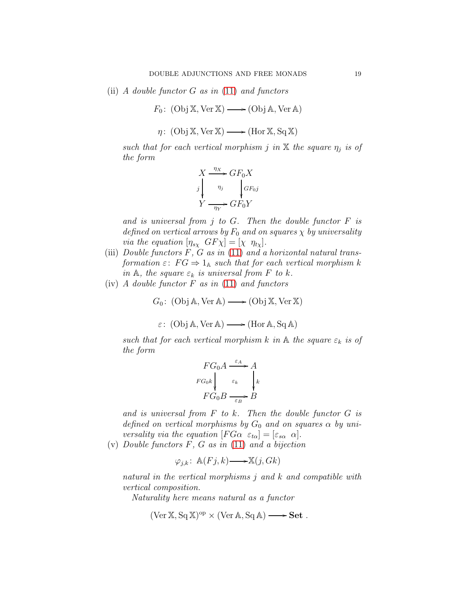<span id="page-18-1"></span>(ii) A double functor  $G$  as in [\(11\)](#page-17-1) and functors

$$
F_0
$$
: (Obj X, Ver X)  $\longrightarrow$  (Obj A, Ver A)

 $\eta\colon(\operatorname{Obj}\mathbb{X},\operatorname{Ver}\mathbb{X})\longrightarrow(\operatorname{Hor}\mathbb{X},\operatorname{Sq}\mathbb{X})$ 

such that for each vertical morphism j in  $X$  the square  $\eta_j$  is of the form

$$
X \xrightarrow{\eta_X} GF_0 X
$$
  
\n
$$
y \qquad \eta_j \qquad \qquad GF_0 j
$$
  
\n
$$
Y \xrightarrow{\eta_Y} GF_0 Y
$$

and is universal from  $j$  to  $G$ . Then the double functor  $F$  is defined on vertical arrows by  $F_0$  and on squares  $\chi$  by universality via the equation  $[\eta_{s\chi} \ GF\chi] = [\chi \ \eta_{t\chi}].$ 

- <span id="page-18-2"></span>(iii) Double functors  $\tilde{F}$ ,  $\tilde{G}$  as in [\(11\)](#page-17-1) and a horizontal natural transformation  $\varepsilon$ :  $FG \Rightarrow 1_A$  such that for each vertical morphism k in A, the square  $\varepsilon_k$  is universal from F to k.
- <span id="page-18-3"></span>(iv)  $\Lambda$  double functor  $F$  as in [\(11\)](#page-17-1) and functors

 $G_0$ : (Obj A, Ver A)  $\longrightarrow$  (Obj X, Ver X)

$$
\varepsilon
$$
: (Obj A, Ver A)  $\longrightarrow$  (Hor A, Sq A)

such that for each vertical morphism k in  $\mathbb A$  the square  $\varepsilon_k$  is of the form

$$
FG_0A \xrightarrow{\varepsilon_A} A
$$
  

$$
FG_0k \downarrow \varepsilon_k \downarrow \downarrow k
$$
  

$$
FG_0B \xrightarrow{\varepsilon_B} B
$$

and is universal from  $F$  to  $k$ . Then the double functor  $G$  is defined on vertical morphisms by  $G_0$  and on squares  $\alpha$  by universality via the equation  $[FG\alpha \varepsilon_{t\alpha}] = [\varepsilon_{s\alpha} \alpha]$ .

<span id="page-18-0"></span>(v) Double functors  $F, G$  as in [\(11\)](#page-17-1) and a bijection

$$
\varphi_{j,k} \colon \mathbb{A}(Fj,k) \longrightarrow \mathbb{X}(j, Gk)
$$

natural in the vertical morphisms j and k and compatible with vertical composition.

Naturality here means natural as a functor

$$
(\text{Ver } \mathbb{X}, \text{Sq } \mathbb{X})^{\text{op}} \times (\text{Ver } \mathbb{A}, \text{Sq } \mathbb{A}) \longrightarrow \text{Set}.
$$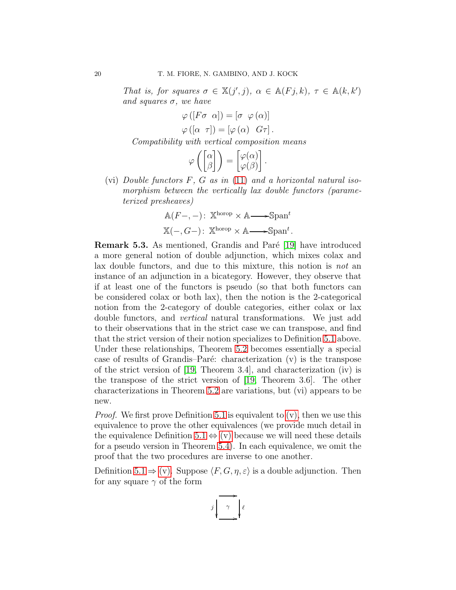That is, for squares  $\sigma \in X(j',j)$ ,  $\alpha \in A(Fj,k)$ ,  $\tau \in A(k,k')$ and squares  $\sigma$ , we have

$$
\varphi([F\sigma \ \alpha]) = [\sigma \ \varphi(\alpha)]
$$

$$
\varphi([\alpha \ \tau]) = [\varphi(\alpha) \ G\tau].
$$

Compatibility with vertical composition means

$$
\varphi\left(\begin{bmatrix} \alpha \\ \beta \end{bmatrix}\right) = \begin{bmatrix} \varphi(\alpha) \\ \varphi(\beta) \end{bmatrix}.
$$

<span id="page-19-0"></span>(vi) Double functors  $F, G$  as in [\(11\)](#page-17-1) and a horizontal natural isomorphism between the vertically lax double functors (parameterized presheaves)

$$
\mathbb{A}(F-, -): \mathbb{X}^{\text{horop}} \times \mathbb{A} \longrightarrow \mathbb{S}^{\text{pant}}
$$

$$
\mathbb{X}(-, G-) : \mathbb{X}^{\text{horop}} \times \mathbb{A} \longrightarrow \mathbb{S}^{\text{pant}}.
$$

**Remark 5.3.** As mentioned, Grandis and Paré [\[19\]](#page-55-0) have introduced a more general notion of double adjunction, which mixes colax and lax double functors, and due to this mixture, this notion is not an instance of an adjunction in a bicategory. However, they observe that if at least one of the functors is pseudo (so that both functors can be considered colax or both lax), then the notion is the 2-categorical notion from the 2-category of double categories, either colax or lax double functors, and vertical natural transformations. We just add to their observations that in the strict case we can transpose, and find that the strict version of their notion specializes to Definition [5.1](#page-16-1) above. Under these relationships, Theorem [5.2](#page-17-0) becomes essentially a special case of results of Grandis–Paré: characterization  $(v)$  is the transpose of the strict version of [\[19,](#page-55-0) Theorem 3.4], and characterization (iv) is the transpose of the strict version of [\[19,](#page-55-0) Theorem 3.6]. The other characterizations in Theorem [5.2](#page-17-0) are variations, but (vi) appears to be new.

*Proof.* We first prove Definition [5.1](#page-16-1) is equivalent to  $(v)$ , then we use this equivalence to prove the other equivalences (we provide much detail in the equivalence Definition [5.1](#page-16-1)  $\Leftrightarrow$  [\(v\)](#page-18-0) because we will need these details for a pseudo version in Theorem [5.4\)](#page-22-0). In each equivalence, we omit the proof that the two procedures are inverse to one another.

Definition  $5.1 \Rightarrow (v)$ . Suppose  $\langle F, G, \eta, \varepsilon \rangle$  is a double adjunction. Then for any square  $\gamma$  of the form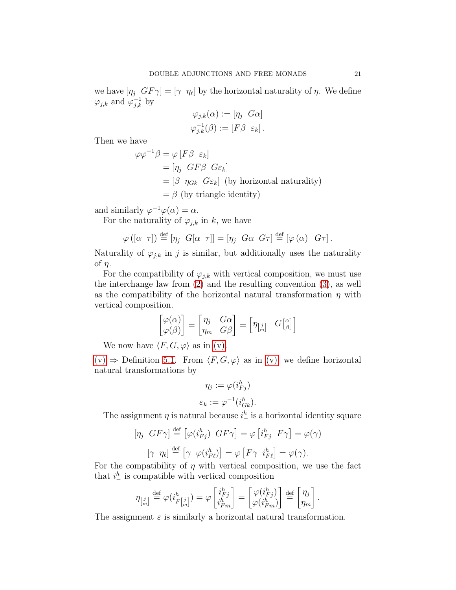we have  $[\eta_j \ GF\gamma] = [\gamma \ \eta_\ell]$  by the horizontal naturality of  $\eta$ . We define  $\varphi_{j,k}$  and  $\varphi_{j,k}^{-1}$  by

$$
\varphi_{j,k}(\alpha) := [\eta_j \ G\alpha]
$$
  

$$
\varphi_{j,k}^{-1}(\beta) := [F\beta \ \varepsilon_k].
$$

Then we have

$$
\varphi \varphi^{-1} \beta = \varphi [F \beta \varepsilon_k]
$$
  
=  $[\eta_j \ GF \beta \ G\varepsilon_k]$   
=  $[\beta \ \eta_{Gk} \ G\varepsilon_k]$  (by horizontal naturality)  
=  $\beta$  (by triangle identity)

and similarly  $\varphi^{-1}\varphi(\alpha) = \alpha$ .

For the naturality of  $\varphi_{j,k}$  in k, we have

$$
\varphi([\alpha \tau]) \stackrel{\text{def}}{=} [\eta_j \ G[\alpha \tau]] = [\eta_j \ G\alpha \ G\tau] \stackrel{\text{def}}{=} [\varphi(\alpha) \ G\tau].
$$

Naturality of  $\varphi_{j,k}$  in j is similar, but additionally uses the naturality of  $\eta$ .

For the compatibility of  $\varphi_{j,k}$  with vertical composition, we must use the interchange law from [\(2\)](#page-5-2) and the resulting convention [\(3\)](#page-6-0), as well as the compatibility of the horizontal natural transformation  $\eta$  with vertical composition.

$$
\begin{bmatrix} \varphi(\alpha) \\ \varphi(\beta) \end{bmatrix} = \begin{bmatrix} \eta_j & G\alpha \\ \eta_m & G\beta \end{bmatrix} = \begin{bmatrix} \eta_{\begin{bmatrix} j \\ m \end{bmatrix}} & G\begin{bmatrix} \alpha \\ \beta \end{bmatrix} \end{bmatrix}
$$

We now have  $\langle F, G, \varphi \rangle$  as in [\(v\).](#page-18-0)

 $(v) \Rightarrow$  $(v) \Rightarrow$  Definition [5.1.](#page-16-1) From  $\langle F, G, \varphi \rangle$  as in [\(v\),](#page-18-0) we define horizontal natural transformations by

$$
\eta_j:=\varphi(i_{Fj}^h)
$$

$$
\varepsilon_k := \varphi^{-1}(i_{Gk}^h).
$$

The assignment  $\eta$  is natural because  $i^h$  is a horizontal identity square

$$
[\eta_j \, G\overline{F}\gamma] \stackrel{\text{def}}{=} \left[ \varphi(i_{Fj}^h) \, G\overline{F}\gamma \right] = \varphi \left[ i_{Fj}^h \, F\gamma \right] = \varphi(\gamma)
$$

$$
[\gamma \, \eta_\ell] \stackrel{\text{def}}{=} \left[ \gamma \, \varphi(i_{F\ell}^h) \right] = \varphi \left[ F\gamma \, i_{F\ell}^h \right] = \varphi(\gamma).
$$

For the compatibility of  $\eta$  with vertical composition, we use the fact that  $i^h$  is compatible with vertical composition

$$
\eta_{\begin{bmatrix}j\\m\end{bmatrix}}\overset{\text{def}}{=}\varphi(i_{F\begin{bmatrix}j\\m\end{bmatrix}}^{h})=\varphi\begin{bmatrix}i_{Fj}^{h}\\i_{Fm}^{h}\end{bmatrix}=\begin{bmatrix}\varphi(i_{Fj}^{h})\\\varphi(i_{Fm}^{h})\end{bmatrix}\overset{\text{def}}{=}\begin{bmatrix}\eta_{j}\\ \eta_{m}\end{bmatrix}.
$$

The assignment  $\varepsilon$  is similarly a horizontal natural transformation.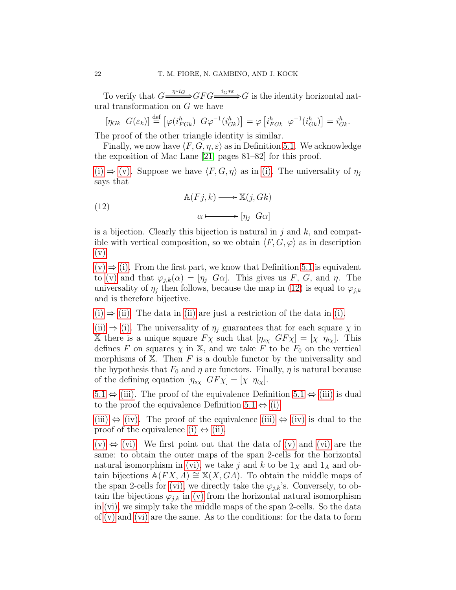To verify that  $G \stackrel{\eta * i_G}{\longrightarrow} GFG \stackrel{i_G * \varepsilon}{\longrightarrow} G$  is the identity horizontal natural transformation on  $G$  we have

 $[\eta_{Gk} \ G(\varepsilon_k)] \stackrel{\text{def}}{=} [\varphi(i_{FGk}^h) \ G\varphi^{-1}(i_{Gk}^h)] = \varphi[i_{FGk}^h \ \varphi^{-1}(i_{Gk}^h)] = i_{Gk}^h.$ 

The proof of the other triangle identity is similar.

Finally, we now have  $\langle F, G, \eta, \varepsilon \rangle$  as in Definition [5.1.](#page-16-1) We acknowledge the exposition of Mac Lane [\[21,](#page-55-8) pages 81–82] for this proof.

[\(i\)](#page-17-2)  $\Rightarrow$  [\(v\).](#page-18-0) Suppose we have  $\langle F, G, \eta \rangle$  as in [\(i\).](#page-17-2) The universality of  $\eta_j$ says that

<span id="page-21-0"></span>(12) 
$$
\mathbb{A}(Fj,k) \longrightarrow \mathbb{X}(j, Gk)
$$

$$
\alpha \longmapsto [\eta_j \ G\alpha]
$$

is a bijection. Clearly this bijection is natural in j and k, and compatible with vertical composition, so we obtain  $\langle F, G, \varphi \rangle$  as in description  $(v).$ 

 $(v) \Rightarrow (i)$  $(v) \Rightarrow (i)$ . From the first part, we know that Definition [5.1](#page-16-1) is equivalent to [\(v\)](#page-18-0) and that  $\varphi_{i,k}(\alpha) = [\eta_i \ G\alpha]$ . This gives us F, G, and  $\eta$ . The universality of  $\eta_j$  then follows, because the map in [\(12\)](#page-21-0) is equal to  $\varphi_{j,k}$ and is therefore bijective.

 $(i) \Rightarrow (ii)$  $(i) \Rightarrow (ii)$  $(i) \Rightarrow (ii)$ . The data in (ii) are just a restriction of the data in [\(i\).](#page-17-2)

[\(ii\)](#page-18-1)  $\Rightarrow$  [\(i\).](#page-17-2) The universality of  $\eta_i$  guarantees that for each square  $\chi$  in X there is a unique square  $F\chi$  such that  $[\eta_{s\chi}$   $GF\chi] = [\chi \eta_{t\chi}]$ . This defines F on squares  $\chi$  in X, and we take F to be  $F_0$  on the vertical morphisms of  $X$ . Then F is a double functor by the universality and the hypothesis that  $F_0$  and  $\eta$  are functors. Finally,  $\eta$  is natural because of the defining equation  $[\eta_{s\chi} \ GF\chi] = [\chi \ \eta_{t\chi}]$ .

 $5.1 \Leftrightarrow$  $5.1 \Leftrightarrow$  [\(iii\).](#page-18-2) The proof of the equivalence Definition  $5.1 \Leftrightarrow$  [\(iii\)](#page-18-2) is dual to the proof the equivalence Definition [5.1](#page-16-1)  $\Leftrightarrow$  [\(i\).](#page-17-2)

[\(iii\)](#page-18-2)  $\Leftrightarrow$  [\(iv\).](#page-18-3) The proof of the equivalence [\(iii\)](#page-18-2)  $\Leftrightarrow$  [\(iv\)](#page-18-3) is dual to the proof of the equivalence [\(i\)](#page-17-2)  $\Leftrightarrow$  [\(ii\).](#page-18-1)

 $(v) \Leftrightarrow$  $(v) \Leftrightarrow$  [\(vi\).](#page-19-0) We first point out that the data of [\(v\)](#page-18-0) and [\(vi\)](#page-19-0) are the same: to obtain the outer maps of the span 2-cells for the horizontal natural isomorphism in [\(vi\),](#page-19-0) we take j and k to be  $1_X$  and  $1_A$  and obtain bijections  $\mathbb{A}(FX, A) \cong \mathbb{X}(X, GA)$ . To obtain the middle maps of the span 2-cells for [\(vi\),](#page-19-0) we directly take the  $\varphi_{i,k}$ 's. Conversely, to obtain the bijections  $\varphi_{j,k}$  in [\(v\)](#page-18-0) from the horizontal natural isomorphism in [\(vi\),](#page-19-0) we simply take the middle maps of the span 2-cells. So the data of [\(v\)](#page-18-0) and [\(vi\)](#page-19-0) are the same. As to the conditions: for the data to form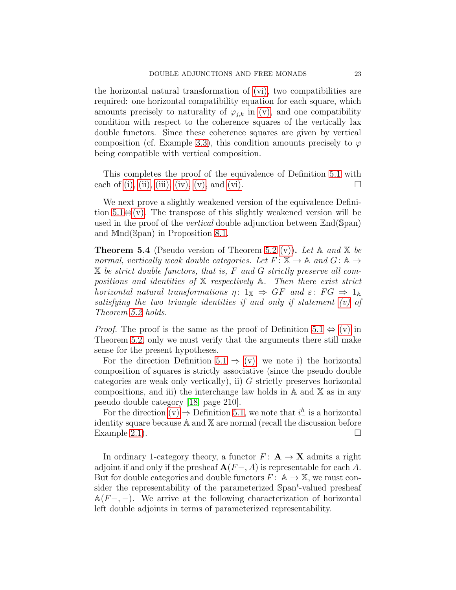the horizontal natural transformation of [\(vi\),](#page-19-0) two compatibilities are required: one horizontal compatibility equation for each square, which amounts precisely to naturality of  $\varphi_{j,k}$  in [\(v\),](#page-18-0) and one compatibility condition with respect to the coherence squares of the vertically lax double functors. Since these coherence squares are given by vertical composition (cf. Example [3.3\)](#page-10-0), this condition amounts precisely to  $\varphi$ being compatible with vertical composition.

This completes the proof of the equivalence of Definition [5.1](#page-16-1) with each of [\(i\),](#page-17-2) [\(ii\),](#page-18-1) [\(iii\),](#page-18-2) [\(iv\),](#page-18-3) [\(v\),](#page-18-0) and [\(vi\).](#page-19-0)

We next prove a slightly weakened version of the equivalence Definition  $5.1\Leftrightarrow$  [\(v\).](#page-18-0) The transpose of this slightly weakened version will be used in the proof of the vertical double adjunction between End(Span) and Mnd(Span) in Proposition [8.1.](#page-41-1)

<span id="page-22-0"></span>**Theorem 5.4** (Pseudo version of Theorem [5.2](#page-17-0) [\(v\)\)](#page-18-0). Let A and X be normal, vertically weak double categories. Let  $F: \mathbb{X} \to \mathbb{A}$  and  $G: \mathbb{A} \to$ X be strict double functors, that is, F and G strictly preserve all compositions and identities of  $X$  respectively  $A$ . Then there exist strict horizontal natural transformations  $\eta: 1_{\mathbb{X}} \Rightarrow GF$  and  $\varepsilon: FG \Rightarrow 1_{\mathbb{A}}$ satisfying the two triangle identities if and only if statement [\(v\)](#page-18-0) of Theorem [5.2](#page-17-0) holds.

*Proof.* The proof is the same as the proof of Definition [5.1](#page-16-1)  $\Leftrightarrow$  [\(v\)](#page-18-0) in Theorem [5.2,](#page-17-0) only we must verify that the arguments there still make sense for the present hypotheses.

For the direction Definition [5.1](#page-16-1)  $\Rightarrow$  [\(v\),](#page-18-0) we note i) the horizontal composition of squares is strictly associative (since the pseudo double categories are weak only vertically), ii)  $G$  strictly preserves horizontal compositions, and iii) the interchange law holds in  $A$  and  $X$  as in any pseudo double category [\[18,](#page-55-5) page 210].

For the direction  $(v) \Rightarrow$  Definition [5.1,](#page-16-1) we note that  $i_{-}^{h}$  is a horizontal identity square because A and X are normal (recall the discussion before Example [2.1\)](#page-8-0).  $\Box$ 

In ordinary 1-category theory, a functor  $F: A \rightarrow X$  admits a right adjoint if and only if the presheaf  $\mathbf{A}(F-, A)$  is representable for each A. But for double categories and double functors  $F: A \to X$ , we must consider the representability of the parameterized  $\text{Span}^t$ -valued presheaf  $A(F-,-)$ . We arrive at the following characterization of horizontal left double adjoints in terms of parameterized representability.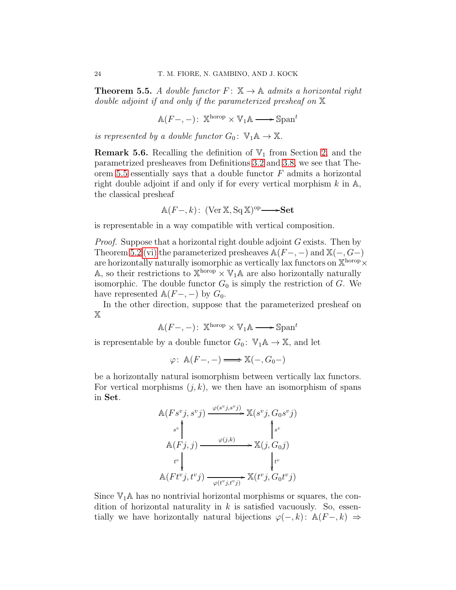<span id="page-23-0"></span>**Theorem 5.5.** A double functor  $F: \mathbb{X} \to \mathbb{A}$  admits a horizontal right double adjoint if and only if the parameterized presheaf on X

$$
\mathbb{A}(F-,-): \mathbb{X}^{\text{horop}} \times \mathbb{V}_1 \mathbb{A} \longrightarrow \mathbb{S}^{\text{pan}^t}
$$

is represented by a double functor  $G_0: V_1 \mathbb{A} \to \mathbb{X}$ .

**Remark 5.6.** Recalling the definition of  $\mathbb{V}_1$  from Section [2,](#page-5-0) and the parametrized presheaves from Definitions [3.2](#page-9-1) and [3.8,](#page-13-1) we see that The-orem [5.5](#page-23-0) essentially says that a double functor  $F$  admits a horizontal right double adjoint if and only if for every vertical morphism  $k$  in  $A$ , the classical presheaf

$$
\mathbb{A}(F-,k): (\text{Ver } \mathbb{X}, \text{Sq } \mathbb{X})^{\text{op}} \longrightarrow \mathbf{Set}
$$

is representable in a way compatible with vertical composition.

Proof. Suppose that a horizontal right double adjoint G exists. Then by Theorem [5.2](#page-17-0) [\(vi\)](#page-19-0) the parameterized presheaves  $\mathbb{A}(F-,-)$  and  $\mathbb{X}(-, G-)$ are horizontally naturally isomorphic as vertically lax functors on  $\mathbb{X}^{\text{horop}}\times$ A, so their restrictions to  $\mathbb{X}^{\text{horop}} \times \mathbb{V}_1$  A are also horizontally naturally isomorphic. The double functor  $G_0$  is simply the restriction of G. We have represented  $\mathbb{A}(F-,-)$  by  $G_0$ .

In the other direction, suppose that the parameterized presheaf on X

$$
\mathbb{A}(F-,-)\colon\thinspace \mathbb{X}^{\text{horop}}\times \mathbb{V}_1\mathbb{A} \longrightarrow \mathbb{S}\text{pan}^t
$$

is representable by a double functor  $G_0: V_1 \mathbb{A} \to \mathbb{X}$ , and let

$$
\varphi\colon \mathbb{A}(F-,-) \Longrightarrow \mathbb{X}(-,G_0-)
$$

be a horizontally natural isomorphism between vertically lax functors. For vertical morphisms  $(j, k)$ , we then have an isomorphism of spans in Set.

$$
\mathbb{A}(Fs^v j, s^v j) \xrightarrow{\varphi(s^v j, s^v j)} \mathbb{X}(s^v j, G_0 s^v j)
$$
\n
$$
\mathbb{A}(Fj, j) \xrightarrow{\varphi(j,k)} \mathbb{X}(j, G_0 j)
$$
\n
$$
\begin{aligned}\nt^v \downarrow &\downarrow \\
\mathbb{A}(Ft^v j, t^v j) \xrightarrow{\varphi(t^v j, t^v j)} \mathbb{X}(t^v j, G_0 t^v j)\n\end{aligned}
$$

Since  $\mathbb{V}_1$ A has no nontrivial horizontal morphisms or squares, the condition of horizontal naturality in  $k$  is satisfied vacuously. So, essentially we have horizontally natural bijections  $\varphi(-, k)$ : A $(F-, k) \Rightarrow$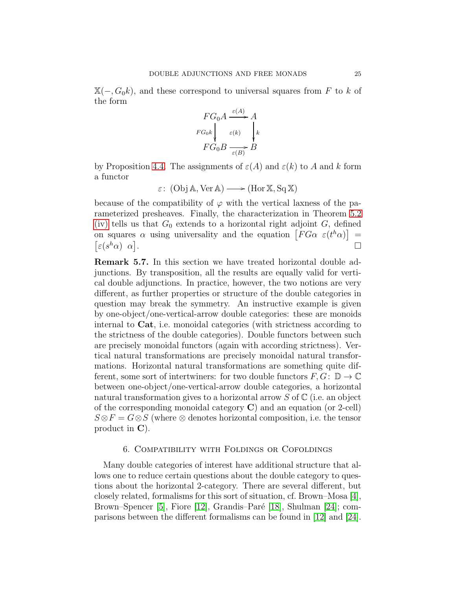$X(-, G_0k)$ , and these correspond to universal squares from F to k of the form

$$
FG_0 A \xrightarrow{\varepsilon(A)} A
$$
  
\n
$$
FG_0 k \downarrow \varepsilon(k) \downarrow k
$$
  
\n
$$
FG_0 B \xrightarrow{\varepsilon(B)} B
$$

by Proposition [4.4.](#page-16-2) The assignments of  $\varepsilon(A)$  and  $\varepsilon(k)$  to A and k form a functor

$$
\varepsilon\colon(\text{Obj}\,\mathbb{A},\text{Ver}\,\mathbb{A})\longrightarrow(\text{Hor}\,\mathbb{X},\text{Sq}\,\mathbb{X})
$$

because of the compatibility of  $\varphi$  with the vertical laxness of the parameterized presheaves. Finally, the characterization in Theorem [5.2](#page-17-0) [\(iv\)](#page-18-3) tells us that  $G_0$  extends to a horizontal right adjoint  $G$ , defined on squares  $\alpha$  using universality and the equation  $\left[FG\alpha \varepsilon(t^h\alpha)\right] =$  $\left[\varepsilon(s^h\alpha)\;\; \alpha\right]$ .

Remark 5.7. In this section we have treated horizontal double adjunctions. By transposition, all the results are equally valid for vertical double adjunctions. In practice, however, the two notions are very different, as further properties or structure of the double categories in question may break the symmetry. An instructive example is given by one-object/one-vertical-arrow double categories: these are monoids internal to Cat, i.e. monoidal categories (with strictness according to the strictness of the double categories). Double functors between such are precisely monoidal functors (again with according strictness). Vertical natural transformations are precisely monoidal natural transformations. Horizontal natural transformations are something quite different, some sort of intertwiners: for two double functors  $F, G: \mathbb{D} \to \mathbb{C}$ between one-object/one-vertical-arrow double categories, a horizontal natural transformation gives to a horizontal arrow  $S$  of  $\mathbb C$  (i.e. an object of the corresponding monoidal category  $\bf{C}$ ) and an equation (or 2-cell)  $S \otimes F = G \otimes S$  (where  $\otimes$  denotes horizontal composition, i.e. the tensor product in C).

#### 6. Compatibility with Foldings or Cofoldings

<span id="page-24-0"></span>Many double categories of interest have additional structure that allows one to reduce certain questions about the double category to questions about the horizontal 2-category. There are several different, but closely related, formalisms for this sort of situation, cf. Brown–Mosa [\[4\]](#page-54-9), Brown–Spencer [\[5\]](#page-54-13), Fiore [\[12\]](#page-54-11), Grandis–Paré [\[18\]](#page-55-5), Shulman [\[24\]](#page-55-2); comparisons between the different formalisms can be found in [\[12\]](#page-54-11) and [\[24\]](#page-55-2).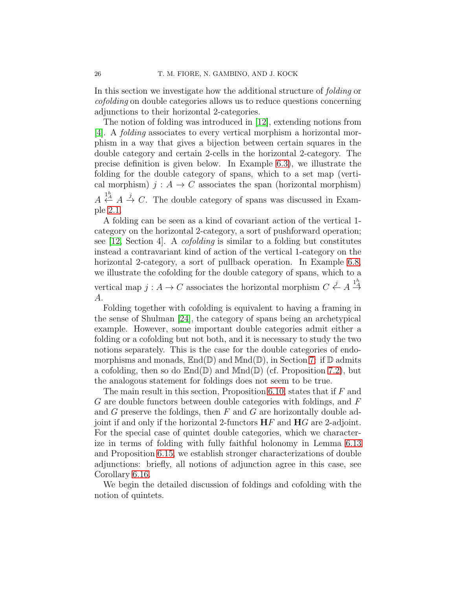In this section we investigate how the additional structure of folding or cofolding on double categories allows us to reduce questions concerning adjunctions to their horizontal 2-categories.

The notion of folding was introduced in [\[12\]](#page-54-11), extending notions from [\[4\]](#page-54-9). A folding associates to every vertical morphism a horizontal morphism in a way that gives a bijection between certain squares in the double category and certain 2-cells in the horizontal 2-category. The precise definition is given below. In Example [6.3\)](#page-28-0), we illustrate the folding for the double category of spans, which to a set map (vertical morphism)  $j : A \rightarrow C$  associates the span (horizontal morphism)  $A \stackrel{1^h}{\leftarrow} A \stackrel{j}{\rightarrow} C$ . The double category of spans was discussed in Exam-

ple [2.1.](#page-8-0)

A folding can be seen as a kind of covariant action of the vertical 1 category on the horizontal 2-category, a sort of pushforward operation; see [\[12,](#page-54-11) Section 4]. A cofolding is similar to a folding but constitutes instead a contravariant kind of action of the vertical 1-category on the horizontal 2-category, a sort of pullback operation. In Example [6.8,](#page-32-0) we illustrate the cofolding for the double category of spans, which to a vertical map  $j: A \to C$  associates the horizontal morphism  $C \stackrel{j}{\leftarrow} A \stackrel{1^h}{\rightarrow} A$ A.

Folding together with cofolding is equivalent to having a framing in the sense of Shulman [\[24\]](#page-55-2), the category of spans being an archetypical example. However, some important double categories admit either a folding or a cofolding but not both, and it is necessary to study the two notions separately. This is the case for the double categories of endomorphisms and monads,  $\mathbb{E}nd(\mathbb{D})$  and  $\mathbb{M}nd(\mathbb{D})$ , in Section [7:](#page-37-0) if  $\mathbb D$  admits a cofolding, then so do  $\mathbb{E}nd(\mathbb{D})$  and  $\mathbb{M}nd(\mathbb{D})$  (cf. Proposition [7.2\)](#page-40-0), but the analogous statement for foldings does not seem to be true.

The main result in this section, Proposition [6.10,](#page-33-0) states that if F and G are double functors between double categories with foldings, and F and G preserve the foldings, then  $F$  and  $G$  are horizontally double adjoint if and only if the horizontal 2-functors  $\mathbf{H} F$  and  $\mathbf{H} G$  are 2-adjoint. For the special case of quintet double categories, which we characterize in terms of folding with fully faithful holonomy in Lemma [6.13](#page-34-0) and Proposition [6.15,](#page-35-0) we establish stronger characterizations of double adjunctions: briefly, all notions of adjunction agree in this case, see Corollary [6.16.](#page-36-0)

We begin the detailed discussion of foldings and cofolding with the notion of quintets.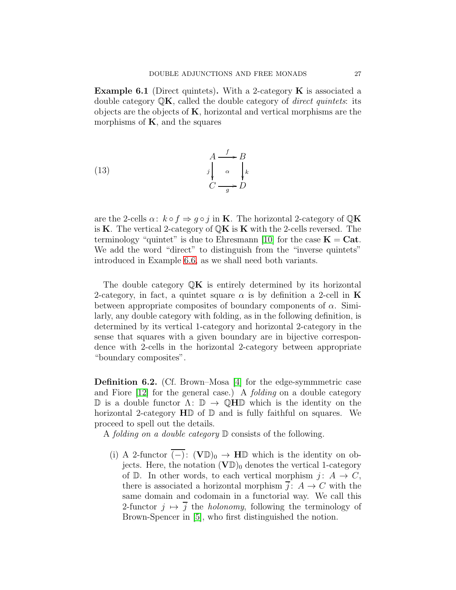<span id="page-26-1"></span>**Example 6.1** (Direct quintets). With a 2-category  $\bf{K}$  is associated a double category  $\mathbb{Q}\mathbf{K}$ , called the double category of *direct quintets*: its objects are the objects of  $K$ , horizontal and vertical morphisms are the morphisms of  $K$ , and the squares

<span id="page-26-2"></span>(13) 
$$
\begin{array}{ccc}\nA & \xrightarrow{f} & B \\
\downarrow^{A} & \downarrow^{B} & \\
C & \xrightarrow{g} & D\n\end{array}
$$

are the 2-cells  $\alpha: k \circ f \Rightarrow g \circ j$  in **K**. The horizontal 2-category of  $\mathbb{Q}K$ is K. The vertical 2-category of  $\mathbb{Q}K$  is K with the 2-cells reversed. The terminology "quintet" is due to Ehresmann [\[10\]](#page-54-7) for the case  $K = Cat$ . We add the word "direct" to distinguish from the "inverse quintets" introduced in Example [6.6,](#page-29-0) as we shall need both variants.

The double category  $\mathbb{Q}K$  is entirely determined by its horizontal 2-category, in fact, a quintet square  $\alpha$  is by definition a 2-cell in K between appropriate composites of boundary components of  $\alpha$ . Similarly, any double category with folding, as in the following definition, is determined by its vertical 1-category and horizontal 2-category in the sense that squares with a given boundary are in bijective correspondence with 2-cells in the horizontal 2-category between appropriate "boundary composites".

<span id="page-26-0"></span>Definition 6.2. (Cf. Brown–Mosa [\[4\]](#page-54-9) for the edge-symmmetric case and Fiore [\[12\]](#page-54-11) for the general case.) A folding on a double category D is a double functor  $\Lambda: \mathbb{D} \to \mathbb{Q}$ HD which is the identity on the horizontal 2-category  $H\mathbb{D}$  of  $\mathbb{D}$  and is fully faithful on squares. We proceed to spell out the details.

A folding on a double category  $\mathbb D$  consists of the following.

(i) A 2-functor  $(-): (\mathbf{V}\mathbb{D})_0 \to \mathbf{H}\mathbb{D}$  which is the identity on objects. Here, the notation  $(V\mathbb{D})_0$  denotes the vertical 1-category of D. In other words, to each vertical morphism  $j: A \rightarrow C$ , there is associated a horizontal morphism  $\overline{j}$ :  $A \rightarrow C$  with the same domain and codomain in a functorial way. We call this 2-functor  $j \mapsto \overline{j}$  the *holonomy*, following the terminology of Brown-Spencer in [\[5\]](#page-54-13), who first distinguished the notion.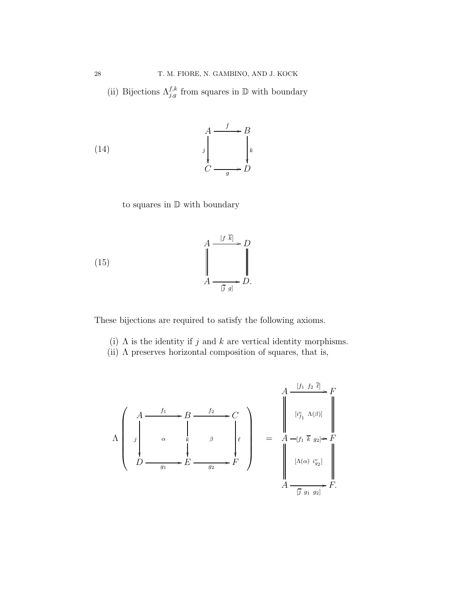(ii) Bijections  $\Lambda_{j,g}^{f,k}$  from squares in  $\mathbb D$  with boundary

(14) 
$$
\begin{array}{ccc}\n & A & \xrightarrow{f} & B \\
 & \downarrow & & \downarrow \\
 & \downarrow & & \downarrow \\
 & C & \xrightarrow{g} & D\n\end{array}
$$

to squares in  $\mathbb D$  with boundary

(15) 
$$
\begin{array}{ccc}\nA & \xrightarrow{[f \ k]} & D \\
\downarrow & & \downarrow \\
A & \xrightarrow[\overline{g} g] & D.\n\end{array}
$$

These bijections are required to satisfy the following axioms.

- <span id="page-27-0"></span>(i)  $\Lambda$  is the identity if j and k are vertical identity morphisms.
- (ii) Λ preserves horizontal composition of squares, that is,

<span id="page-27-1"></span>
$$
\Lambda \begin{pmatrix} A & f_1 & \cdots & B & \cdots & C \\ \vdots & \vdots & \ddots & \vdots & \vdots & \vdots \\ \vdots & \ddots & \vdots & \ddots & \vdots \\ D & \cdots & \vdots & \ddots & \vdots \\ \vdots & \vdots & \ddots & \vdots & \vdots \\ D & \cdots & \vdots & \ddots & \vdots \\ \end{pmatrix} \begin{pmatrix} f_1 & f_2 & \overline{\ell} \\ \vdots & \ddots & \vdots \\ \vdots & \ddots & \vdots \\ \vdots & \ddots & \vdots \\ \vdots & \ddots & \vdots \\ \vdots & \ddots & \vdots \\ \vdots & \ddots & \vdots \\ D & \cdots & \vdots \\ \end{pmatrix} = A - [f_1 \ \overline{k} \ g_2] \rightarrow F
$$
\n
$$
\begin{pmatrix} A & f_1 & \cdots & \vdots \\ \vdots & \ddots & \vdots \\ \vdots & \ddots & \vdots \\ \vdots & \ddots & \vdots \\ \vdots & \ddots & \vdots \\ \vdots & \ddots & \vdots \\ \vdots & \ddots & \vdots \\ \vdots & \ddots & \vdots \\ \end{pmatrix} \begin{pmatrix} f_1 & f_2 & \overline{\ell} \\ \vdots & \ddots & \vdots \\ \vdots & \ddots & \vdots \\ \vdots & \ddots & \vdots \\ \vdots & \ddots & \vdots \\ \vdots & \ddots & \vdots \\ \vdots & \ddots & \vdots \\ \vdots & \ddots & \vdots \\ \vdots & \ddots & \vdots \\ \end{pmatrix} \rightarrow F.
$$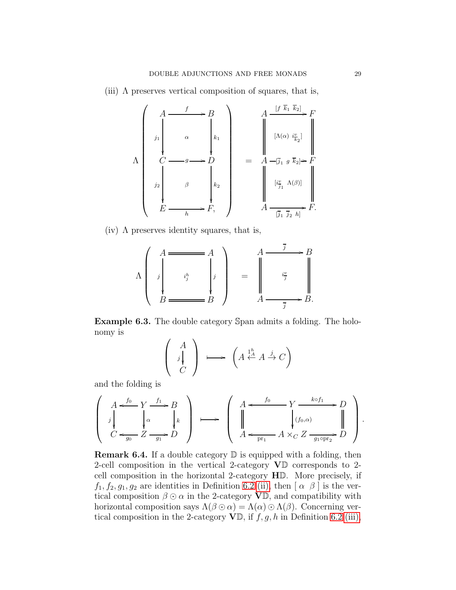(iii)  $\Lambda$  preserves vertical composition of squares, that is,

Λ A j1 f / α B k1 C <sup>g</sup> / j<sup>2</sup> β D k2 E h /F, = A [f k<sup>1</sup> k2] / [Λ(α) i v k2 ] F A [j<sup>1</sup> g k2] / [i v j1 Λ(β)] F A [j<sup>1</sup> j<sup>2</sup> h] /F.

(iv)  $\Lambda$  preserves identity squares, that is,

$$
\Lambda \left( \begin{array}{c} A \longrightarrow A \\ \vdots \\ A \longrightarrow B \longrightarrow B \end{array} \right) = \begin{array}{c} A \longrightarrow B \\ \vdots \\ A \longrightarrow B \end{array} \right)
$$

<span id="page-28-0"></span>Example 6.3. The double category Span admits a folding. The holonomy is  $\lambda$   $\lambda$ 

$$
\left(\begin{array}{c}A\\j\downarrow\\C\end{array}\right)\longrightarrow\left(A\stackrel{1^h}{\leftarrow}A\stackrel{j}{\rightarrow}C\right)
$$

and the folding is

$$
\left(\begin{array}{c} A\xrightarrow{f_0} Y\xrightarrow{f_1} B \\ \downarrow \phi \\ C\xleftarrow{g_0} Z\xrightarrow{g_1} D\end{array}\right) \longrightarrow \left(\begin{array}{c} A\xleftarrow{f_0} Y\xrightarrow{k\circ f_1} D \\ \downarrow \phi \\ A\xleftarrow{f_0, \alpha} A\times_C Z\xrightarrow{g_1\circ\text{pr}_2} D\end{array}\right).
$$

<span id="page-28-1"></span>**Remark 6.4.** If a double category  $\mathbb{D}$  is equipped with a folding, then 2-cell composition in the vertical 2-category VD corresponds to 2 cell composition in the horizontal 2-category HD. More precisely, if  $f_1, f_2, g_1, g_2$  are identities in Definition [6.2](#page-26-0) [\(ii\),](#page-27-0) then  $\alpha \beta$  is the vertical composition  $\beta \odot \alpha$  in the 2-category  $\mathbf{V}\mathbb{D}$ , and compatibility with horizontal composition says  $\Lambda(\beta \odot \alpha) = \Lambda(\alpha) \odot \Lambda(\beta)$ . Concerning vertical composition in the 2-category  $\mathbf{V}\mathbb{D}$ , if  $f, g, h$  in Definition [6.2](#page-26-0) [\(iii\),](#page-27-1)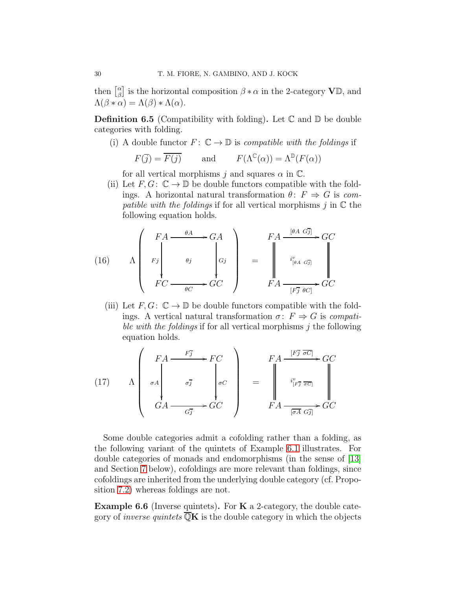then  $\begin{bmatrix} \alpha \\ \beta \end{bmatrix}$  $\beta_{\beta}^{\alpha}$  is the horizontal composition  $\beta * \alpha$  in the 2-category  $\mathbf{V}\mathbb{D}$ , and  $\Lambda(\beta * \alpha) = \Lambda(\beta) * \Lambda(\alpha).$ 

<span id="page-29-1"></span>**Definition 6.5** (Compatibility with folding). Let  $\mathbb{C}$  and  $\mathbb{D}$  be double categories with folding.

(i) A double functor  $F: \mathbb{C} \to \mathbb{D}$  is *compatible with the foldings* if

$$
F(\overline{j}) = \overline{F(j)}
$$
 and  $F(\Lambda^{\mathbb{C}}(\alpha)) = \Lambda^{\mathbb{D}}(F(\alpha))$ 

for all vertical morphisms j and squares  $\alpha$  in  $\mathbb{C}$ .

(ii) Let  $F, G: \mathbb{C} \to \mathbb{D}$  be double functors compatible with the foldings. A horizontal natural transformation  $\theta: F \Rightarrow G$  is compatible with the foldings if for all vertical morphisms  $j$  in  $\mathbb C$  the following equation holds.

<span id="page-29-2"></span>(16) 
$$
\Lambda \begin{pmatrix} F A \xrightarrow{\theta A} & G A \\ F_j \ Y_C \xrightarrow{\theta C} & G C \end{pmatrix} = \begin{pmatrix} F A \xrightarrow{[\theta A \ G \bar{j}]} G \\ G^i \end{pmatrix} \begin{pmatrix} F A \xrightarrow{[\theta A \ G \bar{j}]} G \\ G^i \end{pmatrix}
$$

(iii) Let  $F, G: \mathbb{C} \to \mathbb{D}$  be double functors compatible with the foldings. A vertical natural transformation  $\sigma: F \Rightarrow G$  is *compati*ble with the foldings if for all vertical morphisms  $j$  the following equation holds.

<span id="page-29-3"></span>(17) 
$$
\Lambda \begin{pmatrix} FA & \xrightarrow{F_1} & F_1C \\ \sigma A & \sigma \overline{J} & \sigma \overline{J} \\ GA & \xrightarrow{G_1} & G_2C \end{pmatrix} = \begin{pmatrix} FA & \xrightarrow{[F_1^T \ \overline{\sigma}C]} & G_1C \\ \xrightarrow{i^v_{[F_1^T \ \overline{\sigma}C]}} & \xrightarrow{G_1} & G_2C \\ \xrightarrow{F_1^T \ \overline{\sigma}A & G_1^T & G_2^T \end{pmatrix} \times G_1C
$$

Some double categories admit a cofolding rather than a folding, as the following variant of the quintets of Example [6.1](#page-26-1) illustrates. For double categories of monads and endomorphisms (in the sense of [\[13\]](#page-54-0) and Section [7](#page-37-0) below), cofoldings are more relevant than foldings, since cofoldings are inherited from the underlying double category (cf. Proposition [7.2\)](#page-40-0) whereas foldings are not.

<span id="page-29-0"></span>**Example 6.6** (Inverse quintets). For  $K$  a 2-category, the double category of *inverse quintets*  $\overline{\mathbb{Q}}\mathbf{K}$  is the double category in which the objects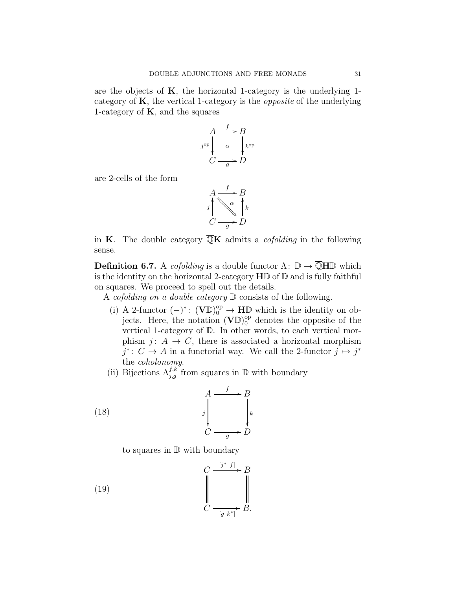are the objects of  $K$ , the horizontal 1-category is the underlying 1category of  $K$ , the vertical 1-category is the *opposite* of the underlying 1-category of  $K$ , and the squares

$$
A \xrightarrow{f} B
$$
  

$$
j^{\rm op} \downarrow \alpha \qquad \downarrow^{k^{\rm op}}C \xrightarrow{g} D
$$

are 2-cells of the form

$$
A \xrightarrow{f} B
$$
  

$$
j \longrightarrow \infty
$$
  

$$
C \xrightarrow{g} D
$$

in K. The double category  $\overline{\mathbb{Q}}$ K admits a *cofolding* in the following sense.

<span id="page-30-0"></span>**Definition 6.7.** A *cofolding* is a double functor  $\Lambda: \mathbb{D} \to \overline{\mathbb{Q}}$ H $\mathbb{D}$  which is the identity on the horizontal 2-category  $H\mathbb{D}$  of  $\mathbb{D}$  and is fully faithful on squares. We proceed to spell out the details.

A *cofolding on a double category*  $\mathbb D$  consists of the following.

- (i) A 2-functor  $(-)^*$ :  $(\mathbf{V}\mathbb{D})_0^{\text{op}} \to \mathbf{H}\mathbb{D}$  which is the identity on objects. Here, the notation  $(\mathbf{V}\mathbb{D})_0^{\text{op}}$  denotes the opposite of the vertical 1-category of D. In other words, to each vertical morphism j:  $A \rightarrow C$ , there is associated a horizontal morphism  $j^*$ :  $C \to A$  in a functorial way. We call the 2-functor  $j \mapsto j^*$ the coholonomy.
- (ii) Bijections  $\Lambda_{j,g}^{f,k}$  from squares in  $\mathbb D$  with boundary

(18) 
$$
\begin{array}{ccc}\n & A & \xrightarrow{f} & B \\
 & \downarrow^{f} & & \downarrow^{k} \\
 & \downarrow^{k} & & \downarrow^{k} \\
 & C & \xrightarrow{g} & D\n\end{array}
$$

to squares in D with boundary

(19) 
$$
\begin{array}{ccc}\nC & \xrightarrow{\left[j^* \ f\right]} & B \\
\downarrow & & \downarrow \\
C & \xrightarrow{\left[g \ k^*\right]} & B.\n\end{array}
$$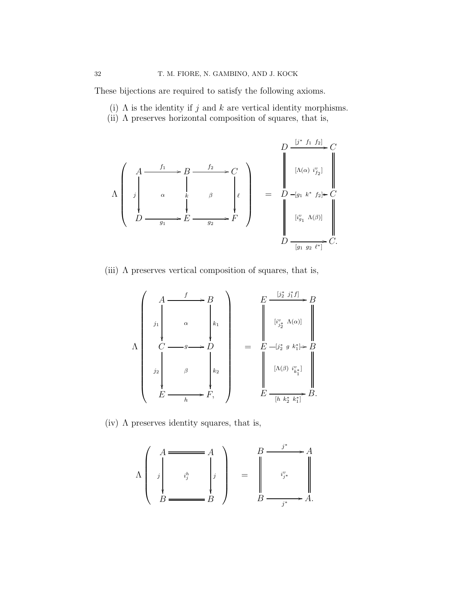These bijections are required to satisfy the following axioms.

- <span id="page-31-0"></span>(i)  $\Lambda$  is the identity if j and k are vertical identity morphisms.
- (ii) Λ preserves horizontal composition of squares, that is,

$$
\Lambda \begin{pmatrix} A & f_1 & \cdots & B & \xrightarrow{f_2} & C \\ \vdots & \ddots & \vdots & \ddots & \vdots \\ \vdots & \ddots & \ddots & \vdots \\ D & \cdots & \cdots & E & \xrightarrow{g_2} & F \end{pmatrix} \begin{pmatrix} D & \frac{[j^* \ f_1 \ f_2]}{r} & C \\ \vdots & \ddots & \vdots \\ \vdots & \ddots & \vdots \\ D & \frac{[j^* \ f_1 \ f_2]}{r} & C \end{pmatrix} = D - [g_1 \ k^* \ f_2] \ast C
$$
\n
$$
D \xrightarrow{[g_1 \ g_2 \ \ell^*]} C.
$$

(iii)  $\Lambda$  preserves vertical composition of squares, that is,

$$
\Lambda \begin{pmatrix} A & f & \cdots & B \\ \vdots & \ddots & \vdots & \vdots \\ \vdots & \ddots & \vdots & \vdots \\ \vdots & \ddots & \vdots & \vdots \\ \vdots & \ddots & \vdots & \vdots \\ \vdots & \ddots & \vdots & \vdots \\ \vdots & \ddots & \vdots & \vdots \\ \vdots & \ddots & \vdots & \vdots \\ \vdots & \ddots & \vdots & \vdots \\ \vdots & \ddots & \vdots & \vdots \\ \vdots & \ddots & \vdots & \vdots \\ \vdots & \ddots & \vdots & \vdots \\ \vdots & \ddots & \vdots & \vdots \\ \vdots & \ddots & \vdots & \vdots \\ \vdots & \ddots & \vdots & \vdots \\ \vdots & \ddots & \vdots & \vdots \\ \vdots & \ddots & \vdots & \vdots \\ \vdots & \ddots & \vdots & \vdots \\ \vdots & \ddots & \vdots & \vdots \\ \vdots & \ddots & \vdots & \vdots \\ \vdots & \ddots & \vdots & \vdots \\ \vdots & \ddots & \vdots & \vdots \\ \vdots & \ddots & \vdots & \vdots \\ \vdots & \ddots & \vdots & \vdots \\ \vdots & \ddots & \vdots & \vdots \\ \vdots & \ddots & \vdots & \vdots \\ \vdots & \ddots & \vdots & \vdots \\ \vdots & \ddots & \vdots & \vdots \\ \vdots & \ddots & \vdots & \vdots \\ \vdots & \ddots & \vdots & \vdots \\ \vdots & \ddots & \vdots & \vdots \\ \vdots & \ddots & \vdots & \vdots \\ \vdots & \ddots & \vdots & \vdots \\ \vdots & \ddots & \vdots & \vdots \\ \vdots & \ddots &
$$

(iv)  $\Lambda$  preserves identity squares, that is,

$$
\Lambda \left( \begin{array}{c} A \longrightarrow A \\ \vdots \\ \vdots \\ B \longrightarrow B \end{array} \right) = \begin{array}{c} B \longrightarrow^* A \\ \vdots \\ \vdots \\ B \longrightarrow^* A. \end{array} \right)
$$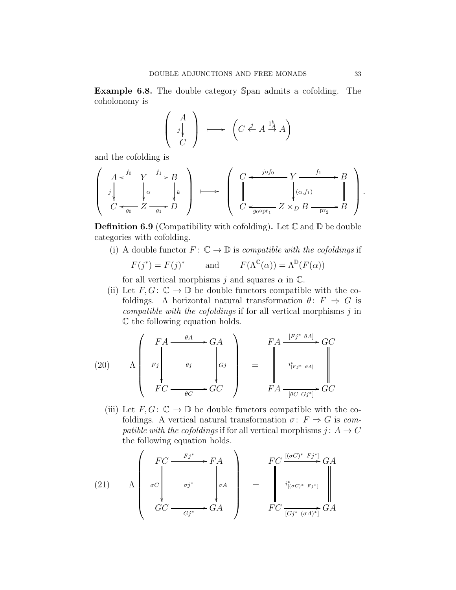<span id="page-32-0"></span>Example 6.8. The double category Span admits a cofolding. The coholonomy is

$$
\left(\begin{array}{c}A\\j\\C\end{array}\right)\longrightarrow \left(C\stackrel{j}{\leftarrow}A\stackrel{1_A^h}{\rightarrow}A\right)
$$

and the cofolding is

$$
\left(\begin{array}{c}A\xleftarrow{f_0} Y\xrightarrow{f_1} B\\j\downarrow \alpha\\C\xleftarrow{g_0} Z\xrightarrow{g_1} D\end{array}\right)\longrightarrow\left(\begin{array}{c}C\xleftarrow{j\circ f_0} Y\xrightarrow{f_1} B\\j\downarrow \alpha\\C\xleftarrow{g_0\circ\text{pr}_1} Z\times_D B\xrightarrow{\text{pr}_2} B\end{array}\right).
$$

**Definition 6.9** (Compatibility with cofolding). Let  $\mathbb{C}$  and  $\mathbb{D}$  be double categories with cofolding.

(i) A double functor  $F: \mathbb{C} \to \mathbb{D}$  is *compatible with the cofoldings* if

$$
F(j^*) = F(j)^*
$$
 and  $F(\Lambda^{\mathbb{C}}(\alpha)) = \Lambda^{\mathbb{D}}(F(\alpha))$ 

for all vertical morphisms j and squares  $\alpha$  in  $\mathbb{C}$ .

(ii) Let  $F, G: \mathbb{C} \to \mathbb{D}$  be double functors compatible with the cofoldings. A horizontal natural transformation  $\theta: F \Rightarrow G$  is compatible with the cofoldings if for all vertical morphisms  $j$  in C the following equation holds.

<span id="page-32-1"></span>(20) 
$$
\Lambda \begin{pmatrix} F A \xrightarrow{\theta A} & G A \\ F j \xrightarrow{\theta j} & g j \end{pmatrix} = \begin{pmatrix} F A \xrightarrow{[Fj^* \theta A]} G C \\ i_{[Fj^* \theta A]}^v \xrightarrow{\theta} G C \end{pmatrix}
$$

$$
F A \xrightarrow{[{\theta C \ Gj^*]} } GC
$$

(iii) Let  $F, G: \mathbb{C} \to \mathbb{D}$  be double functors compatible with the cofoldings. A vertical natural transformation  $\sigma: F \Rightarrow G$  is compatible with the cofoldings if for all vertical morphisms  $j: A \rightarrow C$ the following equation holds.

(21) 
$$
\Lambda \begin{pmatrix} FC & \xrightarrow{Fj^*} F A \\ \sigma C & \sigma j^* \\ GC & \xrightarrow{Gj^*} G A \end{pmatrix} = \begin{pmatrix} \text{[}(\sigma C)^* \text{ } Fj^* \text{]} \\ \text{ } i^v_{[(\sigma C)^* \text{ } Fj^*]} \\ \text{ } i^v_{[(\sigma C)^* \text{ } Fj^*]} \end{pmatrix} dA
$$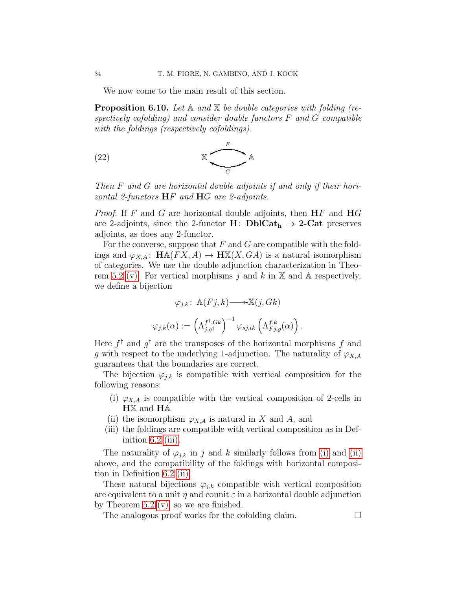We now come to the main result of this section.

<span id="page-33-0"></span>**Proposition 6.10.** Let  $\mathbb{A}$  and  $\mathbb{X}$  be double categories with folding (respectively cofolding) and consider double functors  $F$  and  $G$  compatible with the foldings (respectively cofoldings).

$$
\begin{array}{cc}\n\text{(22)} & \text{X} & A \\
\hline\n\end{array}
$$

Then F and G are horizontal double adjoints if and only if their horizontal 2-functors HF and HG are 2-adjoints.

*Proof.* If F and G are horizontal double adjoints, then  $\mathbf{H}$ F and  $\mathbf{H}$ G are 2-adjoints, since the 2-functor  $H: \text{DblCat}_{h} \rightarrow 2\text{-Cat}$  preserves adjoints, as does any 2-functor.

For the converse, suppose that  $F$  and  $G$  are compatible with the foldings and  $\varphi_{X,A}$ :  $\mathbf{H} \mathbb{A}(FX,A) \to \mathbf{H} \mathbb{X}(X,GA)$  is a natural isomorphism of categories. We use the double adjunction characterization in Theo-rem [5.2](#page-17-0) [\(v\).](#page-18-0) For vertical morphisms j and k in  $X$  and A respectively, we define a bijection

$$
\varphi_{j,k} \colon \mathbb{A}(Fj,k) \longrightarrow \mathbb{X}(j, Gk)
$$

$$
\varphi_{j,k}(\alpha) := \left(\Lambda_{j,g^{\dagger}}^{f^{\dagger}, Gk}\right)^{-1} \varphi_{sj, tk}\left(\Lambda_{Fj,g}^{f,k}(\alpha)\right).
$$

Here  $f^{\dagger}$  and  $g^{\dagger}$  are the transposes of the horizontal morphisms f and g with respect to the underlying 1-adjunction. The naturality of  $\varphi_{X,A}$ guarantees that the boundaries are correct.

<span id="page-33-1"></span>The bijection  $\varphi_{j,k}$  is compatible with vertical composition for the following reasons:

- <span id="page-33-2"></span>(i)  $\varphi_{X,A}$  is compatible with the vertical composition of 2-cells in HX and HA
- (ii) the isomorphism  $\varphi_{X,A}$  is natural in X and A, and
- (iii) the foldings are compatible with vertical composition as in Definition  $6.2$  [\(iii\).](#page-27-1)

The naturality of  $\varphi_{j,k}$  in j and k similarly follows from [\(i\)](#page-33-1) and [\(ii\)](#page-33-2) above, and the compatibility of the foldings with horizontal composition in Definition [6.2](#page-26-0) [\(ii\).](#page-27-0)

These natural bijections  $\varphi_{j,k}$  compatible with vertical composition are equivalent to a unit  $\eta$  and counit  $\varepsilon$  in a horizontal double adjunction by Theorem [5.2](#page-17-0) [\(v\),](#page-18-0) so we are finished.

The analogous proof works for the cofolding claim.  $\Box$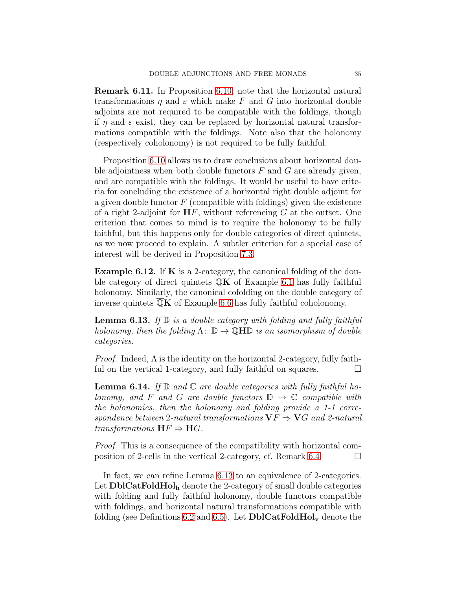Remark 6.11. In Proposition [6.10,](#page-33-0) note that the horizontal natural transformations  $\eta$  and  $\varepsilon$  which make F and G into horizontal double adjoints are not required to be compatible with the foldings, though if  $\eta$  and  $\varepsilon$  exist, they can be replaced by horizontal natural transformations compatible with the foldings. Note also that the holonomy (respectively coholonomy) is not required to be fully faithful.

Proposition [6.10](#page-33-0) allows us to draw conclusions about horizontal double adjointness when both double functors  $F$  and  $G$  are already given, and are compatible with the foldings. It would be useful to have criteria for concluding the existence of a horizontal right double adjoint for a given double functor  $F$  (compatible with foldings) given the existence of a right 2-adjoint for  $HF$ , without referencing  $G$  at the outset. One criterion that comes to mind is to require the holonomy to be fully faithful, but this happens only for double categories of direct quintets, as we now proceed to explain. A subtler criterion for a special case of interest will be derived in Proposition [7.3.](#page-40-1)

<span id="page-34-1"></span>Example 6.12. If K is a 2-category, the canonical folding of the double category of direct quintets  $\mathbb{Q}K$  of Example [6.1](#page-26-1) has fully faithful holonomy. Similarly, the canonical cofolding on the double category of inverse quintets  $\overline{\mathbb{Q}}\mathbf{K}$  of Example [6.6](#page-29-0) has fully faithful coholonomy.

<span id="page-34-0"></span>**Lemma 6.13.** If  $\mathbb{D}$  is a double category with folding and fully faithful holonomy, then the folding  $\Lambda: \mathbb{D} \to \mathbb{Q}H\mathbb{D}$  is an isomorphism of double categories.

*Proof.* Indeed,  $\Lambda$  is the identity on the horizontal 2-category, fully faithful on the vertical 1-category, and fully faithful on squares.

<span id="page-34-2"></span>**Lemma 6.14.** If  $\mathbb{D}$  and  $\mathbb{C}$  are double categories with fully faithful holonomy, and F and G are double functors  $\mathbb{D} \to \mathbb{C}$  compatible with the holonomies, then the holonomy and folding provide a 1-1 correspondence between 2-natural transformations  $\mathbf{V}F \Rightarrow \mathbf{V}G$  and 2-natural transformations HF ⇒ HG.

Proof. This is a consequence of the compatibility with horizontal com-position of 2-cells in the vertical 2-category, cf. Remark [6.4.](#page-28-1)  $\Box$ 

In fact, we can refine Lemma [6.13](#page-34-0) to an equivalence of 2-categories. Let  $\text{DblCatFoldHol}_{h}$  denote the 2-category of small double categories with folding and fully faithful holonomy, double functors compatible with foldings, and horizontal natural transformations compatible with folding (see Definitions [6.2](#page-26-0) and [6.5\)](#page-29-1). Let  $\text{DblCatFoldHol}_{\mathbf{v}}$  denote the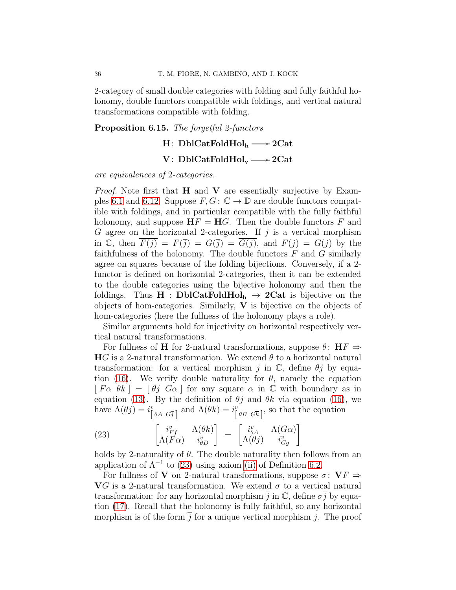2-category of small double categories with folding and fully faithful holonomy, double functors compatible with foldings, and vertical natural transformations compatible with folding.

### <span id="page-35-0"></span>Proposition 6.15. The forgetful 2-functors

### $H$ : DblCatFoldHol $_{\rm h}$  —> 2Cat

### $\mathrm{V}\colon \operatorname{DblCat}\mathrm{FoldHol}_{\mathrm{v}}\longrightarrow 2\mathrm{Cat}$

are equivalences of 2-categories.

*Proof.* Note first that  $H$  and  $V$  are essentially surjective by Exam-ples [6.1](#page-26-1) and [6.12.](#page-34-1) Suppose  $F, G: \mathbb{C} \to \mathbb{D}$  are double functors compatible with foldings, and in particular compatible with the fully faithful holonomy, and suppose  $\mathbf{H} F = \mathbf{H} G$ . Then the double functors F and G agree on the horizontal 2-categories. If  $j$  is a vertical morphism in C, then  $\overline{F(j)} = F(\overline{j}) = G(\overline{j}) = \overline{G(j)}$ , and  $F(j) = G(j)$  by the faithfulness of the holonomy. The double functors  $F$  and  $G$  similarly agree on squares because of the folding bijections. Conversely, if a 2 functor is defined on horizontal 2-categories, then it can be extended to the double categories using the bijective holonomy and then the foldings. Thus  $H : DblCatFoldHol<sub>h</sub> \rightarrow 2Cat$  is bijective on the objects of hom-categories. Similarly,  $V$  is bijective on the objects of hom-categories (here the fullness of the holonomy plays a role).

Similar arguments hold for injectivity on horizontal respectively vertical natural transformations.

For fullness of H for 2-natural transformations, suppose  $\theta$ :  $HF \Rightarrow$  $HG$  is a 2-natural transformation. We extend  $\theta$  to a horizontal natural transformation: for a vertical morphism j in  $\mathbb{C}$ , define  $\theta j$  by equa-tion [\(16\)](#page-29-2). We verify double naturality for  $\theta$ , namely the equation  $[F\alpha \theta k] = [\theta j \ G\alpha]$  for any square  $\alpha$  in C with boundary as in equation [\(13\)](#page-26-2). By the definition of  $\theta j$  and  $\theta k$  via equation [\(16\)](#page-29-2), we have  $\Lambda(\theta j) = i^v_{\begin{bmatrix} \theta A & G\overline{j} \end{bmatrix}}$  and  $\Lambda(\theta k) = i^v_{\begin{bmatrix} \theta B & G\overline{k} \end{bmatrix}}$ , so that the equation

<span id="page-35-1"></span>(23) 
$$
\begin{bmatrix} i_{Ff}^{v} & \Lambda(\theta k) \\ \Lambda(F\alpha) & i_{\theta D}^{v} \end{bmatrix} = \begin{bmatrix} i_{\theta A}^{v} & \Lambda(G\alpha) \\ \Lambda(\theta j) & i_{Gg}^{v} \end{bmatrix}
$$

holds by 2-naturality of  $\theta$ . The double naturality then follows from an application of  $\Lambda^{-1}$  to [\(23\)](#page-35-1) using axiom [\(ii\)](#page-27-0) of Definition [6.2.](#page-26-0)

For fullness of V on 2-natural transformations, suppose  $\sigma: V_F \Rightarrow$ VG is a 2-natural transformation. We extend  $\sigma$  to a vertical natural transformation: for any horizontal morphism  $\overline{i}$  in  $\mathbb{C}$ , define  $\sigma\overline{j}$  by equation [\(17\)](#page-29-3). Recall that the holonomy is fully faithful, so any horizontal morphism is of the form  $\overline{j}$  for a unique vertical morphism j. The proof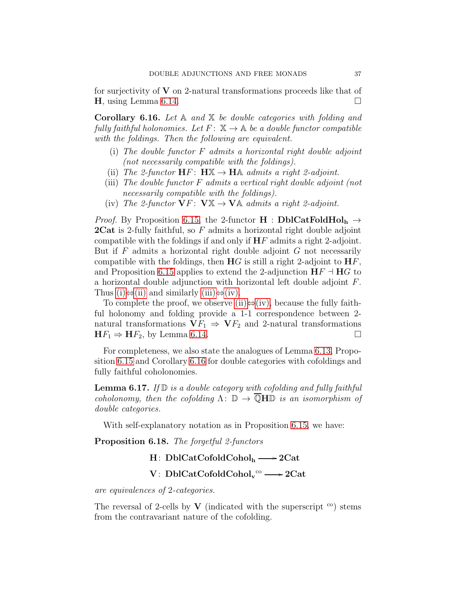for surjectivity of  $V$  on 2-natural transformations proceeds like that of **H**, using Lemma [6.14.](#page-34-2)

<span id="page-36-0"></span>**Corollary 6.16.** Let  $A$  and  $X$  be double categories with folding and fully faithful holonomies. Let  $F: \mathbb{X} \to \mathbb{A}$  be a double functor compatible with the foldings. Then the following are equivalent.

- <span id="page-36-1"></span>(i) The double functor  $F$  admits a horizontal right double adjoint (not necessarily compatible with the foldings).
- <span id="page-36-3"></span><span id="page-36-2"></span>(ii) The 2-functor  $\mathbf{H}F: \mathbf{H}\mathbb{X} \to \mathbf{H}\mathbb{A}$  admits a right 2-adjoint.
- (iii) The double functor F admits a vertical right double adjoint (not necessarily compatible with the foldings).
- <span id="page-36-4"></span>(iv) The 2-functor  $\mathbf{V}F: \mathbf{V} \mathbb{X} \rightarrow \mathbf{V} \mathbb{A}$  admits a right 2-adjoint.

*Proof.* By Proposition [6.15,](#page-35-0) the 2-functor  $H : \text{DblCatFoldHol}_{h} \rightarrow$ **2Cat** is 2-fully faithful, so  $F$  admits a horizontal right double adjoint compatible with the foldings if and only if  $HF$  admits a right 2-adjoint. But if  $F$  admits a horizontal right double adjoint  $G$  not necessarily compatible with the foldings, then  $HG$  is still a right 2-adjoint to  $HF$ , and Proposition [6.15](#page-35-0) applies to extend the 2-adjunction  $\mathbf{H} F \dashv \mathbf{H} G$  to a horizontal double adjunction with horizontal left double adjoint F. Thus [\(i\)](#page-36-1) $\Leftrightarrow$ [\(ii\)](#page-36-2) and similarly [\(iii\)](#page-36-3) $\Leftrightarrow$ [\(iv\).](#page-36-4)

To complete the proof, we observe [\(ii\)](#page-36-2) $\Leftrightarrow$ [\(iv\),](#page-36-4) because the fully faithful holonomy and folding provide a 1-1 correspondence between 2 natural transformations  $\mathbf{V}F_1 \Rightarrow \mathbf{V}F_2$  and 2-natural transformations  $\mathbf{H}F_1 \Rightarrow \mathbf{H}F_2$ , by Lemma [6.14.](#page-34-2)

For completeness, we also state the analogues of Lemma [6.13,](#page-34-0) Proposition [6.15](#page-35-0) and Corollary [6.16](#page-36-0) for double categories with cofoldings and fully faithful coholonomies.

<span id="page-36-5"></span>**Lemma 6.17.** If  $\mathbb{D}$  is a double category with cofolding and fully faithful coholonomy, then the cofolding  $\Lambda: \mathbb{D} \to \overline{\mathbb{Q}}$ H $\mathbb{D}$  is an isomorphism of double categories.

With self-explanatory notation as in Proposition [6.15,](#page-35-0) we have:

Proposition 6.18. The forgetful 2-functors

### $H: DblCatCofoldCohol<sub>h</sub> \longrightarrow 2Cat$

# V: DblCatCofoldCohol $v^{\circ} \longrightarrow 2Cat$

are equivalences of 2-categories.

The reversal of 2-cells by V (indicated with the superscript  $\infty$ ) stems from the contravariant nature of the cofolding.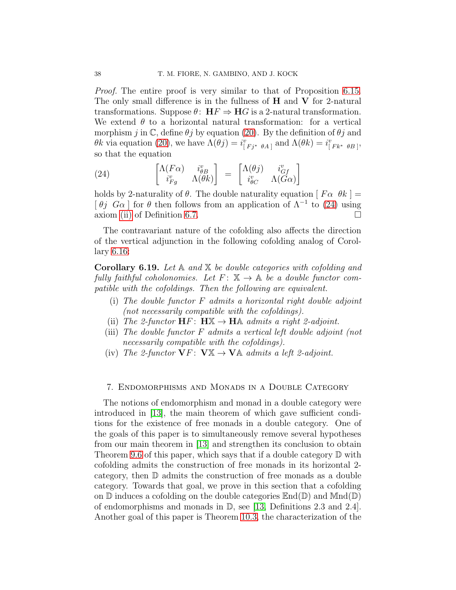Proof. The entire proof is very similar to that of Proposition [6.15.](#page-35-0) The only small difference is in the fullness of  $H$  and  $V$  for 2-natural transformations. Suppose  $\theta$ :  $HF \Rightarrow HG$  is a 2-natural transformation. We extend  $\theta$  to a horizontal natural transformation: for a vertical morphism j in C, define  $\theta j$  by equation [\(20\)](#page-32-1). By the definition of  $\theta j$  and θk via equation [\(20\)](#page-32-1), we have  $\Lambda(\theta j) = i^v_{[Fj^* \theta A]}$  and  $\Lambda(\theta k) = i^v_{[Fk^* \theta B]}$ , so that the equation

<span id="page-37-1"></span>(24) 
$$
\begin{bmatrix}\n\Lambda(F\alpha) & i_{\theta B}^v \\
i_{Fg}^v & \Lambda(\theta k)\n\end{bmatrix} = \begin{bmatrix}\n\Lambda(\theta j) & i_{Gf}^v \\
i_{\theta C}^v & \Lambda(G\alpha)\n\end{bmatrix}
$$

holds by 2-naturality of  $\theta$ . The double naturality equation  $[F\alpha \theta k] =$ [ $\theta j$   $G\alpha$ ] for  $\theta$  then follows from an application of  $\Lambda^{-1}$  to [\(24\)](#page-37-1) using axiom [\(ii\)](#page-31-0) of Definition [6.7.](#page-30-0)

The contravariant nature of the cofolding also affects the direction of the vertical adjunction in the following cofolding analog of Corollary [6.16:](#page-36-0)

<span id="page-37-2"></span>**Corollary 6.19.** Let  $A$  and  $X$  be double categories with cofolding and fully faithful coholonomies. Let  $F: \mathbb{X} \to \mathbb{A}$  be a double functor compatible with the cofoldings. Then the following are equivalent.

- (i) The double functor F admits a horizontal right double adjoint (not necessarily compatible with the cofoldings).
- (ii) The 2-functor  $HF: H\mathbb{X} \to H\mathbb{A}$  admits a right 2-adjoint.
- (iii) The double functor F admits a vertical left double adjoint (not necessarily compatible with the cofoldings).
- (iv) The 2-functor  $\mathbf{V}F: \mathbf{V} \mathbb{X} \to \mathbf{V} \mathbb{A}$  admits a left 2-adjoint.

### <span id="page-37-0"></span>7. Endomorphisms and Monads in a Double Category

The notions of endomorphism and monad in a double category were introduced in [\[13\]](#page-54-0), the main theorem of which gave sufficient conditions for the existence of free monads in a double category. One of the goals of this paper is to simultaneously remove several hypotheses from our main theorem in [\[13\]](#page-54-0) and strengthen its conclusion to obtain Theorem [9.6](#page-49-0) of this paper, which says that if a double category D with cofolding admits the construction of free monads in its horizontal 2 category, then D admits the construction of free monads as a double category. Towards that goal, we prove in this section that a cofolding on  $\mathbb D$  induces a cofolding on the double categories  $\mathbb{E}nd(\mathbb D)$  and  $\mathbb{M}nd(\mathbb D)$ of endomorphisms and monads in  $\mathbb{D}$ , see [\[13,](#page-54-0) Definitions 2.3 and 2.4]. Another goal of this paper is Theorem [10.3,](#page-53-1) the characterization of the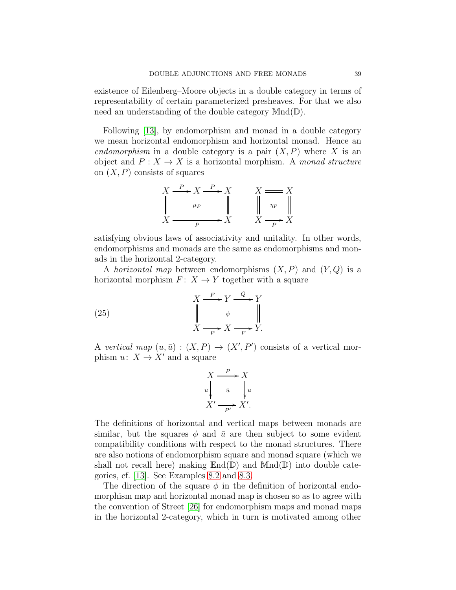existence of Eilenberg–Moore objects in a double category in terms of representability of certain parameterized presheaves. For that we also need an understanding of the double category Mnd(D).

Following [\[13\]](#page-54-0), by endomorphism and monad in a double category we mean horizontal endomorphism and horizontal monad. Hence an endomorphism in a double category is a pair  $(X, P)$  where X is an object and  $P: X \to X$  is a horizontal morphism. A monad structure on  $(X, P)$  consists of squares



satisfying obvious laws of associativity and unitality. In other words, endomorphisms and monads are the same as endomorphisms and monads in the horizontal 2-category.

A horizontal map between endomorphisms  $(X, P)$  and  $(Y, Q)$  is a horizontal morphism  $F: X \to Y$  together with a square

(25) 
$$
X \xrightarrow{F} Y \xrightarrow{\ Q} Y
$$

$$
\downarrow \qquad \qquad \downarrow \qquad \downarrow
$$

$$
X \xrightarrow{P} X \xrightarrow{P} Y.
$$

A vertical map  $(u, \bar{u}) : (X, P) \to (X', P')$  consists of a vertical morphism  $u: X \to X'$  and a square

$$
X \xrightarrow{P} X
$$
  
\n
$$
u \downarrow \bar{u} \qquad \downarrow u
$$
  
\n
$$
X' \xrightarrow{P'} X'.
$$

The definitions of horizontal and vertical maps between monads are similar, but the squares  $\phi$  and  $\bar{u}$  are then subject to some evident compatibility conditions with respect to the monad structures. There are also notions of endomorphism square and monad square (which we shall not recall here) making  $\text{End}(\mathbb{D})$  and  $\text{Mnd}(\mathbb{D})$  into double categories, cf. [\[13\]](#page-54-0). See Examples [8.2](#page-42-0) and [8.3.](#page-43-0)

The direction of the square  $\phi$  in the definition of horizontal endomorphism map and horizontal monad map is chosen so as to agree with the convention of Street [\[26\]](#page-55-3) for endomorphism maps and monad maps in the horizontal 2-category, which in turn is motivated among other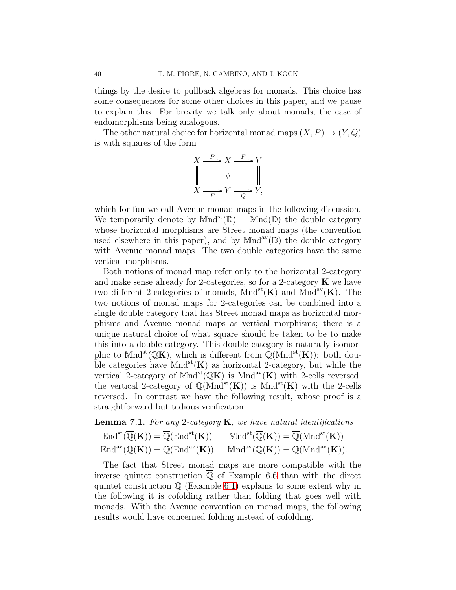things by the desire to pullback algebras for monads. This choice has some consequences for some other choices in this paper, and we pause to explain this. For brevity we talk only about monads, the case of endomorphisms being analogous.

The other natural choice for horizontal monad maps  $(X, P) \to (Y, Q)$ is with squares of the form

$$
X \xrightarrow{P} X \xrightarrow{F} Y
$$
  
\n
$$
\downarrow \qquad \phi \qquad \qquad \parallel
$$
  
\n
$$
X \xrightarrow{F} Y \xrightarrow{Q} Y,
$$

which for fun we call Avenue monad maps in the following discussion. We temporarily denote by  $Mnd^{st}(\mathbb{D}) = Mnd(\mathbb{D})$  the double category whose horizontal morphisms are Street monad maps (the convention used elsewhere in this paper), and by  $Mnd^{av}(\mathbb{D})$  the double category with Avenue monad maps. The two double categories have the same vertical morphisms.

Both notions of monad map refer only to the horizontal 2-category and make sense already for 2-categories, so for a 2-category  $\bf{K}$  we have two different 2-categories of monads,  $Mnd^{st}(\mathbf{K})$  and  $Mnd^{av}(\mathbf{K})$ . The two notions of monad maps for 2-categories can be combined into a single double category that has Street monad maps as horizontal morphisms and Avenue monad maps as vertical morphisms; there is a unique natural choice of what square should be taken to be to make this into a double category. This double category is naturally isomorphic to  $Mnd^{st}(\mathbb{Q}K)$ , which is different from  $\mathbb{Q}(Mnd^{st}(K))$ : both double categories have  $Mnd^{st}(\mathbf{K})$  as horizontal 2-category, but while the vertical 2-category of  $Mnd^{st}(\mathbb{Q}K)$  is  $Mnd^{av}(K)$  with 2-cells reversed, the vertical 2-category of  $\mathbb{Q}(\text{Mnd}^{\text{st}}(K))$  is  $\text{Mnd}^{\text{st}}(K)$  with the 2-cells reversed. In contrast we have the following result, whose proof is a straightforward but tedious verification.

### <span id="page-39-0"></span>**Lemma 7.1.** For any 2-category  $\bf{K}$ , we have natural identifications

| $\operatorname{End}^{\operatorname{st}}(\overline{\mathbb{Q}}(\mathbf{K})) = \overline{\mathbb{Q}}(\operatorname{End}^{\operatorname{st}}(\mathbf{K}))$ | $\mathbb{M}\mathrm{nd}^{\mathrm{st}}(\overline{\mathbb{Q}}(\mathbf{K})) = \overline{\mathbb{Q}}(\mathrm{M}\mathrm{nd}^{\mathrm{st}}(\mathbf{K}))$ |
|---------------------------------------------------------------------------------------------------------------------------------------------------------|---------------------------------------------------------------------------------------------------------------------------------------------------|
| $\operatorname{End}^{\mathrm{av}}(\mathbb{Q}(\mathbf{K})) = \mathbb{Q}(\operatorname{End}^{\mathrm{av}}(\mathbf{K}))$                                   | $\mathbb{M}\mathrm{nd}^{\mathrm{av}}(\mathbb{Q}(\mathbf{K})) = \mathbb{Q}(\mathrm{M}\mathrm{nd}^{\mathrm{av}}(\mathbf{K})).$                      |

The fact that Street monad maps are more compatible with the inverse quintet construction  $\overline{Q}$  of Example [6.6](#page-29-0) than with the direct quintet construction Q (Example [6.1\)](#page-26-1) explains to some extent why in the following it is cofolding rather than folding that goes well with monads. With the Avenue convention on monad maps, the following results would have concerned folding instead of cofolding.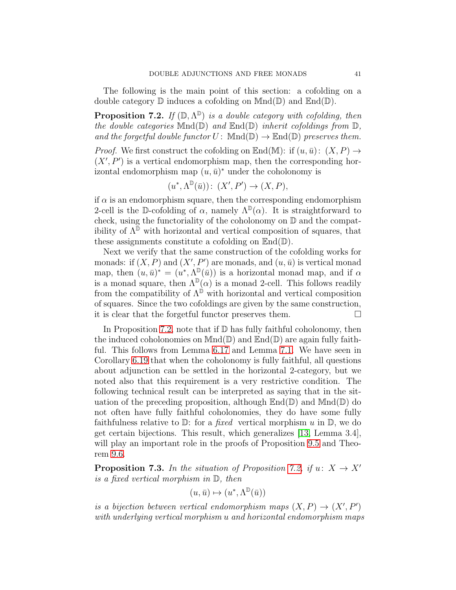The following is the main point of this section: a cofolding on a double category  $\mathbb D$  induces a cofolding on  $\mathbb M$ nd $(\mathbb D)$  and  $\mathbb E$ nd $(\mathbb D)$ .

<span id="page-40-0"></span>**Proposition 7.2.** If  $(\mathbb{D}, \Lambda^{\mathbb{D}})$  is a double category with cofolding, then the double categories  $Mnd(\mathbb{D})$  and  $End(\mathbb{D})$  inherit cofoldings from  $\mathbb{D}$ , and the forgetful double functor  $U: \text{Mnd}(\mathbb{D}) \to \text{End}(\mathbb{D})$  preserves them.

*Proof.* We first construct the cofolding on  $\mathbb{E}nd(\mathbb{M})$ : if  $(u, \bar{u})$ :  $(X, P) \rightarrow$  $(X', P')$  is a vertical endomorphism map, then the corresponding horizontal endomorphism map  $(u, \bar{u})^*$  under the coholonomy is

$$
(u^*, \Lambda^{\mathbb{D}}(\bar{u}))\colon (X', P') \to (X, P),
$$

if  $\alpha$  is an endomorphism square, then the corresponding endomorphism 2-cell is the D-cofolding of  $\alpha$ , namely  $\Lambda^{\mathbb{D}}(\alpha)$ . It is straightforward to check, using the functoriality of the coholonomy on D and the compatibility of  $\Lambda^{\mathbb{D}}$  with horizontal and vertical composition of squares, that these assignments constitute a cofolding on  $\mathbb{E}nd(\mathbb{D})$ .

Next we verify that the same construction of the cofolding works for monads: if  $(X, P)$  and  $(X', P')$  are monads, and  $(u, \bar{u})$  is vertical monad map, then  $(u, \bar{u})^* = (u^*, \Lambda^{\mathbb{D}}(\bar{u}))$  is a horizontal monad map, and if  $\alpha$ is a monad square, then  $\Lambda^{\mathbb{D}}(\alpha)$  is a monad 2-cell. This follows readily from the compatibility of  $\Lambda^{\mathbb{D}}$  with horizontal and vertical composition of squares. Since the two cofoldings are given by the same construction, it is clear that the forgetful functor preserves them.

In Proposition [7.2,](#page-40-0) note that if  $D$  has fully faithful coholonomy, then the induced coholonomies on  $Mnd(\mathbb{D})$  and  $\mathbb{E}nd(\mathbb{D})$  are again fully faithful. This follows from Lemma [6.17](#page-36-5) and Lemma [7.1.](#page-39-0) We have seen in Corollary [6.19](#page-37-2) that when the coholonomy is fully faithful, all questions about adjunction can be settled in the horizontal 2-category, but we noted also that this requirement is a very restrictive condition. The following technical result can be interpreted as saying that in the situation of the preceding proposition, although  $\text{End}(\mathbb{D})$  and  $\text{Mnd}(\mathbb{D})$  do not often have fully faithful coholonomies, they do have some fully faithfulness relative to  $\mathbb{D}$ : for a *fixed* vertical morphism u in  $\mathbb{D}$ , we do get certain bijections. This result, which generalizes [\[13,](#page-54-0) Lemma 3.4], will play an important role in the proofs of Proposition [9.5](#page-49-1) and Theorem [9.6.](#page-49-0)

<span id="page-40-1"></span>**Proposition 7.3.** In the situation of Proposition [7.2,](#page-40-0) if  $u: X \rightarrow X'$ is a fixed vertical morphism in D, then

$$
(u, \bar{u}) \mapsto (u^*, \Lambda^{\mathbb{D}}(\bar{u}))
$$

is a bijection between vertical endomorphism maps  $(X, P) \rightarrow (X', P')$ with underlying vertical morphism u and horizontal endomorphism maps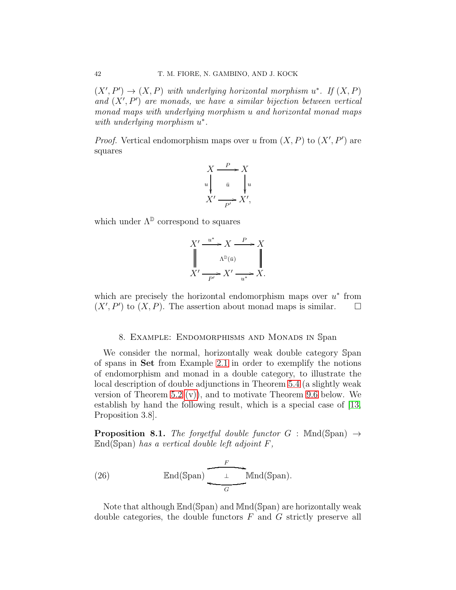$(X', P') \to (X, P)$  with underlying horizontal morphism  $u^*$ . If  $(X, P)$ and  $(X', P')$  are monads, we have a similar bijection between vertical monad maps with underlying morphism u and horizontal monad maps with underlying morphism  $u^*$ .

*Proof.* Vertical endomorphism maps over u from  $(X, P)$  to  $(X', P')$  are squares

$$
X \xrightarrow{P} X
$$
  
\n
$$
u \downarrow \overline{u} \qquad \downarrow u
$$
  
\n
$$
X' \xrightarrow{P'} X',
$$

which under  $\Lambda^{\mathbb{D}}$  correspond to squares

$$
X' \xrightarrow{u^*} X \xrightarrow{P} X
$$
  

$$
\parallel \qquad \qquad \wedge^{\mathbb{D}(\bar{u})} \qquad \parallel
$$
  

$$
X' \xrightarrow{P'} X' \xrightarrow{u^*} X.
$$

which are precisely the horizontal endomorphism maps over  $u^*$  from  $(X', P')$  to  $(X, P)$ . The assertion about monad maps is similar.  $\square$ 

### 8. Example: Endomorphisms and Monads in Span

<span id="page-41-0"></span>We consider the normal, horizontally weak double category Span of spans in Set from Example [2.1](#page-8-0) in order to exemplify the notions of endomorphism and monad in a double category, to illustrate the local description of double adjunctions in Theorem [5.4](#page-22-0) (a slightly weak version of Theorem [5.2](#page-17-0) [\(v\)\)](#page-18-0), and to motivate Theorem [9.6](#page-49-0) below. We establish by hand the following result, which is a special case of [\[13,](#page-54-0) Proposition 3.8].

<span id="page-41-1"></span>**Proposition 8.1.** The forgetful double functor  $G$ : Mnd(Span)  $\rightarrow$  $\mathbb{E}$ nd(Span) has a vertical double left adjoint F,

<span id="page-41-2"></span>(26) End(Span) 
$$
\xrightarrow{F}
$$
 Mnd(Span).

Note that although End(Span) and Mnd(Span) are horizontally weak double categories, the double functors  $F$  and  $G$  strictly preserve all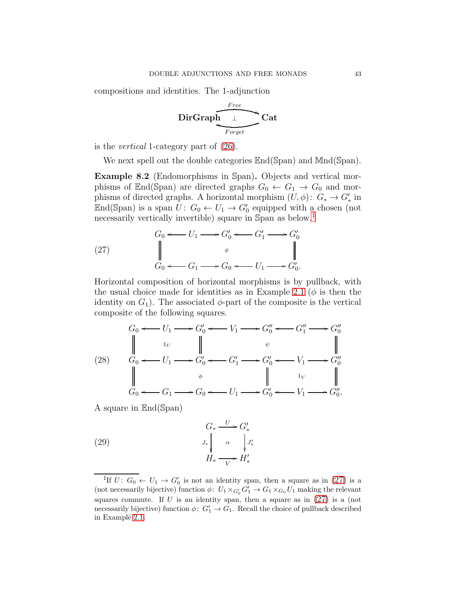compositions and identities. The 1-adjunction

$$
\underbrace{\text{DirGraph}\underbrace{\text{Free}}_{\text{Forget}}}\text{Cat}
$$

is the vertical 1-category part of [\(26\)](#page-41-2).

We next spell out the double categories  $\text{End}(\text{Span})$  and  $\text{Mnd}(\text{Span})$ .

<span id="page-42-0"></span>Example 8.2 (Endomorphisms in Span). Objects and vertical morphisms of End(Span) are directed graphs  $G_0 \leftarrow G_1 \rightarrow G_0$  and morphisms of directed graphs. A horizontal morphism  $(U, \phi)$ :  $G_* \to G'_*$  in End(Span) is a span  $U: G_0 \leftarrow U_1 \rightarrow G'_0$  equipped with a chosen (not necessarily vertically invertible) square in Span as below.<sup>[1](#page-42-1)</sup>

<span id="page-42-2"></span>(27) 
$$
\begin{array}{ccc}\nG_0 & \longleftarrow & U_1 \longrightarrow G'_0 \longleftarrow & G'_1 \longrightarrow & G'_0 \\
\parallel & & \phi & & \parallel \\
G_0 & \longleftarrow & G_1 \longrightarrow & G_0 \longleftarrow & U_1 \longrightarrow & G'_0.\n\end{array}
$$

Horizontal composition of horizontal morphisms is by pullback, with the usual choice made for identities as in Example [2.1](#page-8-0) ( $\phi$  is then the identity on  $G_1$ ). The associated  $\phi$ -part of the composite is the vertical composite of the following squares.

<span id="page-42-3"></span>
$$
(28) \quad G_0 \leftarrow U_1 \longrightarrow G'_0 \leftarrow V_1 \longrightarrow G''_0 \longrightarrow G''_1 \longrightarrow G''_0
$$
\n
$$
\parallel \qquad \qquad \downarrow \qquad \qquad \downarrow \qquad \qquad \downarrow \qquad \qquad \downarrow
$$
\n
$$
(28) \quad G_0 \leftarrow U_1 \longrightarrow G'_0 \leftarrow G'_1 \longrightarrow G'_0 \leftarrow V_1 \longrightarrow G''_0
$$
\n
$$
\parallel \qquad \qquad \downarrow \qquad \qquad \downarrow \qquad \qquad \downarrow
$$
\n
$$
G_0 \leftarrow G_1 \longrightarrow G_0 \leftarrow U_1 \longrightarrow G'_0 \leftarrow V_1 \longrightarrow G''_0.
$$

A square in End(Span)

<span id="page-42-4"></span>(29) 
$$
G_* \xrightarrow{U} G'_*
$$

$$
J_* \downarrow \alpha \qquad \qquad J'_* \downarrow
$$

$$
H_* \xrightarrow{V} H'_*
$$

<span id="page-42-1"></span><sup>&</sup>lt;sup>1</sup>If  $U: G_0 \leftarrow U_1 \rightarrow G'_0$  is not an identity span, then a square as in  $(27)$  is a (not necessarily bijective) function  $\phi: U_1 \times_{G'_0} G'_1 \to G_1 \times_{G_0} U_1$  making the relevant squares commute. If U is an identity span, then a square as in  $(27)$  is a (not necessarily bijective) function  $\phi: G'_1 \to G_1$ . Recall the choice of pullback described in Example [2.1.](#page-8-0)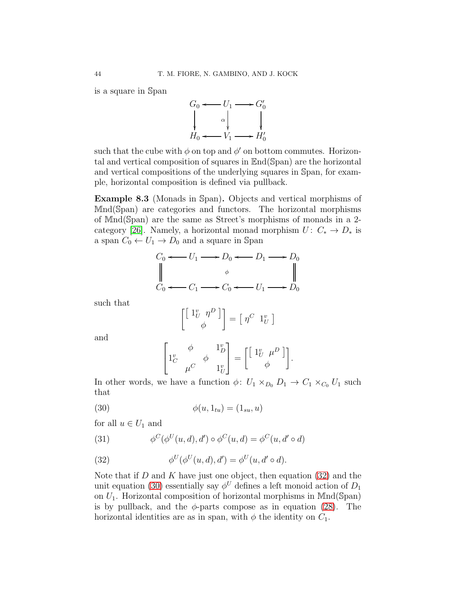is a square in Span



such that the cube with  $\phi$  on top and  $\phi'$  on bottom commutes. Horizontal and vertical composition of squares in End(Span) are the horizontal and vertical compositions of the underlying squares in Span, for example, horizontal composition is defined via pullback.

<span id="page-43-0"></span>Example 8.3 (Monads in Span). Objects and vertical morphisms of Mnd(Span) are categories and functors. The horizontal morphisms of Mnd(Span) are the same as Street's morphisms of monads in a 2- category [\[26\]](#page-55-3). Namely, a horizontal monad morphism  $U: C_* \to D_*$  is a span  $C_0 \leftarrow U_1 \rightarrow D_0$  and a square in Span

$$
C_0 \leftarrow U_1 \longrightarrow D_0 \leftarrow D_1 \longrightarrow D_0
$$
  
\n
$$
\downarrow
$$
  
\n
$$
C_0 \leftarrow C_1 \longrightarrow C_0 \leftarrow U_1 \longrightarrow D_0
$$

such that

$$
\begin{bmatrix} \begin{bmatrix} 1_U^v & \eta^D \end{bmatrix} \end{bmatrix} = \begin{bmatrix} \eta^C & 1_U^v \end{bmatrix}
$$

and

<span id="page-43-2"></span>
$$
\begin{bmatrix} \psi & \phi & 1_D^{\nu} \\ 1_C^{\nu} & \mu^C & 1_U^{\nu} \end{bmatrix} = \begin{bmatrix} 1_U^{\nu} & \mu^D \end{bmatrix}.
$$

In other words, we have a function  $\phi: U_1 \times_{D_0} D_1 \to C_1 \times_{C_0} U_1$  such that

$$
\phi(u, 1_{tu}) = (1_{su}, u)
$$

for all  $u \in U_1$  and

<span id="page-43-3"></span>(31) 
$$
\phi^C(\phi^U(u, d), d') \circ \phi^C(u, d) = \phi^C(u, d' \circ d)
$$

<span id="page-43-1"></span>(32) 
$$
\phi^U(\phi^U(u, d), d') = \phi^U(u, d' \circ d).
$$

Note that if  $D$  and  $K$  have just one object, then equation [\(32\)](#page-43-1) and the unit equation [\(30\)](#page-43-2) essentially say  $\phi^U$  defines a left monoid action of  $D_1$ on  $U_1$ . Horizontal composition of horizontal morphisms in Mnd(Span) is by pullback, and the  $\phi$ -parts compose as in equation [\(28\)](#page-42-3). The horizontal identities are as in span, with  $\phi$  the identity on  $C_1$ .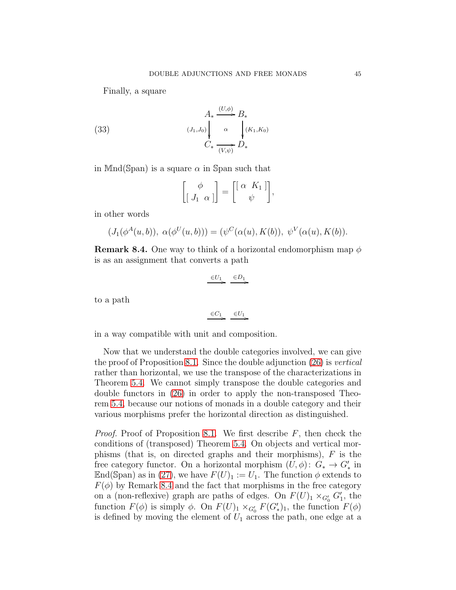Finally, a square

(33) 
$$
A_* \xrightarrow{(U,\phi)} B_*
$$

$$
C_* \xrightarrow[\overline{(V,\psi)}]{} \alpha \qquad \int_{\mathcal{C}_*}^{(K_1,K_0)} D_*
$$

in Mnd(Span) is a square  $\alpha$  in Span such that

<span id="page-44-1"></span>
$$
\begin{bmatrix} \phi \\ \left[ \begin{array}{cc} J_1 & \alpha \end{array} \right] \end{bmatrix} = \begin{bmatrix} \left[ \begin{array}{cc} \alpha & K_1 \end{array} \right] \\ \psi \end{bmatrix},
$$

in other words

$$
(J_1(\phi^A(u,b)), \alpha(\phi^U(u,b))) = (\psi^C(\alpha(u), K(b)), \psi^V(\alpha(u), K(b)).
$$

<span id="page-44-0"></span>**Remark 8.4.** One way to think of a horizontal endomorphism map  $\phi$ is as an assignment that converts a path

$$
\xrightarrow{\in U_1} \xrightarrow{\in D_1}
$$

to a path

$$
\xrightarrow{\in C_1} \xrightarrow{\in U_1}
$$

in a way compatible with unit and composition.

Now that we understand the double categories involved, we can give the proof of Proposition [8.1.](#page-41-1) Since the double adjunction [\(26\)](#page-41-2) is vertical rather than horizontal, we use the transpose of the characterizations in Theorem [5.4.](#page-22-0) We cannot simply transpose the double categories and double functors in [\(26\)](#page-41-2) in order to apply the non-transposed Theorem [5.4,](#page-22-0) because our notions of monads in a double category and their various morphisms prefer the horizontal direction as distinguished.

*Proof.* Proof of Proposition [8.1.](#page-41-1) We first describe  $F$ , then check the conditions of (transposed) Theorem [5.4.](#page-22-0) On objects and vertical morphisms (that is, on directed graphs and their morphisms), F is the free category functor. On a horizontal morphism  $(U, \phi)$ :  $G_* \to G'_*$  in End(Span) as in [\(27\)](#page-42-2), we have  $F(U)_1 := U_1$ . The function  $\phi$  extends to  $F(\phi)$  by Remark [8.4](#page-44-0) and the fact that morphisms in the free category on a (non-reflexive) graph are paths of edges. On  $F(U)_1 \times_{G'_0} G'_1$ , the function  $F(\phi)$  is simply  $\phi$ . On  $F(U)_1 \times_{G'_0} F(G'_*)_1$ , the function  $F(\phi)$ is defined by moving the element of  $U_1$  across the path, one edge at a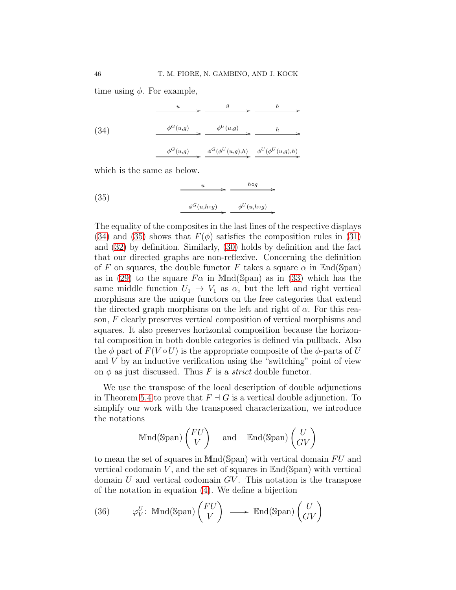time using  $\phi$ . For example,

<span id="page-45-0"></span>

|      | $\boldsymbol{u}$ | g                                                   | h |
|------|------------------|-----------------------------------------------------|---|
| (34) | $\phi^G(u,g)$    | $\phi^{U}(u,g)$                                     | h |
|      | $\phi^G(u,g)$    | $\phi^G(\phi^U(u,g),h) \quad \phi^U(\phi^U(u,g),h)$ |   |

which is the same as below.

<span id="page-45-1"></span>(35) 
$$
\xrightarrow{\begin{array}{c}\n u \longrightarrow b \circ g \\
 \phi^G(u, \text{log})\n \end{array}} \xrightarrow{\begin{array}{c}\n \phi^U(u, \text{log})\n \end{array}}
$$

The equality of the composites in the last lines of the respective displays [\(34\)](#page-45-0) and [\(35\)](#page-45-1) shows that  $F(\phi)$  satisfies the composition rules in [\(31\)](#page-43-3) and [\(32\)](#page-43-1) by definition. Similarly, [\(30\)](#page-43-2) holds by definition and the fact that our directed graphs are non-reflexive. Concerning the definition of F on squares, the double functor F takes a square  $\alpha$  in End(Span) as in [\(29\)](#page-42-4) to the square  $F\alpha$  in Mnd(Span) as in [\(33\)](#page-44-1) which has the same middle function  $U_1 \rightarrow V_1$  as  $\alpha$ , but the left and right vertical morphisms are the unique functors on the free categories that extend the directed graph morphisms on the left and right of  $\alpha$ . For this reason, F clearly preserves vertical composition of vertical morphisms and squares. It also preserves horizontal composition because the horizontal composition in both double categories is defined via pullback. Also the  $\phi$  part of  $F(V \circ U)$  is the appropriate composite of the  $\phi$ -parts of U and  $V$  by an inductive verification using the "switching" point of view on  $\phi$  as just discussed. Thus F is a *strict* double functor.

/

/

We use the transpose of the local description of double adjunctions in Theorem [5.4](#page-22-0) to prove that  $F \dashv G$  is a vertical double adjunction. To simplify our work with the transposed characterization, we introduce the notations

$$
\text{Mnd}(\text{Span})\begin{pmatrix} FU \\ V \end{pmatrix} \quad \text{and} \quad \text{End}(\text{Span})\begin{pmatrix} U \\ GV \end{pmatrix}
$$

to mean the set of squares in  $Mnd(Span)$  with vertical domain  $FU$  and vertical codomain  $V$ , and the set of squares in  $\text{End}(\text{Span})$  with vertical domain  $U$  and vertical codomain  $GV$ . This notation is the transpose of the notation in equation [\(4\)](#page-6-1). We define a bijection

<span id="page-45-2"></span>(36) 
$$
\varphi_V^U
$$
: Mnd(Span)  $\begin{pmatrix} FU \\ V \end{pmatrix} \longrightarrow \text{End(Span) } \begin{pmatrix} U \\ GV \end{pmatrix}$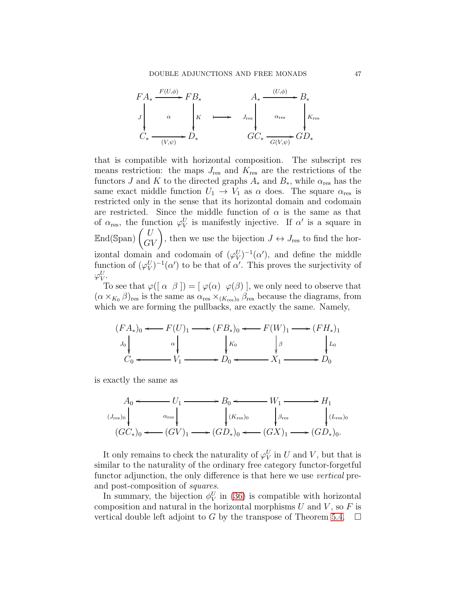

that is compatible with horizontal composition. The subscript res means restriction: the maps  $J_{\text{res}}$  and  $K_{\text{res}}$  are the restrictions of the functors J and K to the directed graphs  $A_*$  and  $B_*$ , while  $\alpha_{\text{res}}$  has the same exact middle function  $U_1 \rightarrow V_1$  as  $\alpha$  does. The square  $\alpha_{res}$  is restricted only in the sense that its horizontal domain and codomain are restricted. Since the middle function of  $\alpha$  is the same as that of  $\alpha_{\text{res}}$ , the function  $\varphi_V^U$  is manifestly injective. If  $\alpha'$  is a square in  $\mathbb{E} \text{nd}(\text{Span}) \begin{pmatrix} U \\ G V \end{pmatrix}$ , then we use the bijection  $J \leftrightarrow J_{\text{res}}$  to find the horizontal domain and codomain of  $(\varphi_V^U)^{-1}(\alpha')$ , and define the middle function of  $(\varphi_V^U)^{-1}(\alpha')$  to be that of  $\alpha'$ . This proves the surjectivity of  $\varphi_V^U.$ 

To see that  $\varphi([\alpha \beta]) = [\varphi(\alpha) \varphi(\beta)]$ , we only need to observe that  $(\alpha \times_{K_0} \beta)_{\text{res}}$  is the same as  $\alpha_{\text{res}} \times_{(K_{\text{res}})_0} \beta_{\text{res}}$  because the diagrams, from which we are forming the pullbacks, are exactly the same. Namely,

$$
(FA_*)_0 \longleftrightarrow F(U)_1 \longrightarrow (FB_*)_0 \longleftrightarrow F(W)_1 \longrightarrow (FH_*)_1
$$
  
\n
$$
J_0 \downarrow \qquad \qquad \downarrow K_0 \qquad \qquad \downarrow \beta \qquad \qquad \downarrow L_0
$$
  
\n
$$
C_0 \longleftrightarrow V_1 \longrightarrow D_0 \longleftrightarrow X_1 \longrightarrow D_0
$$

is exactly the same as

$$
A_0 \longleftrightarrow U_1 \longrightarrow B_0 \longleftrightarrow W_1 \longrightarrow H_1
$$
  
\n
$$
(J_{\text{res}})_0 \downarrow \qquad \alpha_{\text{res}} \downarrow \qquad \qquad (K_{\text{res}})_0 \qquad \qquad \beta_{\text{res}} \qquad \qquad (L_{\text{res}})_0
$$
  
\n
$$
(GC_*)_0 \longleftrightarrow (GU)_1 \longrightarrow (GD_*)_0 \longleftrightarrow (GX)_1 \longrightarrow (GD_*)_0.
$$

It only remains to check the naturality of  $\varphi_V^U$  in U and V, but that is similar to the naturality of the ordinary free category functor-forgetful functor adjunction, the only difference is that here we use *vertical* preand post-composition of squares.

In summary, the bijection  $\phi_V^U$  in [\(36\)](#page-45-2) is compatible with horizontal composition and natural in the horizontal morphisms  $U$  and  $V$ , so  $F$  is vertical double left adjoint to G by the transpose of Theorem [5.4.](#page-22-0)  $\Box$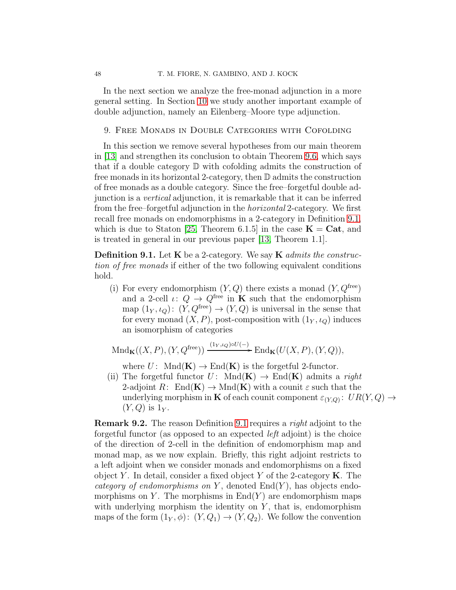In the next section we analyze the free-monad adjunction in a more general setting. In Section [10](#page-52-0) we study another important example of double adjunction, namely an Eilenberg–Moore type adjunction.

### <span id="page-47-0"></span>9. Free Monads in Double Categories with Cofolding

In this section we remove several hypotheses from our main theorem in [\[13\]](#page-54-0) and strengthen its conclusion to obtain Theorem [9.6,](#page-49-0) which says that if a double category  $\mathbb D$  with cofolding admits the construction of free monads in its horizontal 2-category, then D admits the construction of free monads as a double category. Since the free–forgetful double adjunction is a vertical adjunction, it is remarkable that it can be inferred from the free–forgetful adjunction in the horizontal 2-category. We first recall free monads on endomorphisms in a 2-category in Definition [9.1,](#page-47-1) which is due to Staton [\[25,](#page-55-11) Theorem 6.1.5] in the case  $K = Cat$ , and is treated in general in our previous paper [\[13,](#page-54-0) Theorem 1.1].

<span id="page-47-1"></span>**Definition 9.1.** Let  $\bf{K}$  be a 2-category. We say  $\bf{K}$  admits the construction of free monads if either of the two following equivalent conditions hold.

<span id="page-47-2"></span>(i) For every endomorphism  $(Y, Q)$  there exists a monad  $(Y, Q^{\text{free}})$ and a 2-cell  $\iota: Q \to Q^{\text{free}}$  in **K** such that the endomorphism map  $(1_Y, \iota_Q)$ :  $(Y, Q^{\text{free}}) \to (Y, Q)$  is universal in the sense that for every monad  $(X, P)$ , post-composition with  $(1_Y, \iota_Q)$  induces an isomorphism of categories

 $\text{Mnd}_{\mathbf{K}}((X, P), (Y, Q^{\text{free}})) \xrightarrow{(1_Y, \iota_Q) \circ U(-)} \text{End}_{\mathbf{K}}(U(X, P), (Y, Q)),$ 

where  $U: \text{Mnd}(\mathbf{K}) \to \text{End}(\mathbf{K})$  is the forgetful 2-functor.

(ii) The forgetful functor  $U: \text{Mnd}(\mathbf{K}) \to \text{End}(\mathbf{K})$  admits a right 2-adjoint  $R: \text{End}(\mathbf{K}) \to \text{Mnd}(\mathbf{K})$  with a counit  $\varepsilon$  such that the underlying morphism in **K** of each counit component  $\varepsilon_{(Y,Q)}$ :  $UR(Y,Q) \rightarrow$  $(Y,Q)$  is  $1_Y$ .

**Remark 9.2.** The reason Definition [9.1](#page-47-1) requires a *right* adjoint to the forgetful functor (as opposed to an expected left adjoint) is the choice of the direction of 2-cell in the definition of endomorphism map and monad map, as we now explain. Briefly, this right adjoint restricts to a left adjoint when we consider monads and endomorphisms on a fixed object Y. In detail, consider a fixed object Y of the 2-category  $\mathbf K$ . The category of endomorphisms on Y, denoted  $End(Y)$ , has objects endomorphisms on Y. The morphisms in  $\text{End}(Y)$  are endomorphism maps with underlying morphism the identity on  $Y$ , that is, endomorphism maps of the form  $(1_Y, \phi)$ :  $(Y, Q_1) \rightarrow (Y, Q_2)$ . We follow the convention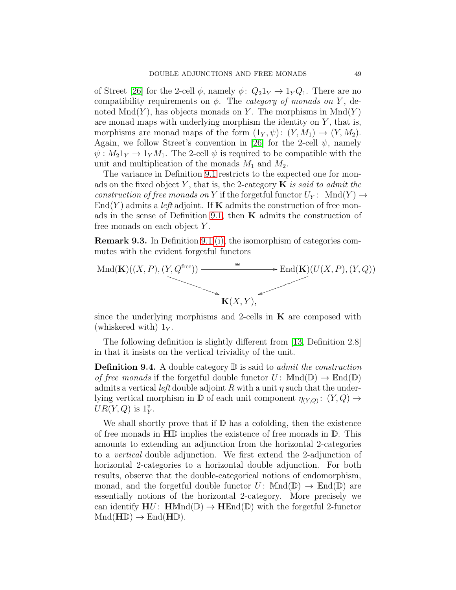of Street [\[26\]](#page-55-3) for the 2-cell  $\phi$ , namely  $\phi: Q_21_Y \to 1_Y Q_1$ . There are no compatibility requirements on  $\phi$ . The *category of monads on Y*, denoted  $Mnd(Y)$ , has objects monads on Y. The morphisms in  $Mnd(Y)$ are monad maps with underlying morphism the identity on  $Y$ , that is, morphisms are monad maps of the form  $(1_Y, \psi)$ :  $(Y, M_1) \rightarrow (Y, M_2)$ . Again, we follow Street's convention in [\[26\]](#page-55-3) for the 2-cell  $\psi$ , namely  $\psi: M_21_Y \to 1_Y M_1$ . The 2-cell  $\psi$  is required to be compatible with the unit and multiplication of the monads  $M_1$  and  $M_2$ .

The variance in Definition [9.1](#page-47-1) restricts to the expected one for monads on the fixed object Y, that is, the 2-category  $\bf{K}$  is said to admit the construction of free monads on Y if the forgetful functor  $U_Y$ : Mnd $(Y) \rightarrow$  $\text{End}(Y)$  admits a *left* adjoint. If **K** admits the construction of free mon-ads in the sense of Definition [9.1,](#page-47-1) then  $\bf{K}$  admits the construction of free monads on each object Y .

Remark 9.3. In Definition [9.1](#page-47-1) [\(i\),](#page-47-2) the isomorphism of categories commutes with the evident forgetful functors



since the underlying morphisms and 2-cells in  $K$  are composed with (whiskered with)  $1_Y$ .

The following definition is slightly different from [\[13,](#page-54-0) Definition 2.8] in that it insists on the vertical triviality of the unit.

<span id="page-48-0"></span>**Definition 9.4.** A double category  $\mathbb{D}$  is said to *admit the construction* of free monads if the forgetful double functor  $U: \text{Mnd}(\mathbb{D}) \to \text{End}(\mathbb{D})$ admits a vertical left double adjoint R with a unit  $\eta$  such that the underlying vertical morphism in  $\mathbb D$  of each unit component  $\eta_{(Y,Q)}: (Y,Q) \to$  $UR(Y,Q)$  is  $1_Y^v$ .

We shall shortly prove that if  $D$  has a cofolding, then the existence of free monads in HD implies the existence of free monads in D. This amounts to extending an adjunction from the horizontal 2-categories to a vertical double adjunction. We first extend the 2-adjunction of horizontal 2-categories to a horizontal double adjunction. For both results, observe that the double-categorical notions of endomorphism, monad, and the forgetful double functor  $U: \text{Mnd}(\mathbb{D}) \to \text{End}(\mathbb{D})$  are essentially notions of the horizontal 2-category. More precisely we can identify  $H U: H M n d(\mathbb{D}) \to H \mathbb{E} n d(\mathbb{D})$  with the forgetful 2-functor  $Mnd(HD) \rightarrow End(HD).$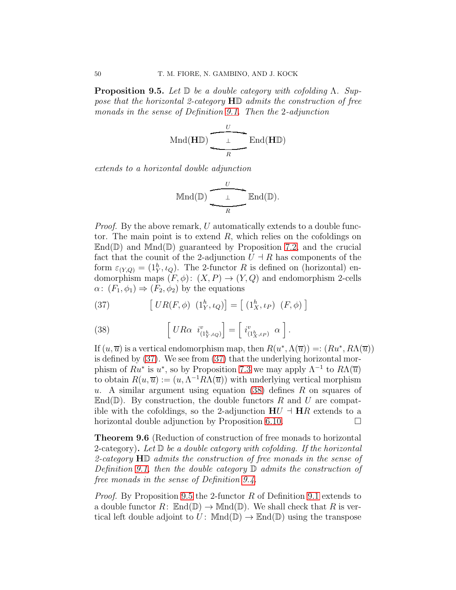<span id="page-49-1"></span>**Proposition 9.5.** Let  $\mathbb{D}$  be a double category with cofolding  $\Lambda$ . Suppose that the horizontal 2-category HD admits the construction of free monads in the sense of Definition [9.1.](#page-47-1) Then the 2-adjunction

$$
\operatorname{Mnd}(\mathbf{H}\mathbb{D}) \xrightarrow[\begin{array}{c}\nU \frown \mathbf{End}(\mathbf{H}\mathbb{D})\n\end{array}]
$$

extends to a horizontal double adjunction

$$
\operatorname{Mnd}(\mathbb{D}) \xrightarrow{\qquad U \qquad \qquad} \operatorname{End}(\mathbb{D}).
$$

Proof. By the above remark, U automatically extends to a double functor. The main point is to extend  $R$ , which relies on the cofoldings on  $\mathbb{E} \text{nd}(\mathbb{D})$  and  $\mathbb{M} \text{nd}(\mathbb{D})$  guaranteed by Proposition [7.2,](#page-40-0) and the crucial fact that the counit of the 2-adjunction  $U \dashv R$  has components of the form  $\varepsilon_{(Y,Q)} = (1_Y^h, \iota_Q)$ . The 2-functor R is defined on (horizontal) endomorphism maps  $(F, \phi)$ :  $(X, P) \rightarrow (Y, Q)$  and endomorphism 2-cells  $\alpha: (F_1, \phi_1) \Rightarrow (F_2, \phi_2)$  by the equations

<span id="page-49-2"></span>(37) 
$$
\left[ UR(F,\phi) \left(1_Y^h,\iota_Q\right) \right] = \left[ \left(1_X^h,\iota_P\right) \left(F,\phi\right) \right]
$$

<span id="page-49-3"></span>(38) 
$$
\left[ UR\alpha i_{(1^h_Y,t_Q)}^v \right] = \left[ i_{(1^h_X,t_P)}^v \alpha \right].
$$

If  $(u, \overline{u})$  is a vertical endomorphism map, then  $R(u^*, \Lambda(\overline{u})) =: (Ru^*, R\Lambda(\overline{u}))$ is defined by [\(37\)](#page-49-2). We see from [\(37\)](#page-49-2) that the underlying horizontal morphism of  $Ru^*$  is  $u^*$ , so by Proposition [7.3](#page-40-1) we may apply  $\Lambda^{-1}$  to  $R\Lambda(\overline{u})$ to obtain  $R(u, \overline{u}) := (u, \Lambda^{-1} R \Lambda(\overline{u}))$  with underlying vertical morphism u. A similar argument using equation  $(38)$  defines R on squares of  $\mathbb{E} \text{nd}(\mathbb{D})$ . By construction, the double functors R and U are compatible with the cofoldings, so the 2-adjunction  $H U \dashv H R$  extends to a horizontal double adjunction by Proposition [6.10.](#page-33-0)

<span id="page-49-0"></span>Theorem 9.6 (Reduction of construction of free monads to horizontal 2-category). Let  $\mathbb D$  be a double category with cofolding. If the horizontal 2-category HD admits the construction of free monads in the sense of Definition [9.1,](#page-47-1) then the double category  $\mathbb D$  admits the construction of free monads in the sense of Definition [9.4.](#page-48-0)

*Proof.* By Proposition [9.5](#page-49-1) the 2-functor R of Definition [9.1](#page-47-1) extends to a double functor  $R: \mathbb{E} \text{nd}(\mathbb{D}) \to \text{Mnd}(\mathbb{D})$ . We shall check that R is vertical left double adjoint to  $U: \mathbb{M}nd(\mathbb{D}) \to \mathbb{R}nd(\mathbb{D})$  using the transpose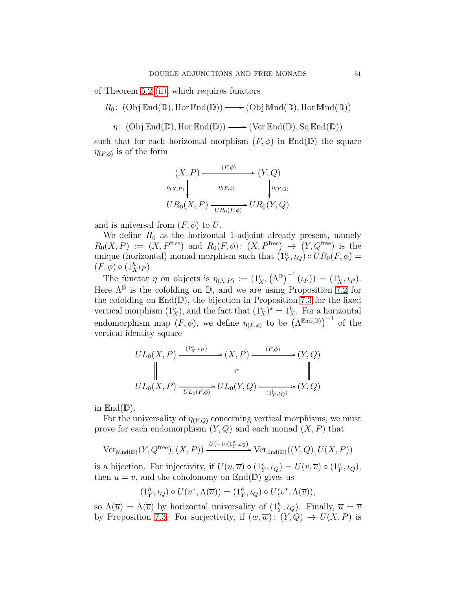of Theorem [5.2](#page-17-0) [\(ii\),](#page-18-1) which requires functors

 $R_0$ : (Obj  $\mathbb{E} \text{nd}(\mathbb{D})$ , Hor  $\mathbb{E} \text{nd}(\mathbb{D})$ )  $\longrightarrow$  (Obj  $\mathbb{M} \text{nd}(\mathbb{D})$ , Hor  $\mathbb{M} \text{nd}(\mathbb{D})$ )

 $\eta: (\mathrm{Obj}\,\mathbb{E}nd(\mathbb{D}),\mathrm{Hor}\,\mathbb{E}nd(\mathbb{D})) \longrightarrow (\mathrm{Ver}\,\mathbb{E}nd(\mathbb{D}), \mathrm{Sq}\,\mathbb{E}nd(\mathbb{D}))$ 

such that for each horizontal morphism  $(F, \phi)$  in  $\mathbb{E}nd(\mathbb{D})$  the square  $\eta_{(F,\phi)}$  is of the form

$$
(X, P) \xrightarrow{\qquad (F, \phi)} (Y, Q)
$$
  
\n
$$
\eta_{(X, P)} \downarrow \eta_{(F, \phi)} \downarrow \eta_{(Y, Q)}
$$
  
\n
$$
UR_0(X, P) \xrightarrow{\eta_{(F, \phi)}} UR_0(Y, Q)
$$

and is universal from  $(F, \phi)$  to U.

We define  $R_0$  as the horizontal 1-adjoint already present, namely  $R_0(X, P) := (X, P^{\text{free}})$  and  $R_0(F, \phi) : (X, P^{\text{free}}) \rightarrow (Y, Q^{\text{free}})$  is the unique (horizontal) monad morphism such that  $(1_Y^h, \iota_Q) \circ UR_0(F, \phi) =$  $(F, \phi) \circ (1_X^h \iota_P).$ 

The functor  $\eta$  on objects is  $\eta_{(X,P)} := (1_X^v, (\Lambda^{\mathbb{D}})^{-1}(\iota_P)) = (1_X^v, \iota_P).$ Here  $\Lambda^{\mathbb{D}}$  is the cofolding on  $\mathbb{D}$ , and we are using Proposition [7.2](#page-40-0) for the cofolding on  $\mathbb{E}nd(\mathbb{D})$ , the bijection in Proposition [7.3](#page-40-1) for the fixed vertical morphism  $(1_X^v)$ , and the fact that  $(1_X^v)^* = 1_X^h$ . For a horizontal endomorphism map  $(F, \phi)$ , we define  $\eta_{(F,\phi)}$  to be  $(\Lambda^{\text{End}(\mathbb{D})})^{-1}$  of the vertical identity square

$$
UL_0(X, P) \xrightarrow{\begin{array}{c} (1^h_X, \iota_P) \\ \downarrow \end{array}} (X, P) \xrightarrow{\begin{array}{c} (F, \phi) \\ \downarrow \end{array}} (Y, Q)
$$
  

$$
UL_0(X, P) \xrightarrow{\begin{array}{c} i^v \\ \downarrow \end{array}} UL_0(Y, Q) \xrightarrow{\begin{array}{c} (F, \phi) \\ \downarrow \end{array}} (Y, Q)
$$

in  $\mathbb{E}nd(\mathbb{D})$ .

For the universality of  $\eta_{(Y,Q)}$  concerning vertical morphisms, we must prove for each endomorphism  $(Y, Q)$  and each monad  $(X, P)$  that

$$
\text{Ver}_{\text{Mnd}(\mathbb{D})}(Y, Q^{\text{free}}), (X, P)) \xrightarrow{U(-) \circ (1^v_Y, \iota_Q)} \text{Ver}_{\text{End}(\mathbb{D})}((Y, Q), U(X, P))
$$

is a bijection. For injectivity, if  $U(u, \overline{u}) \circ (1_Y^v, \iota_Q) = U(v, \overline{v}) \circ (1_Y^v, \iota_Q)$ , then  $u = v$ , and the coholonomy on  $\mathbb{E}nd(\mathbb{D})$  gives us

$$
(1_Y^h, \iota_Q) \circ U(u^*, \Lambda(\overline{u})) = (1_Y^h, \iota_Q) \circ U(v^*, \Lambda(\overline{v})),
$$

so  $\Lambda(\overline{u}) = \Lambda(\overline{v})$  by horizontal universality of  $(1^h_Y, \iota_Q)$ . Finally,  $\overline{u} = \overline{v}$ by Proposition [7.3.](#page-40-1) For surjectivity, if  $(w,\overline{w})$ :  $(Y,Q) \rightarrow U(X,P)$  is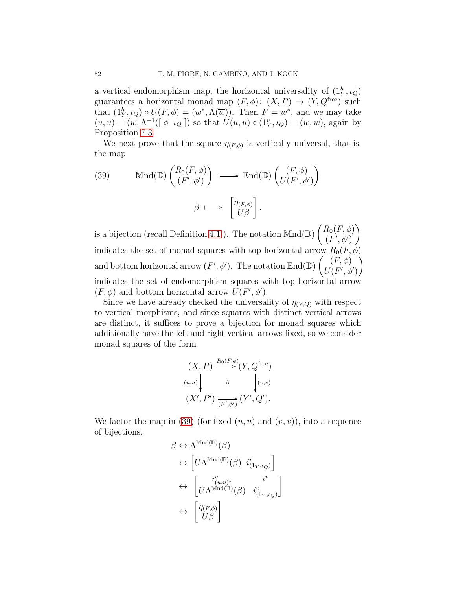a vertical endomorphism map, the horizontal universality of  $(1^h_Y, \iota_Q)$ guarantees a horizontal monad map  $(F, \phi): (X, P) \rightarrow (Y, Q^{\text{free}})$  such that  $(1_Y^h, \iota_Q) \circ U(F, \phi) = (w^*, \Lambda(\overline{w}))$ . Then  $F = w^*$ , and we may take  $(u, \overline{u}) = (w, \Lambda^{-1}([\phi \iota_Q])$  so that  $U(u, \overline{u}) \circ (1_Y^v, \iota_Q) = (w, \overline{w})$ , again by Proposition [7.3.](#page-40-1)

We next prove that the square  $\eta_{(F,\phi)}$  is vertically universal, that is, the map

<span id="page-51-0"></span>(39) 
$$
\operatorname{Mnd}(\mathbb{D})\begin{pmatrix} R_0(F,\phi) \\ (F',\phi') \end{pmatrix} \longrightarrow \operatorname{End}(\mathbb{D})\begin{pmatrix} (F,\phi) \\ U(F',\phi') \end{pmatrix}
$$
  
 $\beta \longmapsto \begin{bmatrix} \eta_{(F,\phi)} \\ U\beta \end{bmatrix}$ .

is a bijection (recall Definition [4.1.](#page-15-4)). The notation  $\text{Mnd}(\mathbb{D})\begin{pmatrix} R_0(F,\phi) \\ F'(F',\phi') \end{pmatrix}$  $(F', \phi')$  $\setminus$ indicates the set of monad squares with top horizontal arrow  $R_0(F, \phi)$ and bottom horizontal arrow  $(F', \phi')$ . The notation  $\mathbb{E} \text{nd}(\mathbb{D}) \begin{pmatrix} (F, \phi) \\ I^{\dagger}(F', \phi') \end{pmatrix}$  $U(F',\phi')$  $\setminus$ indicates the set of endomorphism squares with top horizontal arrow  $(F, \phi)$  and bottom horizontal arrow  $U(F', \phi')$ .

Since we have already checked the universality of  $\eta_{(Y,Q)}$  with respect to vertical morphisms, and since squares with distinct vertical arrows are distinct, it suffices to prove a bijection for monad squares which additionally have the left and right vertical arrows fixed, so we consider monad squares of the form

$$
(X, P) \xrightarrow{R_0(F,\phi)} (Y, Q^{\text{free}})
$$
  

$$
(u,\bar{u}) \downarrow \qquad \beta \qquad \qquad (v,\bar{v})
$$
  

$$
(X', P') \xrightarrow{(F',\phi')} (Y', Q').
$$

We factor the map in [\(39\)](#page-51-0) (for fixed  $(u, \bar{u})$  and  $(v, \bar{v})$ ), into a sequence of bijections.

$$
\beta \leftrightarrow \Lambda^{\text{Mnd}(\mathbb{D})}(\beta)
$$
  
\n
$$
\leftrightarrow \left[ U\Lambda^{\text{Mnd}(\mathbb{D})}(\beta) \begin{array}{cc} i^{v}_{(1_{Y}, \iota_{Q})} \\ \downarrow \end{array} \right]
$$
  
\n
$$
\leftrightarrow \left[ U\Lambda^{\text{Mnd}(\mathbb{D})}(\beta) \begin{array}{cc} i^{v}_{(1_{Y}, \iota_{Q})} \\ \downarrow \end{array} \right]
$$
  
\n
$$
\leftrightarrow \left[ \begin{array}{cc} \eta_{(F,\phi)} \\ U\beta \end{array} \right]
$$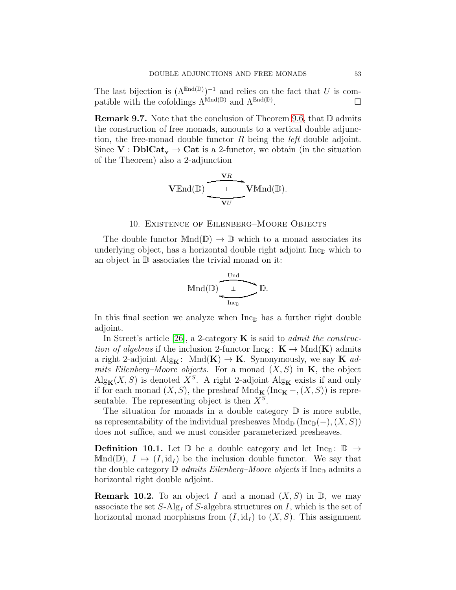The last bijection is  $(\Lambda^{End(D)})^{-1}$  and relies on the fact that U is compatible with the cofoldings  $\Lambda^{Mnd(\mathbb{D})}$  and  $\Lambda^{End(\mathbb{D})}$ . .

**Remark 9.7.** Note that the conclusion of Theorem [9.6,](#page-49-0) that  $\mathbb{D}$  admits the construction of free monads, amounts to a vertical double adjunction, the free-monad double functor R being the *left* double adjoint. Since  $V : \text{DblCat}_{v} \to \text{Cat}$  is a 2-functor, we obtain (in the situation of the Theorem) also a 2-adjunction

$$
\mathbf{V}\text{End}(\mathbb{D})\xrightarrow[\text{V}U]{\text{V}\text{R}}\mathbf{V}\text{Mnd}(\mathbb{D}).
$$

#### 10. Existence of Eilenberg–Moore Objects

<span id="page-52-0"></span>The double functor  $Mnd(\mathbb{D}) \to \mathbb{D}$  which to a monad associates its underlying object, has a horizontal double right adjoint  $\text{Inc}_{\mathbb{D}}$  which to an object in D associates the trivial monad on it:

$$
\text{Mnd}(\mathbb{D})\underbrace{\xrightarrow[\text{Inc}_\mathbb{D}]}\mathbb{D}.
$$

In this final section we analyze when  $\text{Inc}_D$  has a further right double adjoint.

In Street's article [\[26\]](#page-55-3), a 2-category  $\bf{K}$  is said to *admit the construc*tion of algebras if the inclusion 2-functor  $\text{Inc}_{\mathbf{K}}: \mathbf{K} \to \text{Mnd}(\mathbf{K})$  admits a right 2-adjoint  $\mathrm{Alg}_{\mathbf{K}}$ :  $\mathrm{Mnd}(\mathbf{K}) \to \mathbf{K}$ . Synonymously, we say **K** admits Eilenberg–Moore objects. For a monad  $(X, S)$  in **K**, the object  $\text{Alg}_{\mathbf{K}}(X, S)$  is denoted  $X^S$ . A right 2-adjoint  $\text{Alg}_{\mathbf{K}}$  exists if and only if for each monad  $(X, S)$ , the presheaf Mnd<sub>K</sub> (Inc<sub>K</sub> –,  $(X, S)$ ) is representable. The representing object is then  $X<sup>S</sup>$ .

The situation for monads in a double category  $\mathbb D$  is more subtle, as representability of the individual presheaves  $Mnd_{\mathbb{D}}(\text{Inc}_{\mathbb{D}}(-), (X, S))$ does not suffice, and we must consider parameterized presheaves.

**Definition 10.1.** Let  $\mathbb{D}$  be a double category and let  $\text{Inc}_{\mathbb{D}}$ :  $\mathbb{D} \rightarrow$ Mnd( $\mathbb{D}$ ),  $I \mapsto (I, id_I)$  be the inclusion double functor. We say that the double category  $\mathbb D$  admits Eilenberg–Moore objects if  $\text{Inc}_{\mathbb D}$  admits a horizontal right double adjoint.

**Remark 10.2.** To an object I and a monad  $(X, S)$  in  $\mathbb{D}$ , we may associate the set  $S\text{-Alg}_I$  of  $S\text{-algebra structures on }I$ , which is the set of horizontal monad morphisms from  $(I, id_I)$  to  $(X, S)$ . This assignment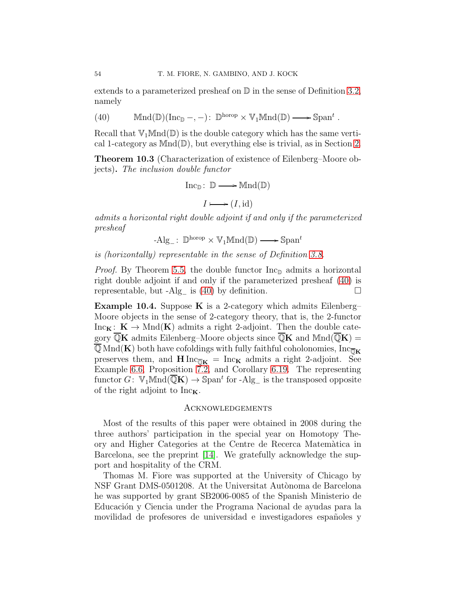extends to a parameterized presheaf on  $\mathbb D$  in the sense of Definition [3.2,](#page-9-1) namely

<span id="page-53-2"></span>(40) 
$$
\text{Mnd}(\mathbb{D})(\text{Inc}_{\mathbb{D}}-, -): \mathbb{D}^{\text{horop}} \times \mathbb{V}_1 \text{Mnd}(\mathbb{D}) \longrightarrow \text{Span}^t
$$
.

Recall that  $\mathbb{V}_1\mathbb{M}\mathrm{nd}(\mathbb{D})$  is the double category which has the same vertical 1-category as  $Mnd(\mathbb{D})$ , but everything else is trivial, as in Section [2.](#page-5-0)

<span id="page-53-1"></span>Theorem 10.3 (Characterization of existence of Eilenberg–Moore objects). The inclusion double functor

$$
\mathrm{Inc}_{\mathbb{D}}\colon\thinspace\mathbb{D}\longrightarrow\mathrm{Mnd}(\mathbb{D})
$$

$$
I \longmapsto (I, id)
$$

admits a horizontal right double adjoint if and only if the parameterized presheaf

 $-Alg_{-}: \mathbb{D}^{\text{horop}} \times \mathbb{V}_1 \mathbb{M} \text{nd}(\mathbb{D}) \longrightarrow \mathbb{S} \text{pan}^t$ 

is (horizontally) representable in the sense of Definition [3.8.](#page-13-1)

*Proof.* By Theorem [5.5,](#page-23-0) the double functor  $\text{Inc}_{\mathbb{D}}$  admits a horizontal right double adjoint if and only if the parameterized presheaf [\(40\)](#page-53-2) is representable, but -Alg<sub>−</sub> is [\(40\)](#page-53-2) by definition.  $\Box$ 

Example 10.4. Suppose K is a 2-category which admits Eilenberg– Moore objects in the sense of 2-category theory, that is, the 2-functor  $Inc_K: K \to Mnd(K)$  admits a right 2-adjoint. Then the double category  $\mathbb{Q}K$  admits Eilenberg–Moore objects since  $\mathbb{Q}K$  and  $\text{Mnd}(\mathbb{Q}K) =$  $\overline{\mathbb{Q}}$  Mnd(K) both have cofoldings with fully faithful coholonomies, Inc<sub>OK</sub> preserves them, and  $\mathbf{H} \ln c_{\overline{0}\mathbf{K}} = \ln c_{\mathbf{K}}$  admits a right 2-adjoint. See Example [6.6,](#page-29-0) Proposition [7.2,](#page-40-0) and Corollary [6.19.](#page-37-2) The representing functor  $G: \mathbb{V}_1 \mathbb{M} \text{nd}(\overline{\mathbb{Q}}\mathbf{K}) \to \text{Span}^t$  for -Alg<sub>-</sub> is the transposed opposite of the right adjoint to  $Inc<sub>K</sub>$ .

### <span id="page-53-0"></span>Acknowledgements

Most of the results of this paper were obtained in 2008 during the three authors' participation in the special year on Homotopy Theory and Higher Categories at the Centre de Recerca Matem`atica in Barcelona, see the preprint [\[14\]](#page-54-14). We gratefully acknowledge the support and hospitality of the CRM.

Thomas M. Fiore was supported at the University of Chicago by NSF Grant DMS-0501208. At the Universitat Autònoma de Barcelona he was supported by grant SB2006-0085 of the Spanish Ministerio de Educación y Ciencia under the Programa Nacional de ayudas para la movilidad de profesores de universidad e investigadores espa˜noles y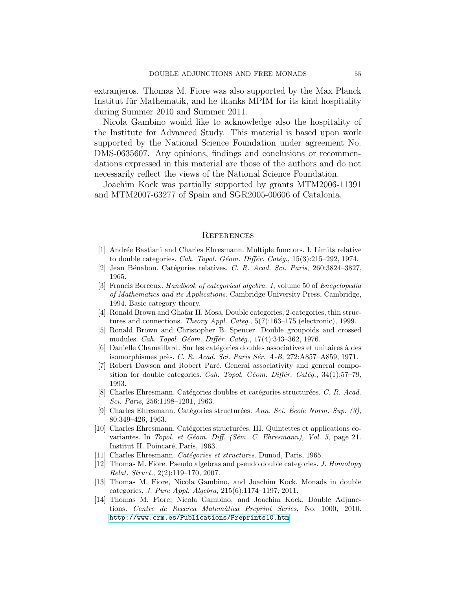extranjeros. Thomas M. Fiore was also supported by the Max Planck Institut für Mathematik, and he thanks MPIM for its kind hospitality during Summer 2010 and Summer 2011.

Nicola Gambino would like to acknowledge also the hospitality of the Institute for Advanced Study. This material is based upon work supported by the National Science Foundation under agreement No. DMS-0635607. Any opinions, findings and conclusions or recommendations expressed in this material are those of the authors and do not necessarily reflect the views of the National Science Foundation.

Joachim Kock was partially supported by grants MTM2006-11391 and MTM2007-63277 of Spain and SGR2005-00606 of Catalonia.

#### <span id="page-54-1"></span>**REFERENCES**

- <span id="page-54-8"></span>[1] Andr´ee Bastiani and Charles Ehresmann. Multiple functors. I. Limits relative to double categories. Cah. Topol. Géom. Différ. Catég.,  $15(3):215-292$ , 1974.
- <span id="page-54-12"></span><span id="page-54-5"></span>[2] Jean Bénabou. Catégories relatives. C. R. Acad. Sci. Paris, 260:3824-3827, 1965.
- [3] Francis Borceux. Handbook of categorical algebra. 1, volume 50 of Encyclopedia of Mathematics and its Applications. Cambridge University Press, Cambridge, 1994. Basic category theory.
- <span id="page-54-9"></span>[4] Ronald Brown and Ghafar H. Mosa. Double categories, 2-categories, thin structures and connections. Theory Appl. Categ., 5(7):163-175 (electronic), 1999.
- <span id="page-54-13"></span>[5] Ronald Brown and Christopher B. Spencer. Double groupoids and crossed modules. Cah. Topol. Géom. Différ. Catég., 17(4):343-362, 1976.
- <span id="page-54-10"></span>[6] Danielle Chamaillard. Sur les catégories doubles associatives et unitaires à des isomorphismes près. C. R. Acad. Sci. Paris Sér. A-B, 272:A857-A859, 1971.
- <span id="page-54-6"></span>[7] Robert Dawson and Robert Paré. General associativity and general composition for double categories. Cah. Topol. Géom. Différ. Catég.,  $34(1):57-79$ , 1993.
- <span id="page-54-2"></span>[8] Charles Ehresmann. Catégories doubles et catégories structurées. C. R. Acad. Sci. Paris, 256:1198–1201, 1963.
- <span id="page-54-3"></span>[9] Charles Ehresmann. Catégories structurées. Ann. Sci. École Norm. Sup.  $(3)$ , 80:349–426, 1963.
- <span id="page-54-7"></span>[10] Charles Ehresmann. Catégories structurées. III. Quintettes et applications covariantes. In Topol. et Géom. Diff. (Sém. C. Ehresmann), Vol. 5, page 21. Institut H. Poincaré, Paris, 1963.
- <span id="page-54-11"></span><span id="page-54-4"></span>[11] Charles Ehresmann. Catégories et structures. Dunod, Paris, 1965.
- [12] Thomas M. Fiore. Pseudo algebras and pseudo double categories. J. Homotopy Relat. Struct., 2(2):119–170, 2007.
- <span id="page-54-0"></span>[13] Thomas M. Fiore, Nicola Gambino, and Joachim Kock. Monads in double categories. J. Pure Appl. Algebra, 215(6):1174–1197, 2011.
- <span id="page-54-14"></span>[14] Thomas M. Fiore, Nicola Gambino, and Joachim Kock. Double Adjunctions. Centre de Recerca Matem`atica Preprint Series, No. 1000, 2010. <http://www.crm.es/Publications/Preprints10.htm>